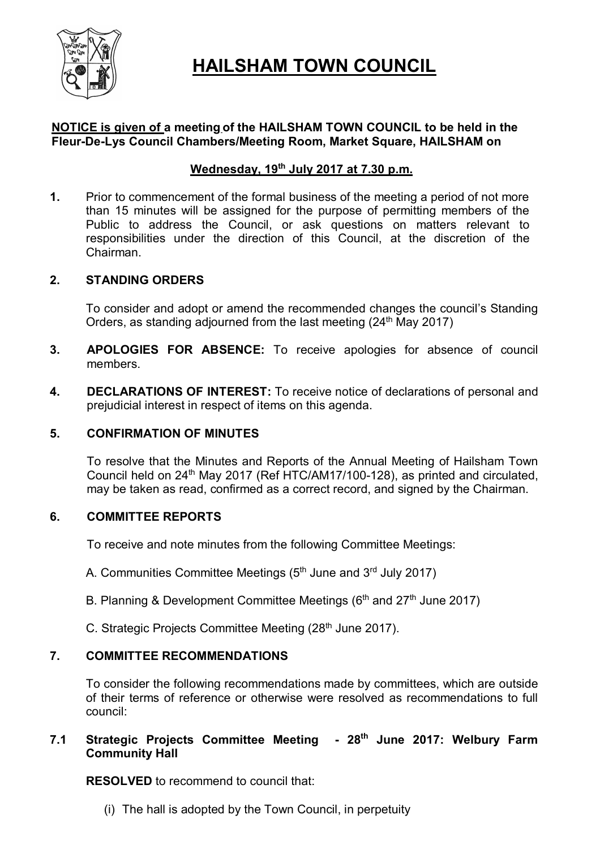

# **HAILSHAM TOWN COUNCIL**

#### **NOTICE is given of a meeting of the HAILSHAM TOWN COUNCIL to be held in the Fleur-De-Lys Council Chambers/Meeting Room, Market Square, HAILSHAM on**

## **Wednesday, 19th July 2017 at 7.30 p.m.**

**1.** Prior to commencement of the formal business of the meeting a period of not more than 15 minutes will be assigned for the purpose of permitting members of the Public to address the Council, or ask questions on matters relevant to responsibilities under the direction of this Council, at the discretion of the Chairman.

#### **2. STANDING ORDERS**

To consider and adopt or amend the recommended changes the council's Standing Orders, as standing adjourned from the last meeting  $(24<sup>th</sup>$  May 2017)

- **3. APOLOGIES FOR ABSENCE:** To receive apologies for absence of council members.
- **4. DECLARATIONS OF INTEREST:** To receive notice of declarations of personal and prejudicial interest in respect of items on this agenda.

#### **5. CONFIRMATION OF MINUTES**

To resolve that the Minutes and Reports of the Annual Meeting of Hailsham Town Council held on 24th May 2017 (Ref HTC/AM17/100-128), as printed and circulated, may be taken as read, confirmed as a correct record, and signed by the Chairman.

#### **6. COMMITTEE REPORTS**

To receive and note minutes from the following Committee Meetings:

A. Communities Committee Meetings (5<sup>th</sup> June and 3<sup>rd</sup> July 2017)

- B. Planning & Development Committee Meetings (6<sup>th</sup> and 27<sup>th</sup> June 2017)
- C. Strategic Projects Committee Meeting (28<sup>th</sup> June 2017).

#### **7. COMMITTEE RECOMMENDATIONS**

To consider the following recommendations made by committees, which are outside of their terms of reference or otherwise were resolved as recommendations to full council:

#### **7.1 Strategic Projects Committee Meeting - 28th June 2017: Welbury Farm Community Hall**

**RESOLVED** to recommend to council that:

(i) The hall is adopted by the Town Council, in perpetuity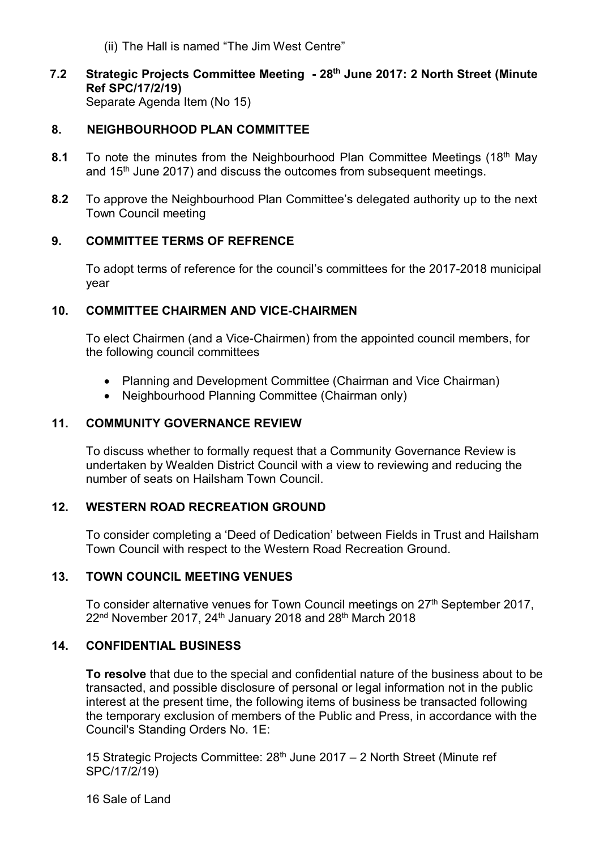- (ii) The Hall is named "The Jim West Centre"
- **7.2 Strategic Projects Committee Meeting - 28th June 2017: 2 North Street (Minute Ref SPC/17/2/19)** Separate Agenda Item (No 15)

#### **8. NEIGHBOURHOOD PLAN COMMITTEE**

- **8.1** To note the minutes from the Neighbourhood Plan Committee Meetings (18<sup>th</sup> May and  $15<sup>th</sup>$  June 2017) and discuss the outcomes from subsequent meetings.
- **8.2** To approve the Neighbourhood Plan Committee's delegated authority up to the next Town Council meeting

#### **9. COMMITTEE TERMS OF REFRENCE**

To adopt terms of reference for the council's committees for the 2017-2018 municipal year

#### **10. COMMITTEE CHAIRMEN AND VICE-CHAIRMEN**

To elect Chairmen (and a Vice-Chairmen) from the appointed council members, for the following council committees

- Planning and Development Committee (Chairman and Vice Chairman)
- Neighbourhood Planning Committee (Chairman only)

#### **11. COMMUNITY GOVERNANCE REVIEW**

To discuss whether to formally request that a Community Governance Review is undertaken by Wealden District Council with a view to reviewing and reducing the number of seats on Hailsham Town Council.

#### **12. WESTERN ROAD RECREATION GROUND**

To consider completing a 'Deed of Dedication' between Fields in Trust and Hailsham Town Council with respect to the Western Road Recreation Ground.

#### **13. TOWN COUNCIL MEETING VENUES**

To consider alternative venues for Town Council meetings on 27<sup>th</sup> September 2017,  $22<sup>nd</sup>$  November 2017, 24<sup>th</sup> January 2018 and 28<sup>th</sup> March 2018

#### **14. CONFIDENTIAL BUSINESS**

**To resolve** that due to the special and confidential nature of the business about to be transacted, and possible disclosure of personal or legal information not in the public interest at the present time, the following items of business be transacted following the temporary exclusion of members of the Public and Press, in accordance with the Council's Standing Orders No. 1E:

15 Strategic Projects Committee: 28<sup>th</sup> June 2017 – 2 North Street (Minute ref SPC/17/2/19)

16 Sale of Land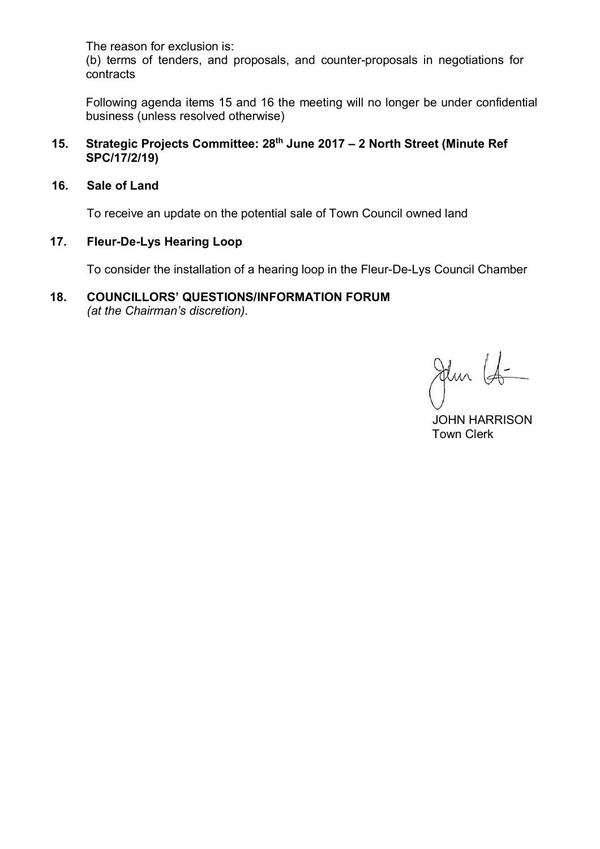The reason for exclusion is:

(b) terms of tenders, and proposals, and counter-proposals in negotiations for contracts

Following agenda items 15 and 16 the meeting will no longer be under confidential business (unless resolved otherwise)

- **15. Strategic Projects Committee: 28th June 2017 – 2 North Street (Minute Ref SPC/17/2/19)**
- **16. Sale of Land**

To receive an update on the potential sale of Town Council owned land

#### **17. Fleur-De-Lys Hearing Loop**

To consider the installation of a hearing loop in the Fleur-De-Lys Council Chamber

#### **18. COUNCILLORS' QUESTIONS/INFORMATION FORUM** *(at the Chairman's discretion).*

Jehn Lo

 JOHN HARRISON Town Clerk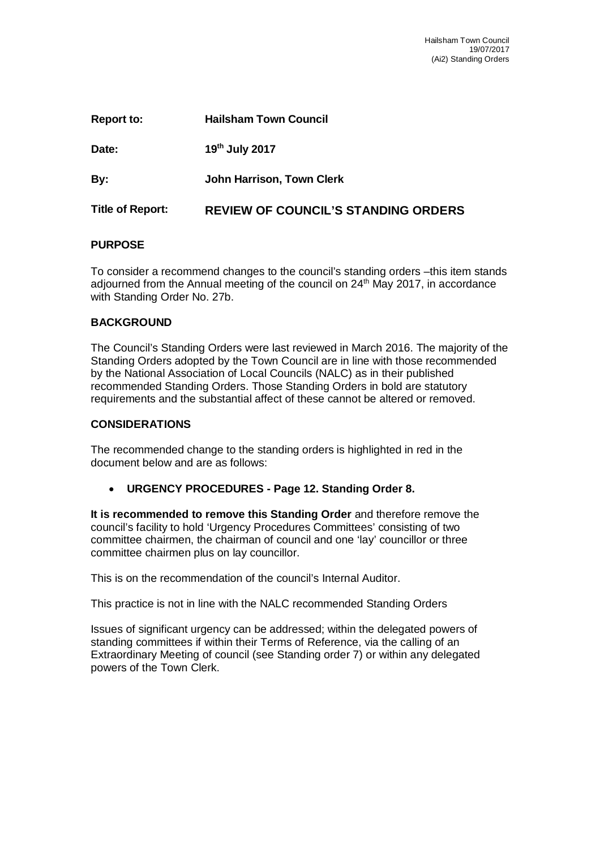| Report to:              | <b>Hailsham Town Council</b>               |
|-------------------------|--------------------------------------------|
| Date:                   | 19th July 2017                             |
| By:                     | John Harrison, Town Clerk                  |
| <b>Title of Report:</b> | <b>REVIEW OF COUNCIL'S STANDING ORDERS</b> |

#### **PURPOSE**

To consider a recommend changes to the council's standing orders –this item stands adjourned from the Annual meeting of the council on 24<sup>th</sup> May 2017, in accordance with Standing Order No. 27b.

#### **BACKGROUND**

The Council's Standing Orders were last reviewed in March 2016. The majority of the Standing Orders adopted by the Town Council are in line with those recommended by the National Association of Local Councils (NALC) as in their published recommended Standing Orders. Those Standing Orders in bold are statutory requirements and the substantial affect of these cannot be altered or removed.

#### **CONSIDERATIONS**

The recommended change to the standing orders is highlighted in red in the document below and are as follows:

**URGENCY PROCEDURES - Page 12. Standing Order 8.** 

**It is recommended to remove this Standing Order** and therefore remove the council's facility to hold 'Urgency Procedures Committees' consisting of two committee chairmen, the chairman of council and one 'lay' councillor or three committee chairmen plus on lay councillor.

This is on the recommendation of the council's Internal Auditor.

This practice is not in line with the NALC recommended Standing Orders

Issues of significant urgency can be addressed; within the delegated powers of standing committees if within their Terms of Reference, via the calling of an Extraordinary Meeting of council (see Standing order 7) or within any delegated powers of the Town Clerk.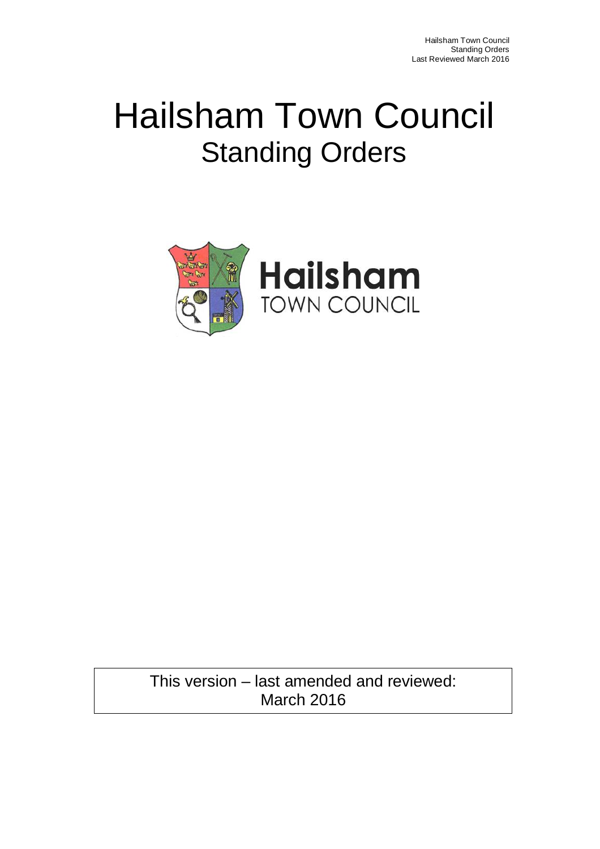# Hailsham Town Council Standing Orders



This version – last amended and reviewed: March 2016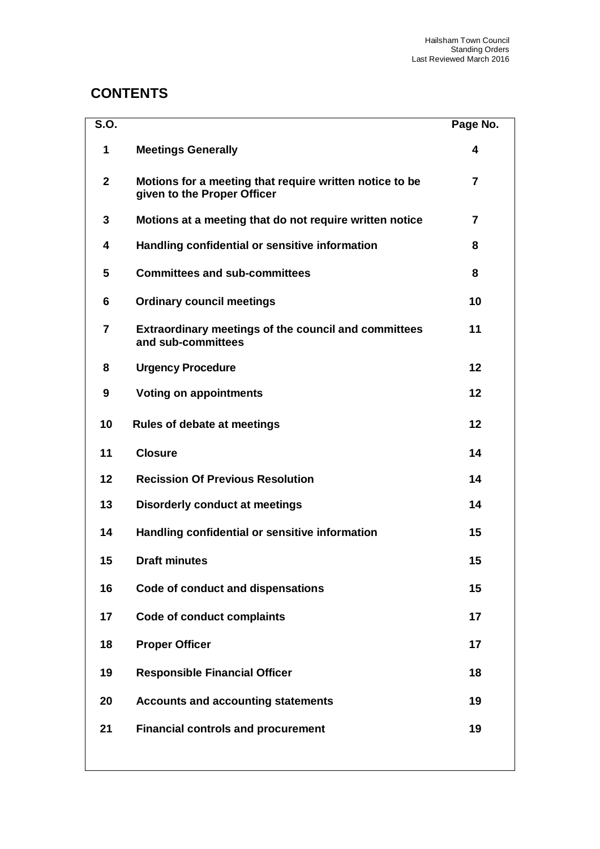## **CONTENTS**

| S.O.           |                                                                                        | Page No.       |
|----------------|----------------------------------------------------------------------------------------|----------------|
| 1              | <b>Meetings Generally</b>                                                              | 4              |
| $\overline{2}$ | Motions for a meeting that require written notice to be<br>given to the Proper Officer | $\overline{7}$ |
| 3              | Motions at a meeting that do not require written notice                                | 7              |
| 4              | Handling confidential or sensitive information                                         | 8              |
| 5              | <b>Committees and sub-committees</b>                                                   | 8              |
| 6              | <b>Ordinary council meetings</b>                                                       | 10             |
| 7              | Extraordinary meetings of the council and committees<br>and sub-committees             | 11             |
| 8              | <b>Urgency Procedure</b>                                                               | 12             |
| 9              | <b>Voting on appointments</b>                                                          | 12             |
| 10             | <b>Rules of debate at meetings</b>                                                     | 12             |
| 11             | <b>Closure</b>                                                                         | 14             |
| 12             | <b>Recission Of Previous Resolution</b>                                                | 14             |
| 13             | <b>Disorderly conduct at meetings</b>                                                  | 14             |
| 14             | Handling confidential or sensitive information                                         | 15             |
| 15             | <b>Draft minutes</b>                                                                   | 15             |
| 16             | Code of conduct and dispensations                                                      | 15             |
| 17             | <b>Code of conduct complaints</b>                                                      | 17             |
| 18             | <b>Proper Officer</b>                                                                  | 17             |
| 19             | <b>Responsible Financial Officer</b>                                                   | 18             |
| 20             | <b>Accounts and accounting statements</b>                                              | 19             |
| 21             | <b>Financial controls and procurement</b>                                              | 19             |
|                |                                                                                        |                |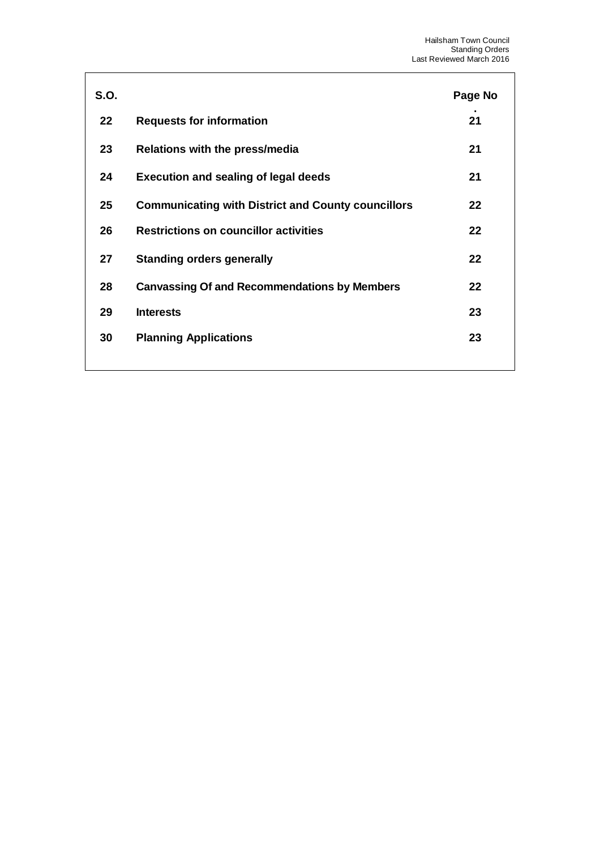| <b>S.O.</b> |                                                           | Page No |
|-------------|-----------------------------------------------------------|---------|
| 22          | <b>Requests for information</b>                           | 21      |
| 23          | Relations with the press/media                            | 21      |
| 24          | <b>Execution and sealing of legal deeds</b>               | 21      |
| 25          | <b>Communicating with District and County councillors</b> | 22      |
| 26          | <b>Restrictions on councillor activities</b>              | 22      |
| 27          | <b>Standing orders generally</b>                          | 22      |
| 28          | <b>Canvassing Of and Recommendations by Members</b>       | 22      |
| 29          | <b>Interests</b>                                          | 23      |
| 30          | <b>Planning Applications</b>                              | 23      |
|             |                                                           |         |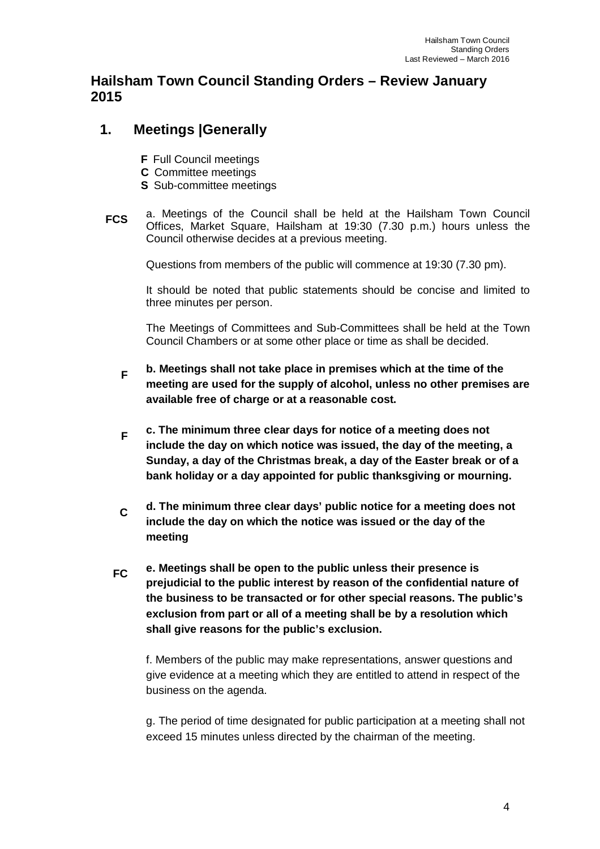#### **Hailsham Town Council Standing Orders – Review January 2015**

## **1. Meetings |Generally**

- **F** Full Council meetings
- **C** Committee meetings
- **S** Sub-committee meetings
- **FCS** a. Meetings of the Council shall be held at the Hailsham Town Council Offices, Market Square, Hailsham at 19:30 (7.30 p.m.) hours unless the Council otherwise decides at a previous meeting.

Questions from members of the public will commence at 19:30 (7.30 pm).

It should be noted that public statements should be concise and limited to three minutes per person.

The Meetings of Committees and Sub-Committees shall be held at the Town Council Chambers or at some other place or time as shall be decided.

- **F b. Meetings shall not take place in premises which at the time of the meeting are used for the supply of alcohol, unless no other premises are available free of charge or at a reasonable cost.**
- **F c. The minimum three clear days for notice of a meeting does not include the day on which notice was issued, the day of the meeting, a Sunday, a day of the Christmas break, a day of the Easter break or of a bank holiday or a day appointed for public thanksgiving or mourning.**
- **C d. The minimum three clear days' public notice for a meeting does not include the day on which the notice was issued or the day of the meeting**
- **FC e. Meetings shall be open to the public unless their presence is prejudicial to the public interest by reason of the confidential nature of the business to be transacted or for other special reasons. The public's exclusion from part or all of a meeting shall be by a resolution which shall give reasons for the public's exclusion.**

f. Members of the public may make representations, answer questions and give evidence at a meeting which they are entitled to attend in respect of the business on the agenda.

g. The period of time designated for public participation at a meeting shall not exceed 15 minutes unless directed by the chairman of the meeting.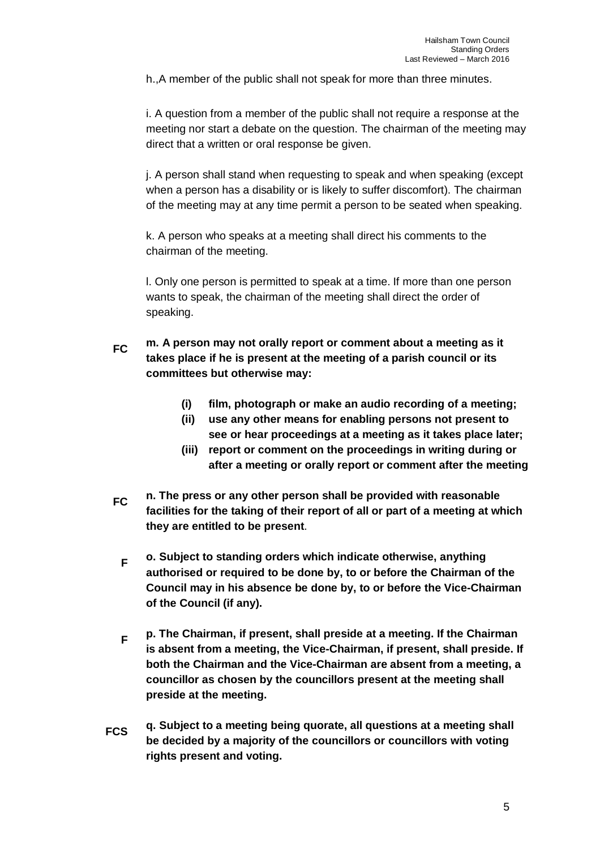h.,A member of the public shall not speak for more than three minutes.

i. A question from a member of the public shall not require a response at the meeting nor start a debate on the question. The chairman of the meeting may direct that a written or oral response be given.

j. A person shall stand when requesting to speak and when speaking (except when a person has a disability or is likely to suffer discomfort). The chairman of the meeting may at any time permit a person to be seated when speaking.

k. A person who speaks at a meeting shall direct his comments to the chairman of the meeting.

l. Only one person is permitted to speak at a time. If more than one person wants to speak, the chairman of the meeting shall direct the order of speaking.

- **FC m. A person may not orally report or comment about a meeting as it takes place if he is present at the meeting of a parish council or its committees but otherwise may:**
	- **(i) film, photograph or make an audio recording of a meeting;**
	- **(ii) use any other means for enabling persons not present to see or hear proceedings at a meeting as it takes place later;**
	- **(iii) report or comment on the proceedings in writing during or after a meeting or orally report or comment after the meeting**
- **FC n. The press or any other person shall be provided with reasonable facilities for the taking of their report of all or part of a meeting at which they are entitled to be present**.
	- **F o. Subject to standing orders which indicate otherwise, anything authorised or required to be done by, to or before the Chairman of the Council may in his absence be done by, to or before the Vice-Chairman of the Council (if any).**
	- **F p. The Chairman, if present, shall preside at a meeting. If the Chairman is absent from a meeting, the Vice-Chairman, if present, shall preside. If both the Chairman and the Vice-Chairman are absent from a meeting, a councillor as chosen by the councillors present at the meeting shall preside at the meeting.**
- **FCS q. Subject to a meeting being quorate, all questions at a meeting shall be decided by a majority of the councillors or councillors with voting rights present and voting.**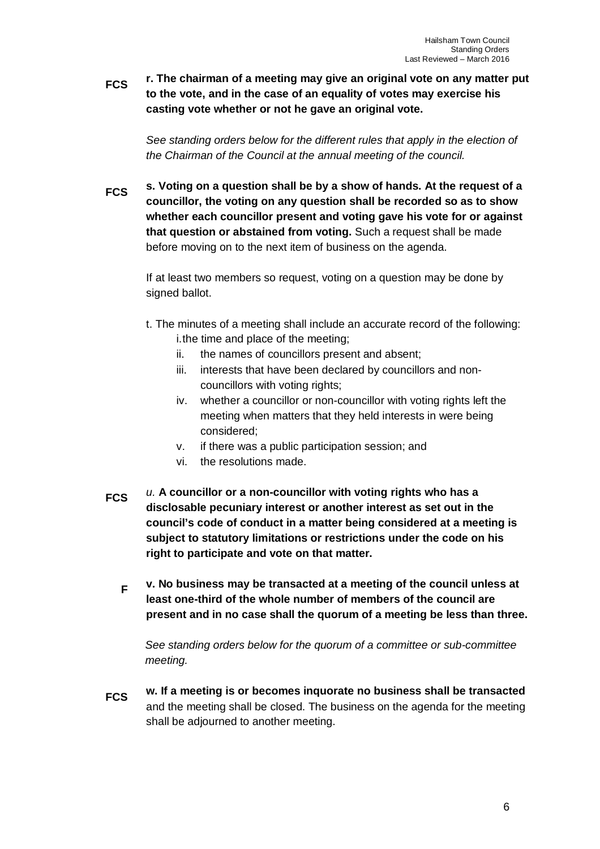**FCS r. The chairman of a meeting may give an original vote on any matter put to the vote, and in the case of an equality of votes may exercise his casting vote whether or not he gave an original vote.**

*See standing orders below for the different rules that apply in the election of the Chairman of the Council at the annual meeting of the council.*

**FCS s. Voting on a question shall be by a show of hands. At the request of a councillor, the voting on any question shall be recorded so as to show whether each councillor present and voting gave his vote for or against that question or abstained from voting.** Such a request shall be made before moving on to the next item of business on the agenda.

If at least two members so request, voting on a question may be done by signed ballot.

- t. The minutes of a meeting shall include an accurate record of the following: i.the time and place of the meeting;
	- ii. the names of councillors present and absent;
	- iii. interests that have been declared by councillors and noncouncillors with voting rights;
	- iv. whether a councillor or non-councillor with voting rights left the meeting when matters that they held interests in were being considered;
	- v. if there was a public participation session; and
	- vi. the resolutions made.
- **FCS** *u.* **A councillor or a non-councillor with voting rights who has a disclosable pecuniary interest or another interest as set out in the council's code of conduct in a matter being considered at a meeting is subject to statutory limitations or restrictions under the code on his right to participate and vote on that matter.**
	- **F v. No business may be transacted at a meeting of the council unless at least one-third of the whole number of members of the council are present and in no case shall the quorum of a meeting be less than three.**

*See standing orders below for the quorum of a committee or sub-committee meeting.* 

**FCS w. If a meeting is or becomes inquorate no business shall be transacted** and the meeting shall be closed. The business on the agenda for the meeting shall be adjourned to another meeting.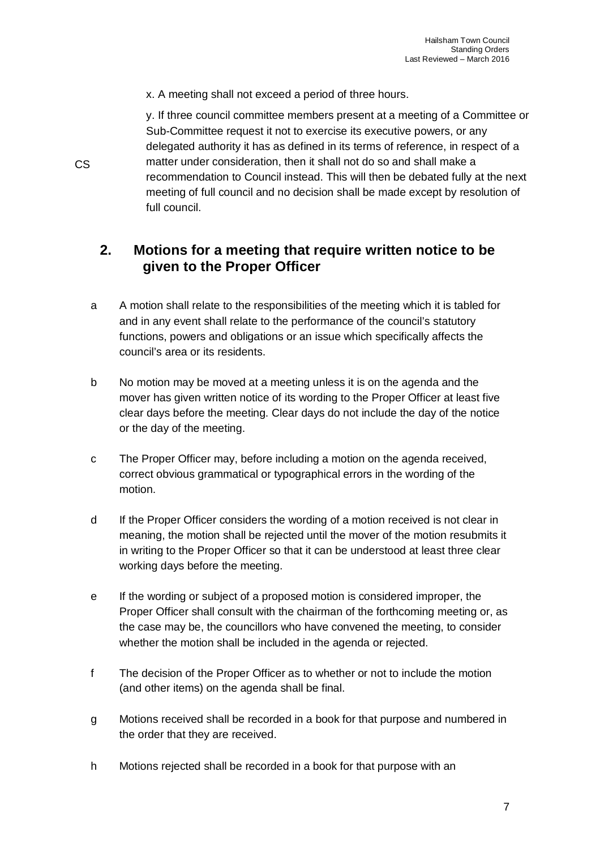x. A meeting shall not exceed a period of three hours.

y. If three council committee members present at a meeting of a Committee or Sub-Committee request it not to exercise its executive powers, or any delegated authority it has as defined in its terms of reference, in respect of a matter under consideration, then it shall not do so and shall make a recommendation to Council instead. This will then be debated fully at the next meeting of full council and no decision shall be made except by resolution of full council.

## **2. Motions for a meeting that require written notice to be given to the Proper Officer**

- a A motion shall relate to the responsibilities of the meeting which it is tabled for and in any event shall relate to the performance of the council's statutory functions, powers and obligations or an issue which specifically affects the council's area or its residents.
- b No motion may be moved at a meeting unless it is on the agenda and the mover has given written notice of its wording to the Proper Officer at least five clear days before the meeting. Clear days do not include the day of the notice or the day of the meeting.
- c The Proper Officer may, before including a motion on the agenda received, correct obvious grammatical or typographical errors in the wording of the motion.
- d If the Proper Officer considers the wording of a motion received is not clear in meaning, the motion shall be rejected until the mover of the motion resubmits it in writing to the Proper Officer so that it can be understood at least three clear working days before the meeting.
- e If the wording or subject of a proposed motion is considered improper, the Proper Officer shall consult with the chairman of the forthcoming meeting or, as the case may be, the councillors who have convened the meeting, to consider whether the motion shall be included in the agenda or rejected.
- f The decision of the Proper Officer as to whether or not to include the motion (and other items) on the agenda shall be final.
- g Motions received shall be recorded in a book for that purpose and numbered in the order that they are received.
- h Motions rejected shall be recorded in a book for that purpose with an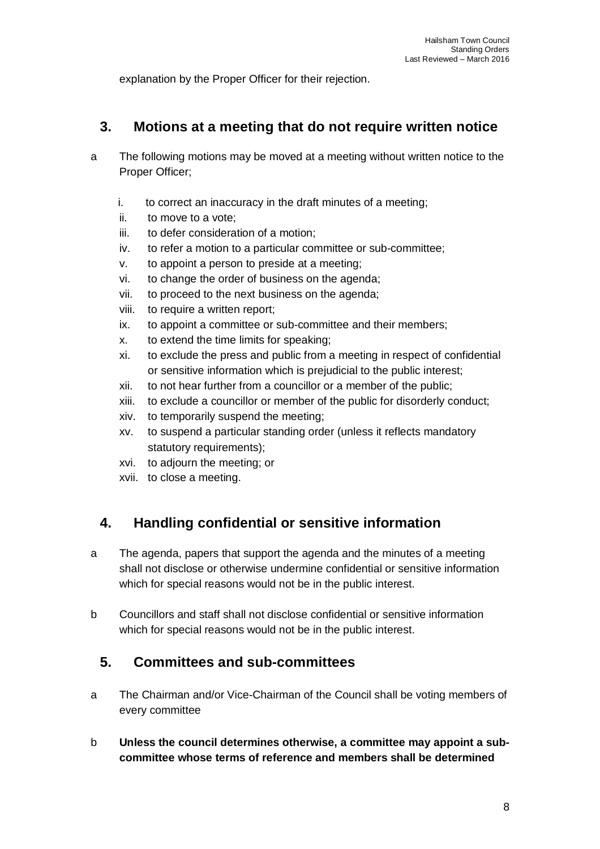explanation by the Proper Officer for their rejection.

#### **3. Motions at a meeting that do not require written notice**

- a The following motions may be moved at a meeting without written notice to the Proper Officer;
	- i. to correct an inaccuracy in the draft minutes of a meeting;
	- ii. to move to a vote;
	- iii. to defer consideration of a motion;
	- iv. to refer a motion to a particular committee or sub-committee;
	- v. to appoint a person to preside at a meeting;
	- vi. to change the order of business on the agenda;
	- vii. to proceed to the next business on the agenda;
	- viii. to require a written report;
	- ix. to appoint a committee or sub-committee and their members;
	- x. to extend the time limits for speaking;
	- xi. to exclude the press and public from a meeting in respect of confidential or sensitive information which is prejudicial to the public interest;
	- xii. to not hear further from a councillor or a member of the public;
	- xiii. to exclude a councillor or member of the public for disorderly conduct;
	- xiv. to temporarily suspend the meeting;
	- xv. to suspend a particular standing order (unless it reflects mandatory statutory requirements);
	- xvi. to adjourn the meeting; or
	- xvii. to close a meeting.

## **4. Handling confidential or sensitive information**

- a The agenda, papers that support the agenda and the minutes of a meeting shall not disclose or otherwise undermine confidential or sensitive information which for special reasons would not be in the public interest.
- b Councillors and staff shall not disclose confidential or sensitive information which for special reasons would not be in the public interest.

#### **5. Committees and sub-committees**

- a The Chairman and/or Vice-Chairman of the Council shall be voting members of every committee
- b **Unless the council determines otherwise, a committee may appoint a subcommittee whose terms of reference and members shall be determined**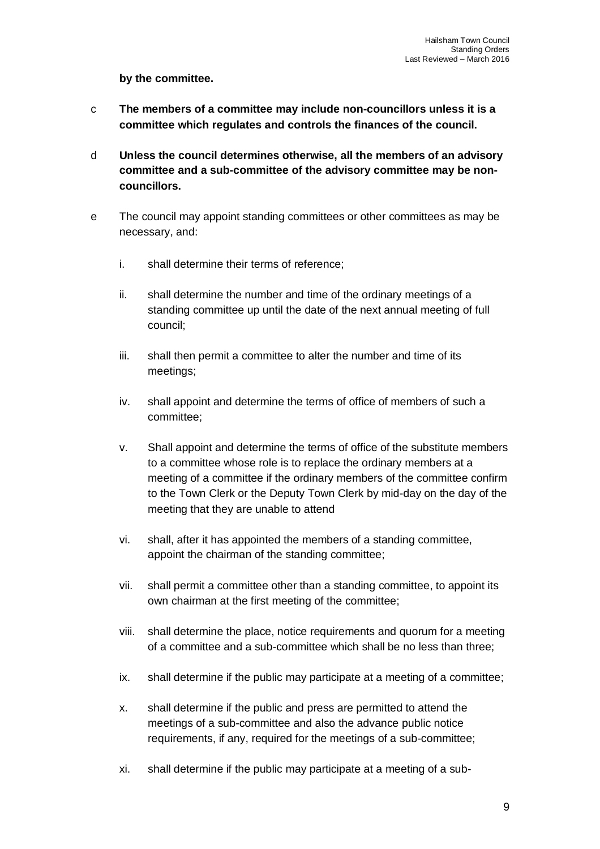**by the committee.**

- c **The members of a committee may include non-councillors unless it is a committee which regulates and controls the finances of the council.**
- d **Unless the council determines otherwise, all the members of an advisory committee and a sub-committee of the advisory committee may be noncouncillors.**
- e The council may appoint standing committees or other committees as may be necessary, and:
	- i. shall determine their terms of reference;
	- ii. shall determine the number and time of the ordinary meetings of a standing committee up until the date of the next annual meeting of full council;
	- iii. shall then permit a committee to alter the number and time of its meetings;
	- iv. shall appoint and determine the terms of office of members of such a committee;
	- v. Shall appoint and determine the terms of office of the substitute members to a committee whose role is to replace the ordinary members at a meeting of a committee if the ordinary members of the committee confirm to the Town Clerk or the Deputy Town Clerk by mid-day on the day of the meeting that they are unable to attend
	- vi. shall, after it has appointed the members of a standing committee, appoint the chairman of the standing committee;
	- vii. shall permit a committee other than a standing committee, to appoint its own chairman at the first meeting of the committee;
	- viii. shall determine the place, notice requirements and quorum for a meeting of a committee and a sub-committee which shall be no less than three;
	- ix. shall determine if the public may participate at a meeting of a committee;
	- x. shall determine if the public and press are permitted to attend the meetings of a sub-committee and also the advance public notice requirements, if any, required for the meetings of a sub-committee;
	- xi. shall determine if the public may participate at a meeting of a sub-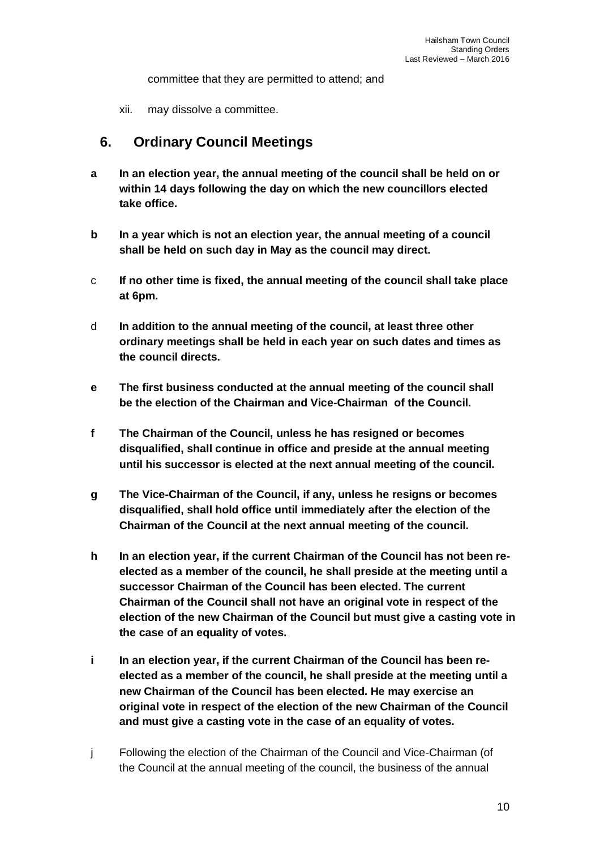committee that they are permitted to attend; and

xii. may dissolve a committee.

#### **6. Ordinary Council Meetings**

- **a In an election year, the annual meeting of the council shall be held on or within 14 days following the day on which the new councillors elected take office.**
- **b In a year which is not an election year, the annual meeting of a council shall be held on such day in May as the council may direct.**
- c **If no other time is fixed, the annual meeting of the council shall take place at 6pm.**
- d **In addition to the annual meeting of the council, at least three other ordinary meetings shall be held in each year on such dates and times as the council directs.**
- **e The first business conducted at the annual meeting of the council shall be the election of the Chairman and Vice-Chairman of the Council.**
- **f The Chairman of the Council, unless he has resigned or becomes disqualified, shall continue in office and preside at the annual meeting until his successor is elected at the next annual meeting of the council.**
- **g The Vice-Chairman of the Council, if any, unless he resigns or becomes disqualified, shall hold office until immediately after the election of the Chairman of the Council at the next annual meeting of the council.**
- **h In an election year, if the current Chairman of the Council has not been reelected as a member of the council, he shall preside at the meeting until a successor Chairman of the Council has been elected. The current Chairman of the Council shall not have an original vote in respect of the election of the new Chairman of the Council but must give a casting vote in the case of an equality of votes.**
- **i In an election year, if the current Chairman of the Council has been reelected as a member of the council, he shall preside at the meeting until a new Chairman of the Council has been elected. He may exercise an original vote in respect of the election of the new Chairman of the Council and must give a casting vote in the case of an equality of votes.**
- j Following the election of the Chairman of the Council and Vice-Chairman (of the Council at the annual meeting of the council, the business of the annual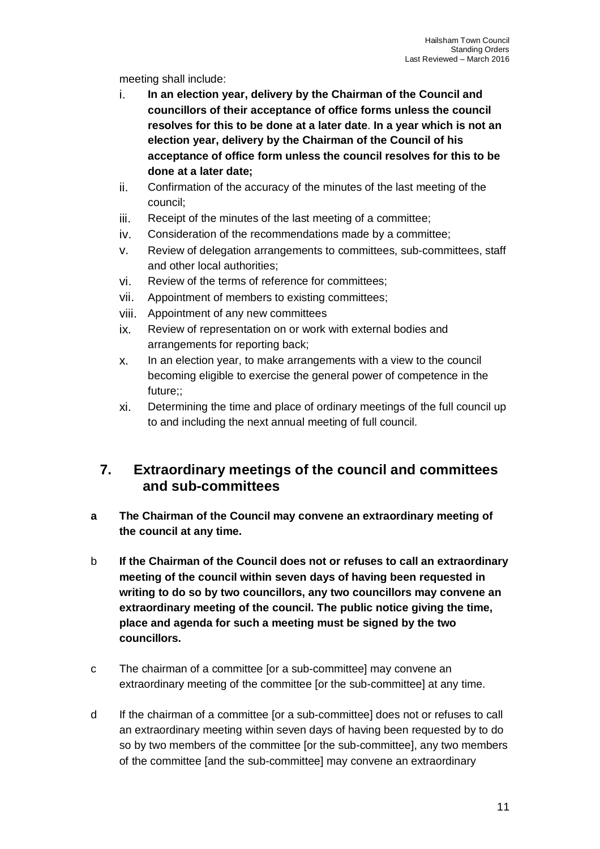meeting shall include:

- i. **In an election year, delivery by the Chairman of the Council and councillors of their acceptance of office forms unless the council resolves for this to be done at a later date**. **In a year which is not an election year, delivery by the Chairman of the Council of his acceptance of office form unless the council resolves for this to be done at a later date;**
- ii. Confirmation of the accuracy of the minutes of the last meeting of the council;
- iii. Receipt of the minutes of the last meeting of a committee;
- iv. Consideration of the recommendations made by a committee;
- v. Review of delegation arrangements to committees, sub-committees, staff and other local authorities;
- vi. Review of the terms of reference for committees;
- vii. Appointment of members to existing committees;
- viii. Appointment of any new committees
- ix. Review of representation on or work with external bodies and arrangements for reporting back;
- x. In an election year, to make arrangements with a view to the council becoming eligible to exercise the general power of competence in the future;;
- xi. Determining the time and place of ordinary meetings of the full council up to and including the next annual meeting of full council.

#### **7. Extraordinary meetings of the council and committees and sub-committees**

- **a The Chairman of the Council may convene an extraordinary meeting of the council at any time.**
- b **If the Chairman of the Council does not or refuses to call an extraordinary meeting of the council within seven days of having been requested in writing to do so by two councillors, any two councillors may convene an extraordinary meeting of the council. The public notice giving the time, place and agenda for such a meeting must be signed by the two councillors.**
- c The chairman of a committee [or a sub-committee] may convene an extraordinary meeting of the committee [or the sub-committee] at any time.
- d If the chairman of a committee [or a sub-committee] does not or refuses to call an extraordinary meeting within seven days of having been requested by to do so by two members of the committee [or the sub-committee], any two members of the committee [and the sub-committee] may convene an extraordinary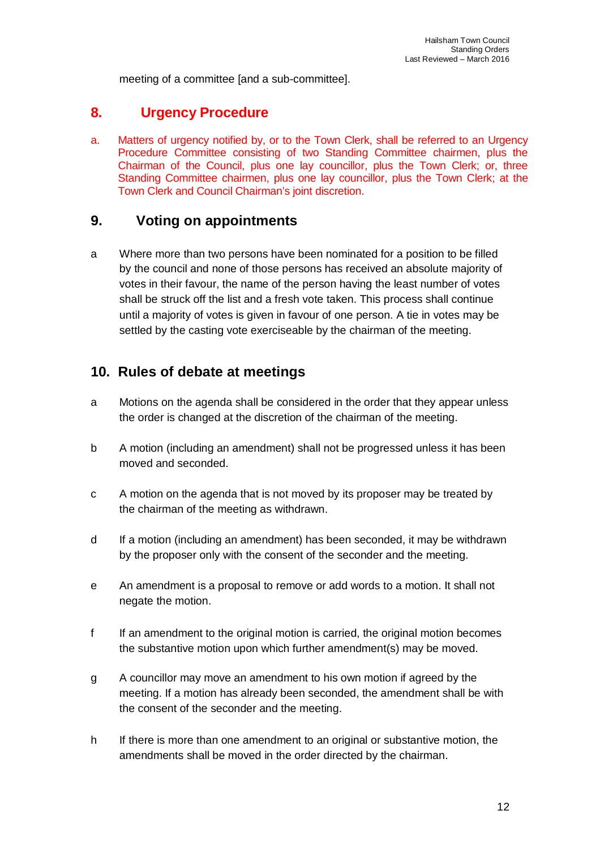meeting of a committee [and a sub-committee].

#### **8. Urgency Procedure**

a. Matters of urgency notified by, or to the Town Clerk, shall be referred to an Urgency Procedure Committee consisting of two Standing Committee chairmen, plus the Chairman of the Council, plus one lay councillor, plus the Town Clerk; or, three Standing Committee chairmen, plus one lay councillor, plus the Town Clerk; at the Town Clerk and Council Chairman's joint discretion.

#### **9. Voting on appointments**

a Where more than two persons have been nominated for a position to be filled by the council and none of those persons has received an absolute majority of votes in their favour, the name of the person having the least number of votes shall be struck off the list and a fresh vote taken. This process shall continue until a majority of votes is given in favour of one person. A tie in votes may be settled by the casting vote exerciseable by the chairman of the meeting.

#### **10. Rules of debate at meetings**

- a Motions on the agenda shall be considered in the order that they appear unless the order is changed at the discretion of the chairman of the meeting.
- b A motion (including an amendment) shall not be progressed unless it has been moved and seconded.
- c A motion on the agenda that is not moved by its proposer may be treated by the chairman of the meeting as withdrawn.
- d If a motion (including an amendment) has been seconded, it may be withdrawn by the proposer only with the consent of the seconder and the meeting.
- e An amendment is a proposal to remove or add words to a motion. It shall not negate the motion.
- f If an amendment to the original motion is carried, the original motion becomes the substantive motion upon which further amendment(s) may be moved.
- g A councillor may move an amendment to his own motion if agreed by the meeting. If a motion has already been seconded, the amendment shall be with the consent of the seconder and the meeting.
- h If there is more than one amendment to an original or substantive motion, the amendments shall be moved in the order directed by the chairman.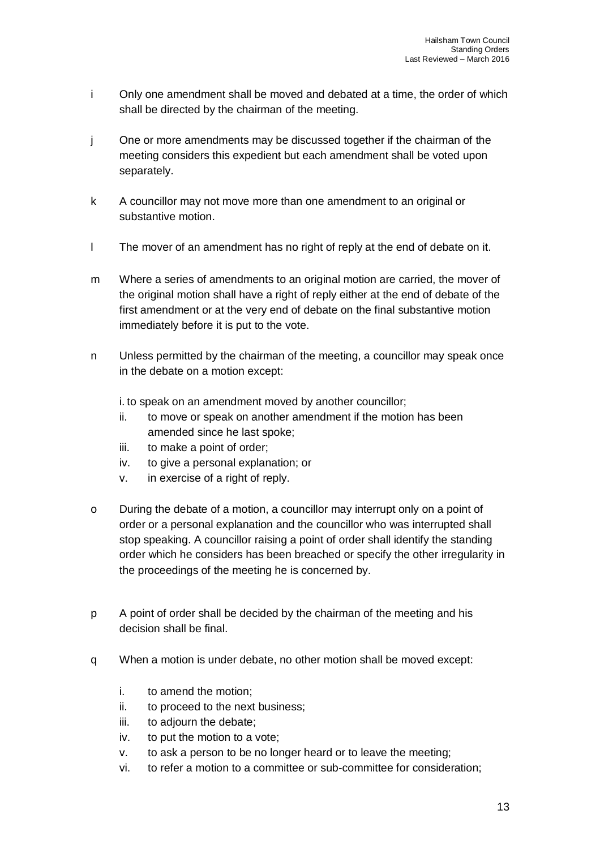- i Only one amendment shall be moved and debated at a time, the order of which shall be directed by the chairman of the meeting.
- j One or more amendments may be discussed together if the chairman of the meeting considers this expedient but each amendment shall be voted upon separately.
- k A councillor may not move more than one amendment to an original or substantive motion.
- l The mover of an amendment has no right of reply at the end of debate on it.
- m Where a series of amendments to an original motion are carried, the mover of the original motion shall have a right of reply either at the end of debate of the first amendment or at the very end of debate on the final substantive motion immediately before it is put to the vote.
- n Unless permitted by the chairman of the meeting, a councillor may speak once in the debate on a motion except:

i. to speak on an amendment moved by another councillor;

- ii. to move or speak on another amendment if the motion has been amended since he last spoke;
- iii. to make a point of order;
- iv. to give a personal explanation; or
- v. in exercise of a right of reply.
- o During the debate of a motion, a councillor may interrupt only on a point of order or a personal explanation and the councillor who was interrupted shall stop speaking. A councillor raising a point of order shall identify the standing order which he considers has been breached or specify the other irregularity in the proceedings of the meeting he is concerned by.
- p A point of order shall be decided by the chairman of the meeting and his decision shall be final.
- q When a motion is under debate, no other motion shall be moved except:
	- i. to amend the motion;
	- ii. to proceed to the next business;
	- iii. to adjourn the debate;
	- iv. to put the motion to a vote;
	- v. to ask a person to be no longer heard or to leave the meeting;
	- vi. to refer a motion to a committee or sub-committee for consideration;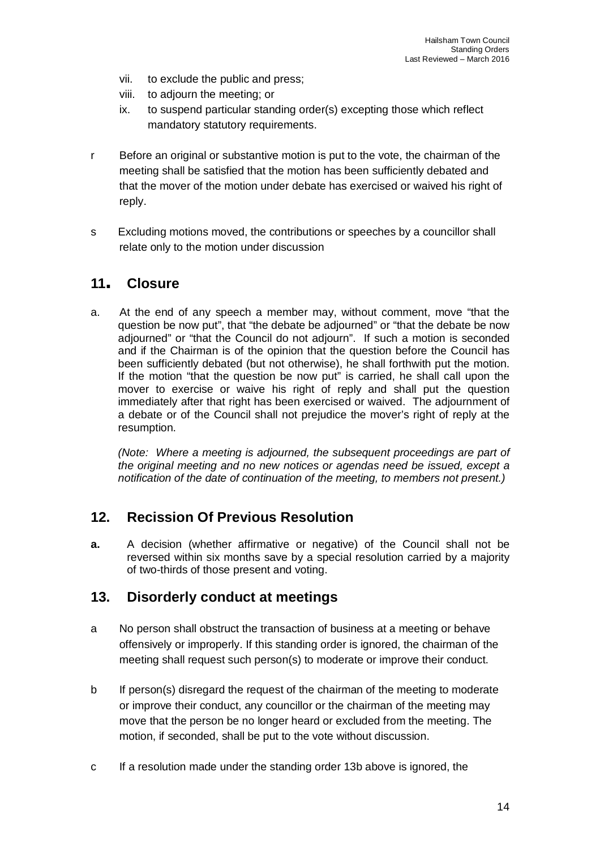- vii. to exclude the public and press;
- viii. to adjourn the meeting; or
- ix. to suspend particular standing order(s) excepting those which reflect mandatory statutory requirements.
- r Before an original or substantive motion is put to the vote, the chairman of the meeting shall be satisfied that the motion has been sufficiently debated and that the mover of the motion under debate has exercised or waived his right of reply.
- s Excluding motions moved, the contributions or speeches by a councillor shall relate only to the motion under discussion

#### **<sup>11</sup>. Closure**

a. At the end of any speech a member may, without comment, move "that the question be now put", that "the debate be adjourned" or "that the debate be now adjourned" or "that the Council do not adjourn". If such a motion is seconded and if the Chairman is of the opinion that the question before the Council has been sufficiently debated (but not otherwise), he shall forthwith put the motion. If the motion "that the question be now put" is carried, he shall call upon the mover to exercise or waive his right of reply and shall put the question immediately after that right has been exercised or waived. The adjournment of a debate or of the Council shall not prejudice the mover's right of reply at the resumption.

*(Note: Where a meeting is adjourned, the subsequent proceedings are part of the original meeting and no new notices or agendas need be issued, except a notification of the date of continuation of the meeting, to members not present.)*

## **12. Recission Of Previous Resolution**

**a.** A decision (whether affirmative or negative) of the Council shall not be reversed within six months save by a special resolution carried by a majority of two-thirds of those present and voting.

#### **13. Disorderly conduct at meetings**

- a No person shall obstruct the transaction of business at a meeting or behave offensively or improperly. If this standing order is ignored, the chairman of the meeting shall request such person(s) to moderate or improve their conduct.
- b If person(s) disregard the request of the chairman of the meeting to moderate or improve their conduct, any councillor or the chairman of the meeting may move that the person be no longer heard or excluded from the meeting. The motion, if seconded, shall be put to the vote without discussion.
- c If a resolution made under the standing order 13b above is ignored, the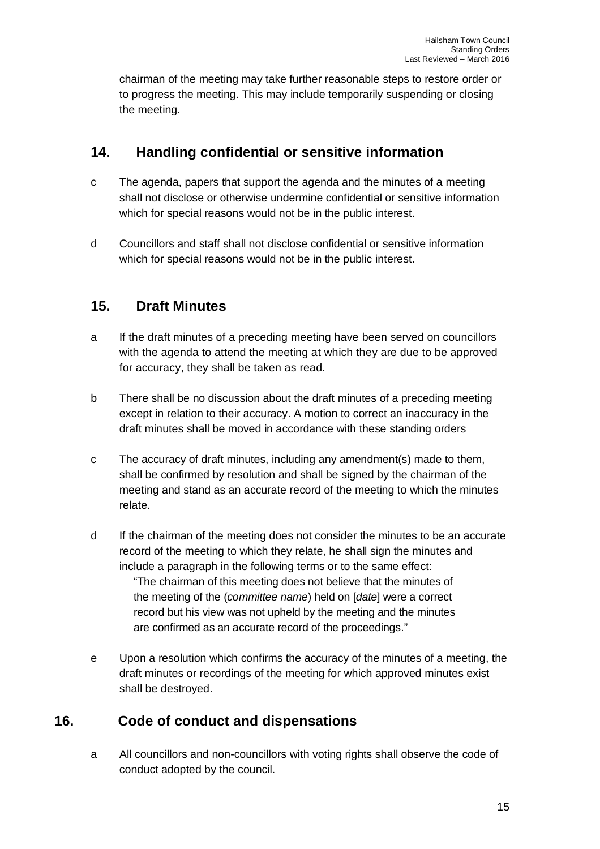chairman of the meeting may take further reasonable steps to restore order or to progress the meeting. This may include temporarily suspending or closing the meeting.

### **14. Handling confidential or sensitive information**

- c The agenda, papers that support the agenda and the minutes of a meeting shall not disclose or otherwise undermine confidential or sensitive information which for special reasons would not be in the public interest.
- d Councillors and staff shall not disclose confidential or sensitive information which for special reasons would not be in the public interest.

#### **15. Draft Minutes**

- a If the draft minutes of a preceding meeting have been served on councillors with the agenda to attend the meeting at which they are due to be approved for accuracy, they shall be taken as read.
- b There shall be no discussion about the draft minutes of a preceding meeting except in relation to their accuracy. A motion to correct an inaccuracy in the draft minutes shall be moved in accordance with these standing orders
- c The accuracy of draft minutes, including any amendment(s) made to them, shall be confirmed by resolution and shall be signed by the chairman of the meeting and stand as an accurate record of the meeting to which the minutes relate.
- d If the chairman of the meeting does not consider the minutes to be an accurate record of the meeting to which they relate, he shall sign the minutes and include a paragraph in the following terms or to the same effect: "The chairman of this meeting does not believe that the minutes of the meeting of the (*committee name*) held on [*date*] were a correct record but his view was not upheld by the meeting and the minutes are confirmed as an accurate record of the proceedings."
- e Upon a resolution which confirms the accuracy of the minutes of a meeting, the draft minutes or recordings of the meeting for which approved minutes exist shall be destroyed.

## **16. Code of conduct and dispensations**

a All councillors and non-councillors with voting rights shall observe the code of conduct adopted by the council.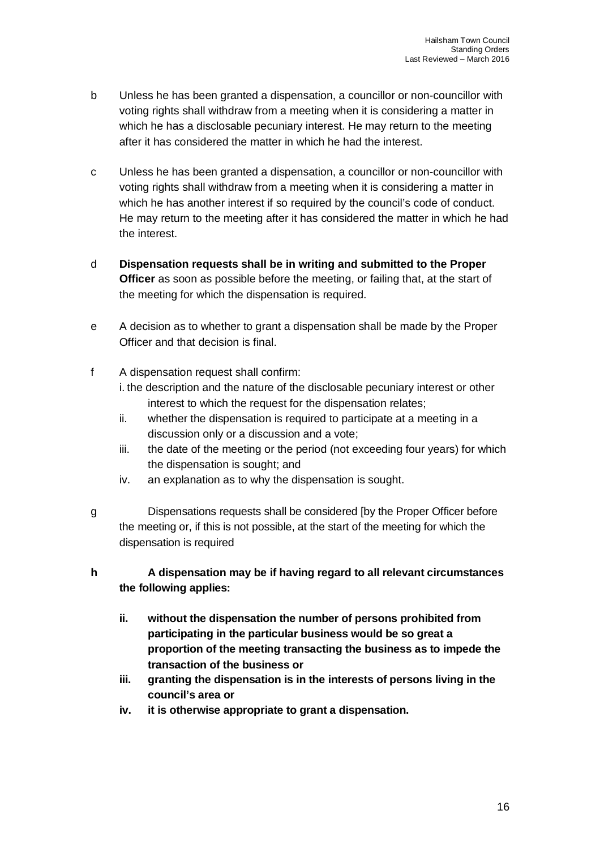- b Unless he has been granted a dispensation, a councillor or non-councillor with voting rights shall withdraw from a meeting when it is considering a matter in which he has a disclosable pecuniary interest. He may return to the meeting after it has considered the matter in which he had the interest.
- c Unless he has been granted a dispensation, a councillor or non-councillor with voting rights shall withdraw from a meeting when it is considering a matter in which he has another interest if so required by the council's code of conduct. He may return to the meeting after it has considered the matter in which he had the interest.
- d **Dispensation requests shall be in writing and submitted to the Proper Officer** as soon as possible before the meeting, or failing that, at the start of the meeting for which the dispensation is required.
- e A decision as to whether to grant a dispensation shall be made by the Proper Officer and that decision is final.
- f A dispensation request shall confirm:
	- i. the description and the nature of the disclosable pecuniary interest or other interest to which the request for the dispensation relates;
	- ii. whether the dispensation is required to participate at a meeting in a discussion only or a discussion and a vote;
	- iii. the date of the meeting or the period (not exceeding four years) for which the dispensation is sought; and
	- iv. an explanation as to why the dispensation is sought.
- g Dispensations requests shall be considered [by the Proper Officer before the meeting or, if this is not possible, at the start of the meeting for which the dispensation is required

#### **h A dispensation may be if having regard to all relevant circumstances the following applies:**

- **ii. without the dispensation the number of persons prohibited from participating in the particular business would be so great a proportion of the meeting transacting the business as to impede the transaction of the business or**
- **iii. granting the dispensation is in the interests of persons living in the council's area or**
- **iv. it is otherwise appropriate to grant a dispensation.**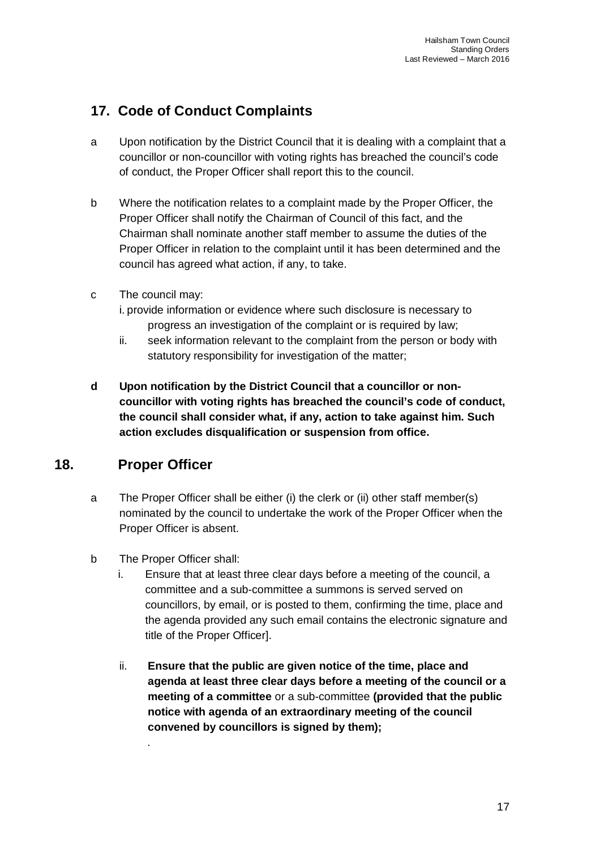## **17. Code of Conduct Complaints**

- a Upon notification by the District Council that it is dealing with a complaint that a councillor or non-councillor with voting rights has breached the council's code of conduct, the Proper Officer shall report this to the council.
- b Where the notification relates to a complaint made by the Proper Officer, the Proper Officer shall notify the Chairman of Council of this fact, and the Chairman shall nominate another staff member to assume the duties of the Proper Officer in relation to the complaint until it has been determined and the council has agreed what action, if any, to take.
- c The council may:
	- i. provide information or evidence where such disclosure is necessary to progress an investigation of the complaint or is required by law;
	- ii. seek information relevant to the complaint from the person or body with statutory responsibility for investigation of the matter;
- **d Upon notification by the District Council that a councillor or noncouncillor with voting rights has breached the council's code of conduct, the council shall consider what, if any, action to take against him. Such action excludes disqualification or suspension from office.**

## **18. Proper Officer**

- a The Proper Officer shall be either (i) the clerk or (ii) other staff member(s) nominated by the council to undertake the work of the Proper Officer when the Proper Officer is absent.
- b The Proper Officer shall:

*.*

- i. Ensure that at least three clear days before a meeting of the council, a committee and a sub-committee a summons is served served on councillors, by email, or is posted to them, confirming the time, place and the agenda provided any such email contains the electronic signature and title of the Proper Officer].
- ii. **Ensure that the public are given notice of the time, place and agenda at least three clear days before a meeting of the council or a meeting of a committee** or a sub-committee **(provided that the public notice with agenda of an extraordinary meeting of the council convened by councillors is signed by them);**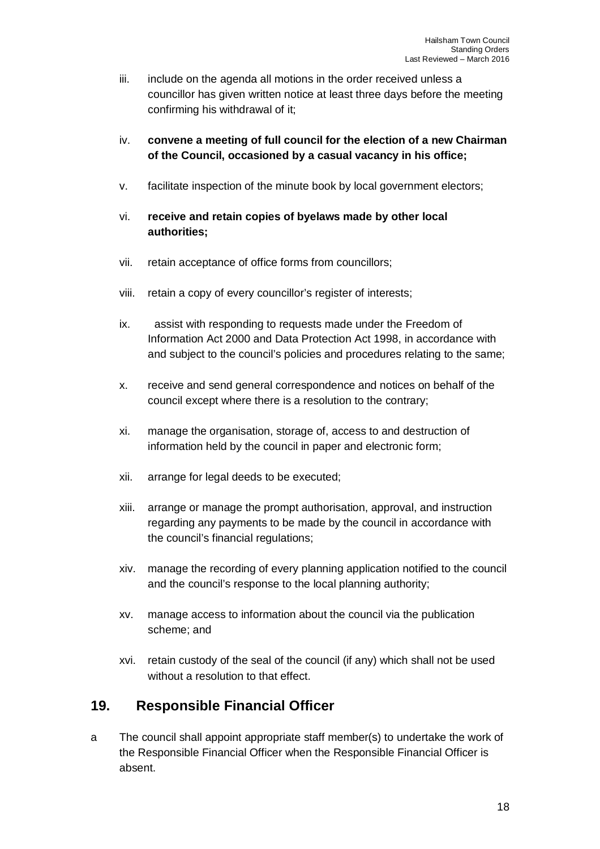- iii. include on the agenda all motions in the order received unless a councillor has given written notice at least three days before the meeting confirming his withdrawal of it;
- iv. **convene a meeting of full council for the election of a new Chairman of the Council, occasioned by a casual vacancy in his office;**
- v. facilitate inspection of the minute book by local government electors;
- vi. **receive and retain copies of byelaws made by other local authorities;**
- vii. retain acceptance of office forms from councillors;
- viii. retain a copy of every councillor's register of interests;
- ix. assist with responding to requests made under the Freedom of Information Act 2000 and Data Protection Act 1998, in accordance with and subject to the council's policies and procedures relating to the same;
- x. receive and send general correspondence and notices on behalf of the council except where there is a resolution to the contrary;
- xi. manage the organisation, storage of, access to and destruction of information held by the council in paper and electronic form;
- xii. arrange for legal deeds to be executed;
- xiii. arrange or manage the prompt authorisation, approval, and instruction regarding any payments to be made by the council in accordance with the council's financial regulations;
- xiv. manage the recording of every planning application notified to the council and the council's response to the local planning authority;
- xv. manage access to information about the council via the publication scheme; and
- xvi. retain custody of the seal of the council (if any) which shall not be used without a resolution to that effect.

#### **19. Responsible Financial Officer**

a The council shall appoint appropriate staff member(s) to undertake the work of the Responsible Financial Officer when the Responsible Financial Officer is absent.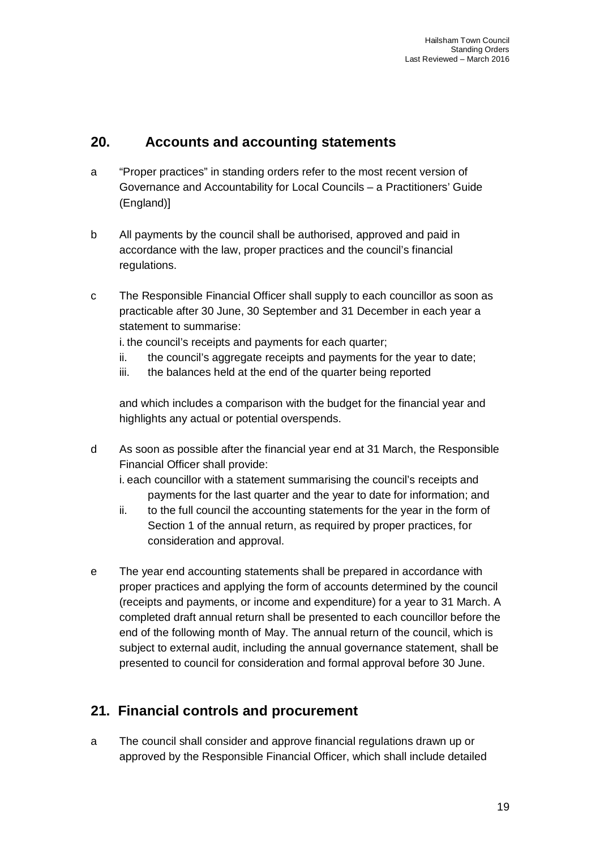## **20. Accounts and accounting statements**

- a "Proper practices" in standing orders refer to the most recent version of Governance and Accountability for Local Councils – a Practitioners' Guide (England)]
- b All payments by the council shall be authorised, approved and paid in accordance with the law, proper practices and the council's financial regulations.
- c The Responsible Financial Officer shall supply to each councillor as soon as practicable after 30 June, 30 September and 31 December in each year a statement to summarise:
	- i. the council's receipts and payments for each quarter;
	- ii. the council's aggregate receipts and payments for the year to date;
	- iii. the balances held at the end of the quarter being reported

and which includes a comparison with the budget for the financial year and highlights any actual or potential overspends.

d As soon as possible after the financial year end at 31 March, the Responsible Financial Officer shall provide:

i. each councillor with a statement summarising the council's receipts and payments for the last quarter and the year to date for information; and

- ii. to the full council the accounting statements for the year in the form of Section 1 of the annual return, as required by proper practices, for consideration and approval.
- e The year end accounting statements shall be prepared in accordance with proper practices and applying the form of accounts determined by the council (receipts and payments, or income and expenditure) for a year to 31 March. A completed draft annual return shall be presented to each councillor before the end of the following month of May. The annual return of the council, which is subject to external audit, including the annual governance statement, shall be presented to council for consideration and formal approval before 30 June.

## **21. Financial controls and procurement**

a The council shall consider and approve financial regulations drawn up or approved by the Responsible Financial Officer, which shall include detailed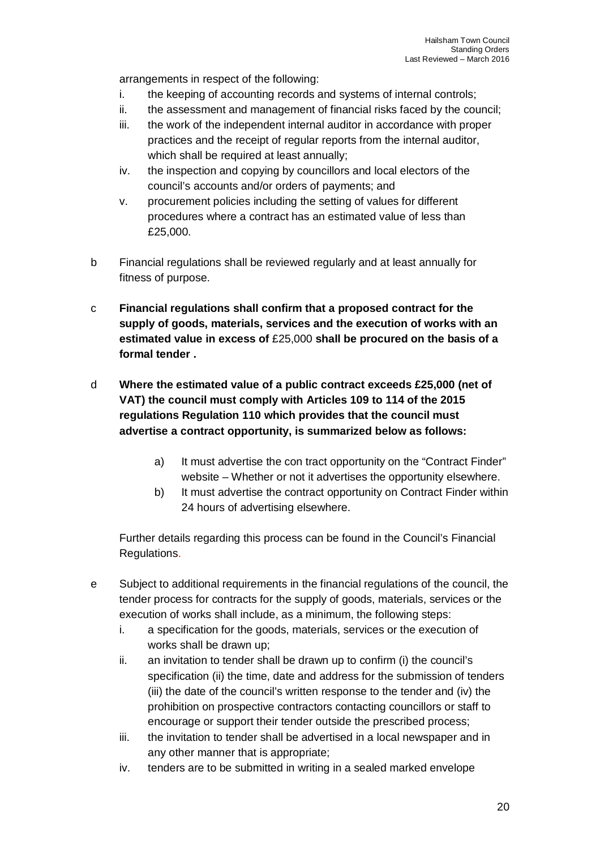arrangements in respect of the following:

- i. the keeping of accounting records and systems of internal controls;
- ii. the assessment and management of financial risks faced by the council;
- iii. the work of the independent internal auditor in accordance with proper practices and the receipt of regular reports from the internal auditor, which shall be required at least annually;
- iv. the inspection and copying by councillors and local electors of the council's accounts and/or orders of payments; and
- v. procurement policies including the setting of values for different procedures where a contract has an estimated value of less than £25,000.
- b Financial regulations shall be reviewed regularly and at least annually for fitness of purpose.
- c **Financial regulations shall confirm that a proposed contract for the supply of goods, materials, services and the execution of works with an estimated value in excess of** £25,000 **shall be procured on the basis of a formal tender .**
- d **Where the estimated value of a public contract exceeds £25,000 (net of VAT) the council must comply with Articles 109 to 114 of the 2015 regulations Regulation 110 which provides that the council must advertise a contract opportunity, is summarized below as follows:**
	- a) It must advertise the con tract opportunity on the "Contract Finder" website – Whether or not it advertises the opportunity elsewhere.
	- b) It must advertise the contract opportunity on Contract Finder within 24 hours of advertising elsewhere.

Further details regarding this process can be found in the Council's Financial Regulations.

- e Subject to additional requirements in the financial regulations of the council, the tender process for contracts for the supply of goods, materials, services or the execution of works shall include, as a minimum, the following steps:
	- i. a specification for the goods, materials, services or the execution of works shall be drawn up;
	- ii. an invitation to tender shall be drawn up to confirm (i) the council's specification (ii) the time, date and address for the submission of tenders (iii) the date of the council's written response to the tender and (iv) the prohibition on prospective contractors contacting councillors or staff to encourage or support their tender outside the prescribed process;
	- iii. the invitation to tender shall be advertised in a local newspaper and in any other manner that is appropriate;
	- iv. tenders are to be submitted in writing in a sealed marked envelope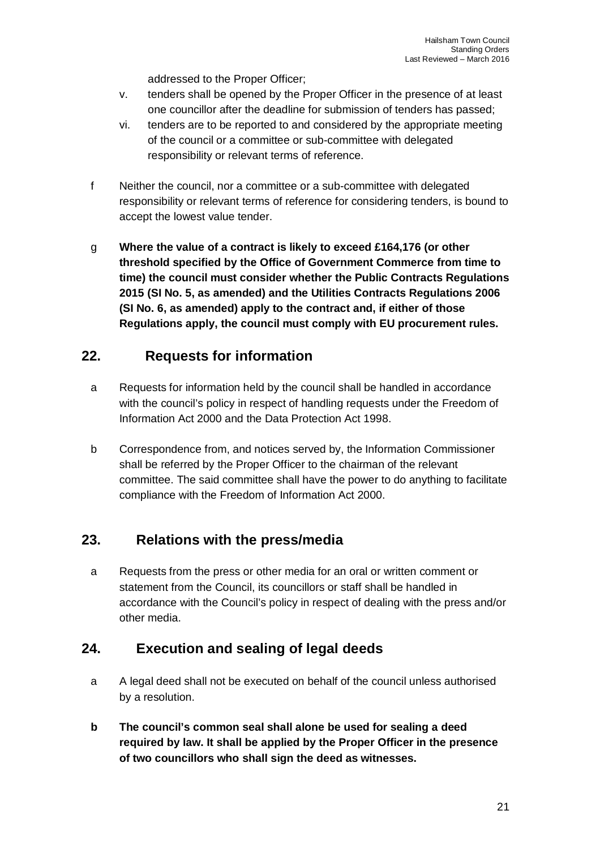addressed to the Proper Officer;

- v. tenders shall be opened by the Proper Officer in the presence of at least one councillor after the deadline for submission of tenders has passed;
- vi. tenders are to be reported to and considered by the appropriate meeting of the council or a committee or sub-committee with delegated responsibility or relevant terms of reference.
- f Neither the council, nor a committee or a sub-committee with delegated responsibility or relevant terms of reference for considering tenders, is bound to accept the lowest value tender.
- g **Where the value of a contract is likely to exceed £164,176 (or other threshold specified by the Office of Government Commerce from time to time) the council must consider whether the Public Contracts Regulations 2015 (SI No. 5, as amended) and the Utilities Contracts Regulations 2006 (SI No. 6, as amended) apply to the contract and, if either of those Regulations apply, the council must comply with EU procurement rules.**

#### **22. Requests for information**

- a Requests for information held by the council shall be handled in accordance with the council's policy in respect of handling requests under the Freedom of Information Act 2000 and the Data Protection Act 1998.
- b Correspondence from, and notices served by, the Information Commissioner shall be referred by the Proper Officer to the chairman of the relevant committee. The said committee shall have the power to do anything to facilitate compliance with the Freedom of Information Act 2000.

## **23. Relations with the press/media**

a Requests from the press or other media for an oral or written comment or statement from the Council, its councillors or staff shall be handled in accordance with the Council's policy in respect of dealing with the press and/or other media.

## **24. Execution and sealing of legal deeds**

- a A legal deed shall not be executed on behalf of the council unless authorised by a resolution.
- **b The council's common seal shall alone be used for sealing a deed required by law. It shall be applied by the Proper Officer in the presence of two councillors who shall sign the deed as witnesses.**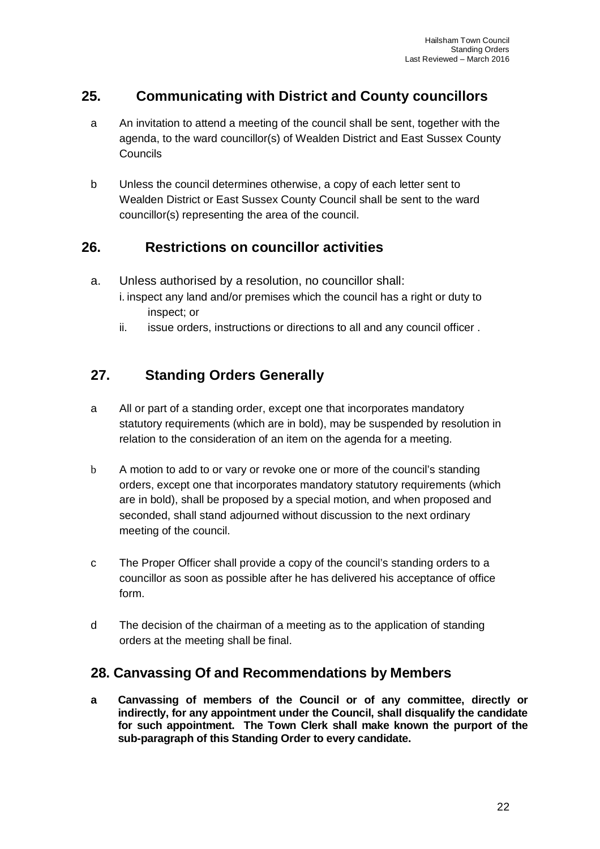## **25. Communicating with District and County councillors**

- a An invitation to attend a meeting of the council shall be sent, together with the agenda, to the ward councillor(s) of Wealden District and East Sussex County Councils
- b Unless the council determines otherwise, a copy of each letter sent to Wealden District or East Sussex County Council shall be sent to the ward councillor(s) representing the area of the council.

## **26. Restrictions on councillor activities**

- a. Unless authorised by a resolution, no councillor shall:
	- i. inspect any land and/or premises which the council has a right or duty to inspect; or
	- ii. issue orders, instructions or directions to all and any council officer .

## **27. Standing Orders Generally**

- a All or part of a standing order, except one that incorporates mandatory statutory requirements (which are in bold), may be suspended by resolution in relation to the consideration of an item on the agenda for a meeting.
- b A motion to add to or vary or revoke one or more of the council's standing orders, except one that incorporates mandatory statutory requirements (which are in bold), shall be proposed by a special motion, and when proposed and seconded, shall stand adjourned without discussion to the next ordinary meeting of the council.
- c The Proper Officer shall provide a copy of the council's standing orders to a councillor as soon as possible after he has delivered his acceptance of office form.
- d The decision of the chairman of a meeting as to the application of standing orders at the meeting shall be final.

#### **28. Canvassing Of and Recommendations by Members**

**a Canvassing of members of the Council or of any committee, directly or indirectly, for any appointment under the Council, shall disqualify the candidate for such appointment. The Town Clerk shall make known the purport of the sub-paragraph of this Standing Order to every candidate.**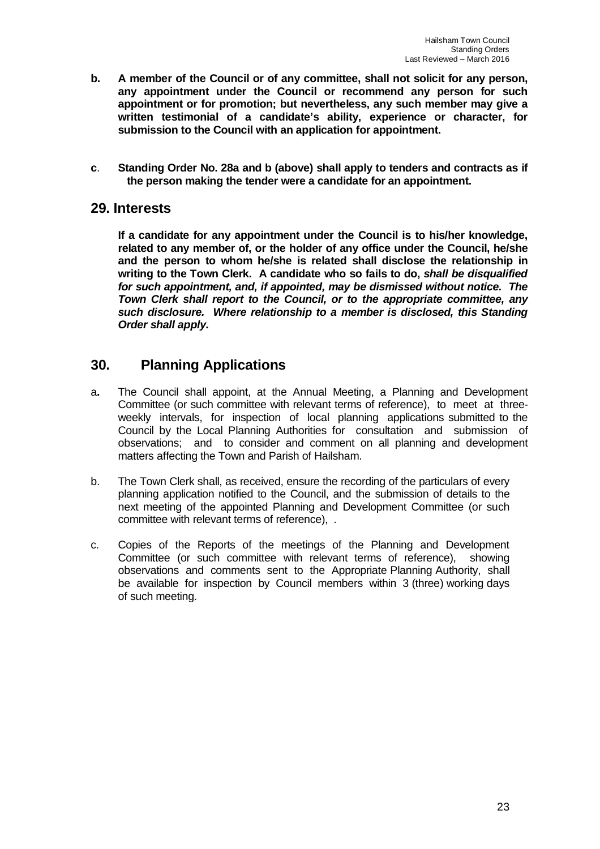- **b. A member of the Council or of any committee, shall not solicit for any person, any appointment under the Council or recommend any person for such appointment or for promotion; but nevertheless, any such member may give a written testimonial of a candidate's ability, experience or character, for submission to the Council with an application for appointment.**
- **c**. **Standing Order No. 28a and b (above) shall apply to tenders and contracts as if the person making the tender were a candidate for an appointment.**

#### **29. Interests**

**If a candidate for any appointment under the Council is to his/her knowledge, related to any member of, or the holder of any office under the Council, he/she and the person to whom he/she is related shall disclose the relationship in writing to the Town Clerk. A candidate who so fails to do,** *shall be disqualified for such appointment, and, if appointed, may be dismissed without notice. The Town Clerk shall report to the Council, or to the appropriate committee, any such disclosure. Where relationship to a member is disclosed, this Standing Order shall apply.*

#### **30. Planning Applications**

- a**.** The Council shall appoint, at the Annual Meeting, a Planning and Development Committee (or such committee with relevant terms of reference), to meet at threeweekly intervals, for inspection of local planning applications submitted to the Council by the Local Planning Authorities for consultation and submission of observations; and to consider and comment on all planning and development matters affecting the Town and Parish of Hailsham.
- b. The Town Clerk shall, as received, ensure the recording of the particulars of every planning application notified to the Council, and the submission of details to the next meeting of the appointed Planning and Development Committee (or such committee with relevant terms of reference), .
- c. Copies of the Reports of the meetings of the Planning and Development Committee (or such committee with relevant terms of reference), showing observations and comments sent to the Appropriate Planning Authority, shall be available for inspection by Council members within 3 (three) working days of such meeting.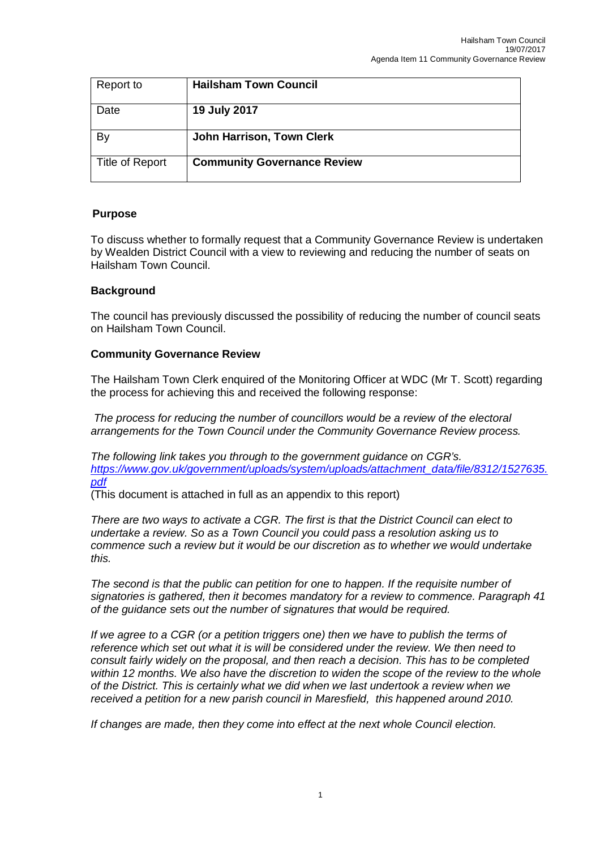| Report to       | <b>Hailsham Town Council</b>       |
|-----------------|------------------------------------|
| Date            | 19 July 2017                       |
| By              | John Harrison, Town Clerk          |
| Title of Report | <b>Community Governance Review</b> |

#### **Purpose**

To discuss whether to formally request that a Community Governance Review is undertaken by Wealden District Council with a view to reviewing and reducing the number of seats on Hailsham Town Council.

#### **Background**

The council has previously discussed the possibility of reducing the number of council seats on Hailsham Town Council.

#### **Community Governance Review**

The Hailsham Town Clerk enquired of the Monitoring Officer at WDC (Mr T. Scott) regarding the process for achieving this and received the following response:

*The process for reducing the number of councillors would be a review of the electoral arrangements for the Town Council under the Community Governance Review process.*

*The following link takes you through to the government guidance on CGR's. [https://www.gov.uk/government/uploads/system/uploads/attachment\\_data/file/8312/1527635.](https://www.gov.uk/government/uploads/system/uploads/attachment_data/file/8312/1527635.) pdf*

(This document is attached in full as an appendix to this report)

*There are two ways to activate a CGR. The first is that the District Council can elect to undertake a review. So as a Town Council you could pass a resolution asking us to commence such a review but it would be our discretion as to whether we would undertake this.*

*The second is that the public can petition for one to happen. If the requisite number of signatories is gathered, then it becomes mandatory for a review to commence. Paragraph 41 of the guidance sets out the number of signatures that would be required.* 

*If we agree to a CGR (or a petition triggers one) then we have to publish the terms of reference which set out what it is will be considered under the review. We then need to consult fairly widely on the proposal, and then reach a decision. This has to be completed within 12 months. We also have the discretion to widen the scope of the review to the whole of the District. This is certainly what we did when we last undertook a review when we received a petition for a new parish council in Maresfield, this happened around 2010.* 

*If changes are made, then they come into effect at the next whole Council election.*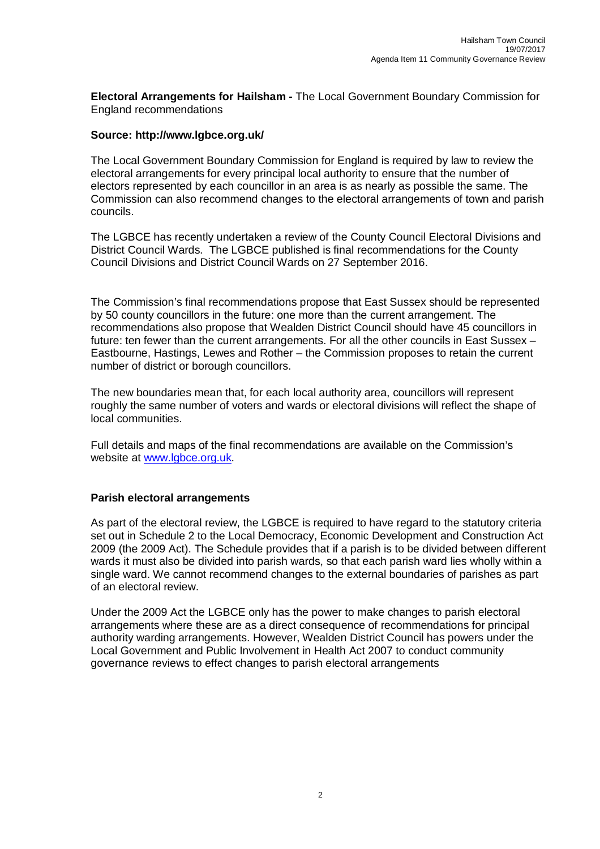**Electoral Arrangements for Hailsham -** The Local Government Boundary Commission for England recommendations

#### **Source:<http://www.lgbce.org.uk/>**

The Local Government Boundary Commission for England is required by law to review the electoral arrangements for every principal local authority to ensure that the number of electors represented by each councillor in an area is as nearly as possible the same. The Commission can also recommend changes to the electoral arrangements of town and parish councils.

The LGBCE has recently undertaken a review of the County Council Electoral Divisions and District Council Wards. The LGBCE published is final recommendations for the County Council Divisions and District Council Wards on 27 September 2016.

The Commission's final recommendations propose that East Sussex should be represented by 50 county councillors in the future: one more than the current arrangement. The recommendations also propose that Wealden District Council should have 45 councillors in future: ten fewer than the current arrangements. For all the other councils in East Sussex – Eastbourne, Hastings, Lewes and Rother – the Commission proposes to retain the current number of district or borough councillors.

The new boundaries mean that, for each local authority area, councillors will represent roughly the same number of voters and wards or electoral divisions will reflect the shape of local communities.

Full details and maps of the final recommendations are available on the Commission's website at [www.lgbce.org.uk.](http://www.lgbce.org.uk.)

#### **Parish electoral arrangements**

As part of the electoral review, the LGBCE is required to have regard to the statutory criteria set out in Schedule 2 to the Local Democracy, Economic Development and Construction Act 2009 (the 2009 Act). The Schedule provides that if a parish is to be divided between different wards it must also be divided into parish wards, so that each parish ward lies wholly within a single ward. We cannot recommend changes to the external boundaries of parishes as part of an electoral review.

Under the 2009 Act the LGBCE only has the power to make changes to parish electoral arrangements where these are as a direct consequence of recommendations for principal authority warding arrangements. However, Wealden District Council has powers under the Local Government and Public Involvement in Health Act 2007 to conduct community governance reviews to effect changes to parish electoral arrangements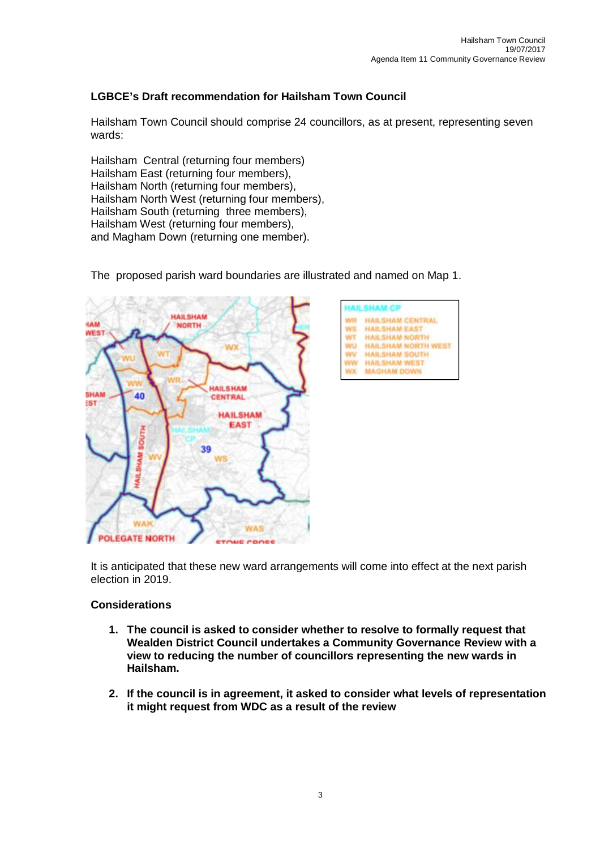#### **LGBCE's Draft recommendation for Hailsham Town Council**

Hailsham Town Council should comprise 24 councillors, as at present, representing seven wards:

Hailsham Central (returning four members) Hailsham East (returning four members), Hailsham North (returning four members), Hailsham North West (returning four members), Hailsham South (returning three members), Hailsham West (returning four members), and Magham Down (returning one member).

The proposed parish ward boundaries are illustrated and named on Map 1.





It is anticipated that these new ward arrangements will come into effect at the next parish election in 2019.

#### **Considerations**

- **1. The council is asked to consider whether to resolve to formally request that Wealden District Council undertakes a Community Governance Review with a view to reducing the number of councillors representing the new wards in Hailsham.**
- **2. If the council is in agreement, it asked to consider what levels of representation it might request from WDC as a result of the review**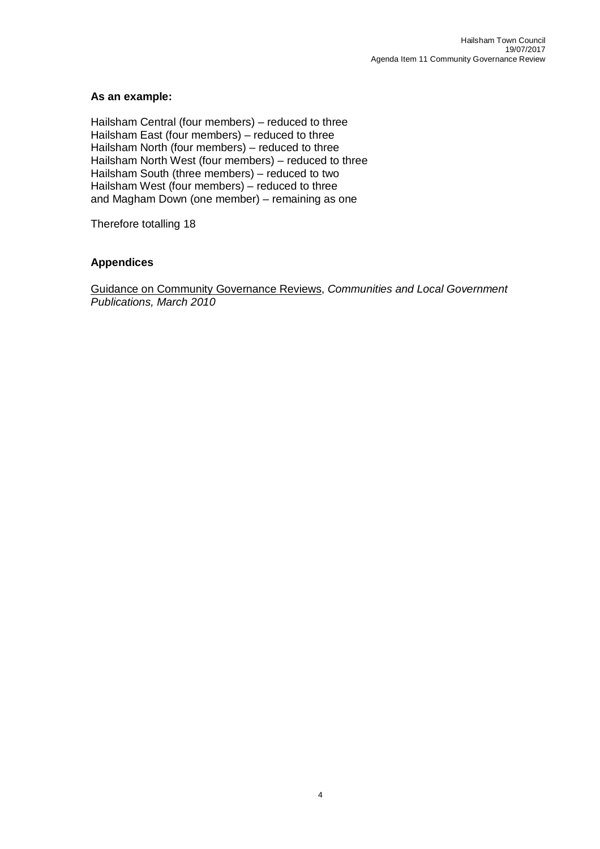#### **As an example:**

Hailsham Central (four members) – reduced to three Hailsham East (four members) – reduced to three Hailsham North (four members) – reduced to three Hailsham North West (four members) – reduced to three Hailsham South (three members) – reduced to two Hailsham West (four members) – reduced to three and Magham Down (one member) – remaining as one

Therefore totalling 18

#### **Appendices**

Guidance on Community Governance Reviews, *Communities and Local Government Publications, March 2010*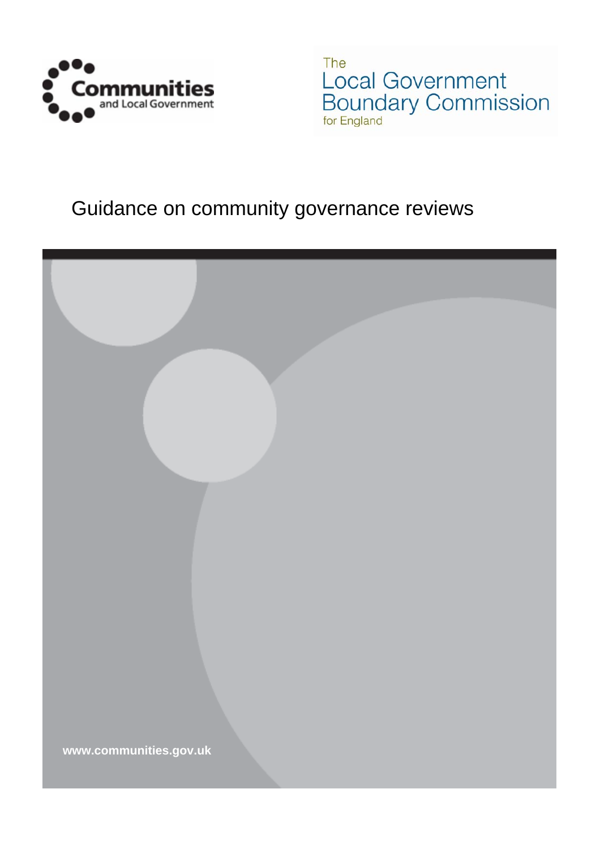

The **Local Government**<br>Boundary Commission

# Guidance on community governance reviews

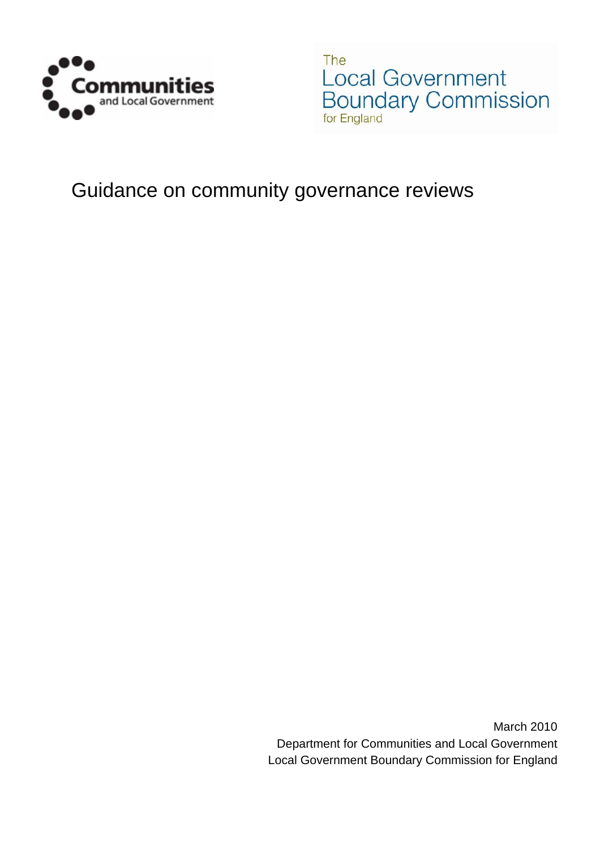

The Local Government Boundary Commission for England

# Guidance on community governance reviews

March 2010 Department for Communities and Local Government Local Government Boundary Commission for England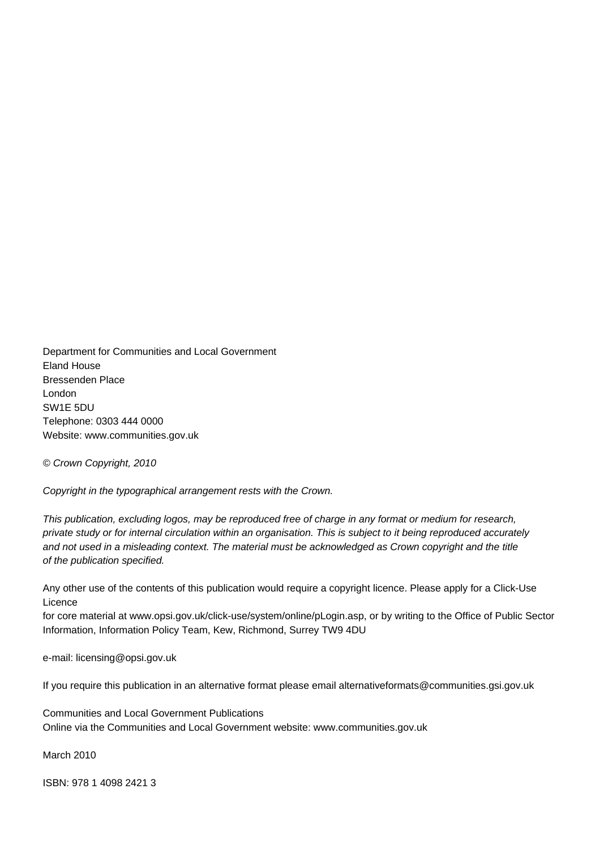Department for Communities and Local Government Eland House Bressenden Place London SW1E 5DU Telephone: 0303 444 0000 Website: www.communities.gov.uk

*© Crown Copyright, 2010* 

*Copyright in the typographical arrangement rests with the Crown.* 

*This publication, excluding logos, may be reproduced free of charge in any format or medium for research, private study or for internal circulation within an organisation. This is subject to it being reproduced accurately*  and not used in a misleading context. The material must be acknowledged as Crown copyright and the title *of the publication specified.* 

Any other use of the contents of this publication would require a copyright licence. Please apply for a Click-Use Licence

for core material at www.opsi.gov.uk/click-use/system/online/pLogin.asp, or by writing to the Office of Public Sector Information, Information Policy Team, Kew, Richmond, Surrey TW9 4DU

e-mail: licensing@opsi.gov.uk

If you require this publication in an alternative format please email alternativeformats@communities.gsi.gov.uk

Communities and Local Government Publications Online via the Communities and Local Government website: www.communities.gov.uk

March 2010

ISBN: 978 1 4098 2421 3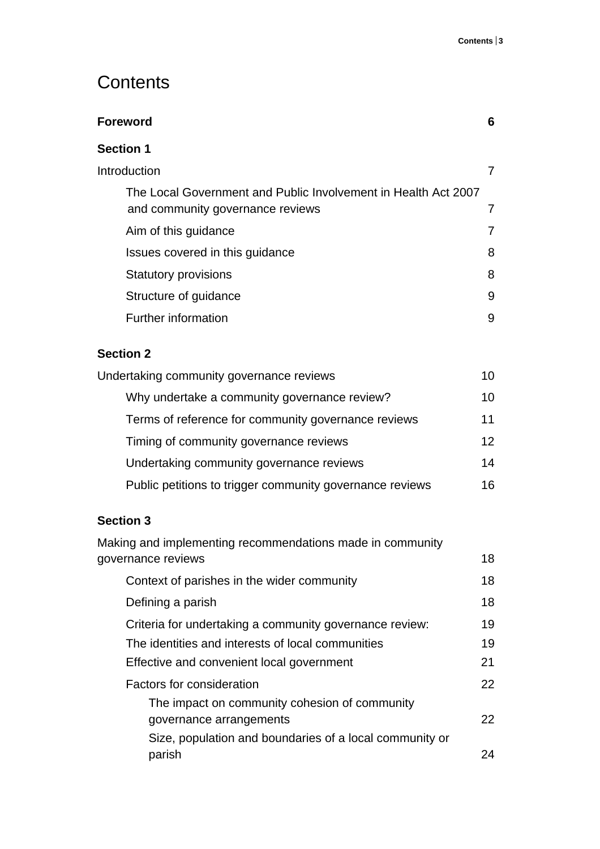# **Contents**

| Foreword                                                                                           | 6 |
|----------------------------------------------------------------------------------------------------|---|
| <b>Section 1</b>                                                                                   |   |
| Introduction                                                                                       |   |
| The Local Government and Public Involvement in Health Act 2007<br>and community governance reviews | 7 |
| Aim of this guidance                                                                               | 7 |
| Issues covered in this guidance                                                                    | 8 |
| <b>Statutory provisions</b>                                                                        | 8 |
| Structure of guidance                                                                              | 9 |
| Further information                                                                                | 9 |
|                                                                                                    |   |

## **Section 2**

| Undertaking community governance reviews                 |                 |
|----------------------------------------------------------|-----------------|
| Why undertake a community governance review?             | 10              |
| Terms of reference for community governance reviews      | 11              |
| Timing of community governance reviews                   | 12 <sup>2</sup> |
| Undertaking community governance reviews                 | 14              |
| Public petitions to trigger community governance reviews | 16.             |

## **Section 3**

| Making and implementing recommendations made in community |    |
|-----------------------------------------------------------|----|
| governance reviews                                        | 18 |
| Context of parishes in the wider community                | 18 |
| Defining a parish                                         | 18 |
| Criteria for undertaking a community governance review:   | 19 |
| The identities and interests of local communities         | 19 |
| Effective and convenient local government                 | 21 |
| Factors for consideration                                 | 22 |
| The impact on community cohesion of community             |    |
| governance arrangements                                   | 22 |
| Size, population and boundaries of a local community or   |    |
| parish                                                    | 24 |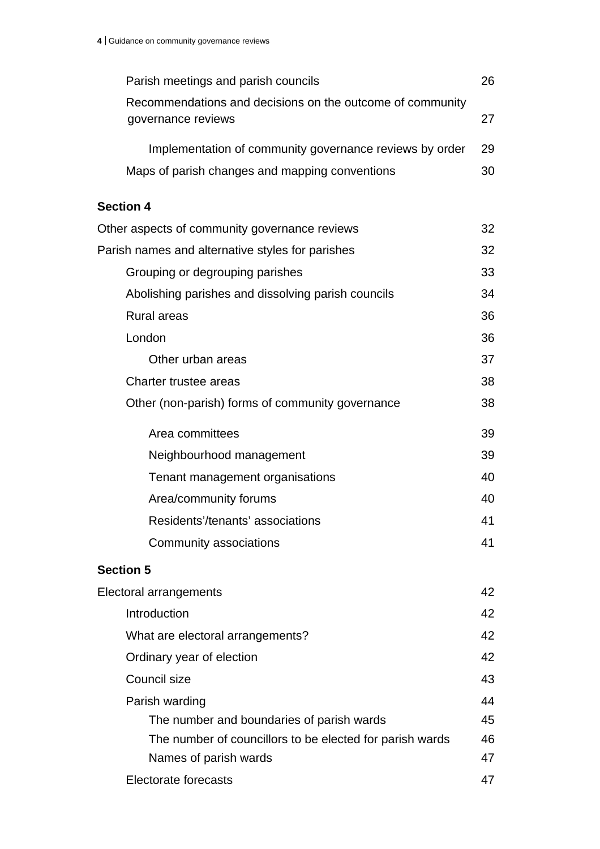| Parish meetings and parish councils                       | 26 |
|-----------------------------------------------------------|----|
| Recommendations and decisions on the outcome of community |    |
| governance reviews                                        | 27 |
| Implementation of community governance reviews by order   | 29 |
| Maps of parish changes and mapping conventions            | 30 |
| <b>Section 4</b>                                          |    |
| Other aspects of community governance reviews             | 32 |
| Parish names and alternative styles for parishes          | 32 |
| Grouping or degrouping parishes                           | 33 |
| Abolishing parishes and dissolving parish councils        | 34 |
| <b>Rural areas</b>                                        | 36 |
| London                                                    | 36 |
| Other urban areas                                         | 37 |
| Charter trustee areas                                     | 38 |
| Other (non-parish) forms of community governance          | 38 |
|                                                           |    |
| Area committees                                           | 39 |
| Neighbourhood management                                  | 39 |
| Tenant management organisations                           | 40 |
| Area/community forums                                     | 40 |
| Residents'/tenants' associations                          | 41 |
| Community associations                                    | 41 |
| <b>Section 5</b>                                          |    |
| <b>Electoral arrangements</b>                             | 42 |
| Introduction                                              | 42 |
| What are electoral arrangements?                          | 42 |
| Ordinary year of election                                 | 42 |
| Council size                                              | 43 |
| Parish warding                                            | 44 |
| The number and boundaries of parish wards                 | 45 |
| The number of councillors to be elected for parish wards  | 46 |
| Names of parish wards                                     | 47 |
| Electorate forecasts                                      | 47 |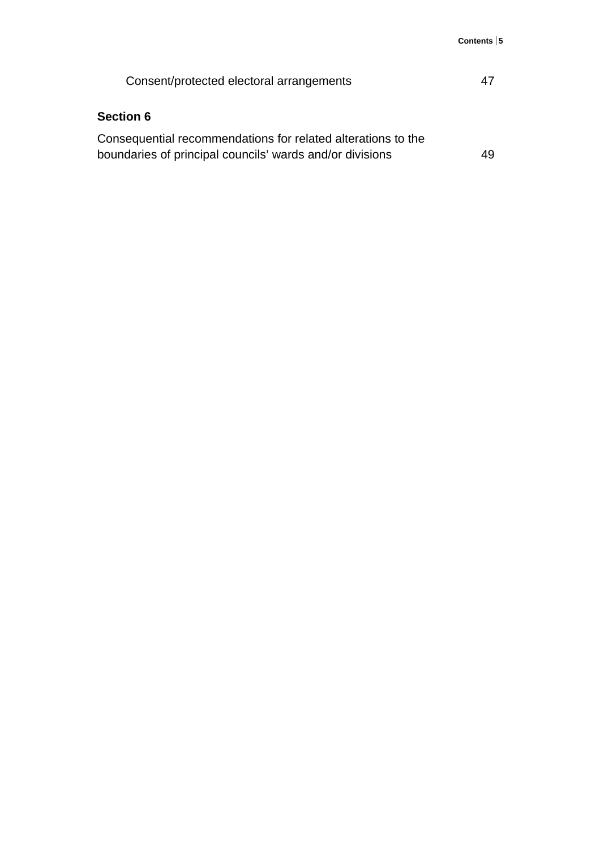| Consent/protected electoral arrangements                     | 47 |
|--------------------------------------------------------------|----|
| <b>Section 6</b>                                             |    |
| Consequential recommendations for related alterations to the |    |
| boundaries of principal councils' wards and/or divisions     | 49 |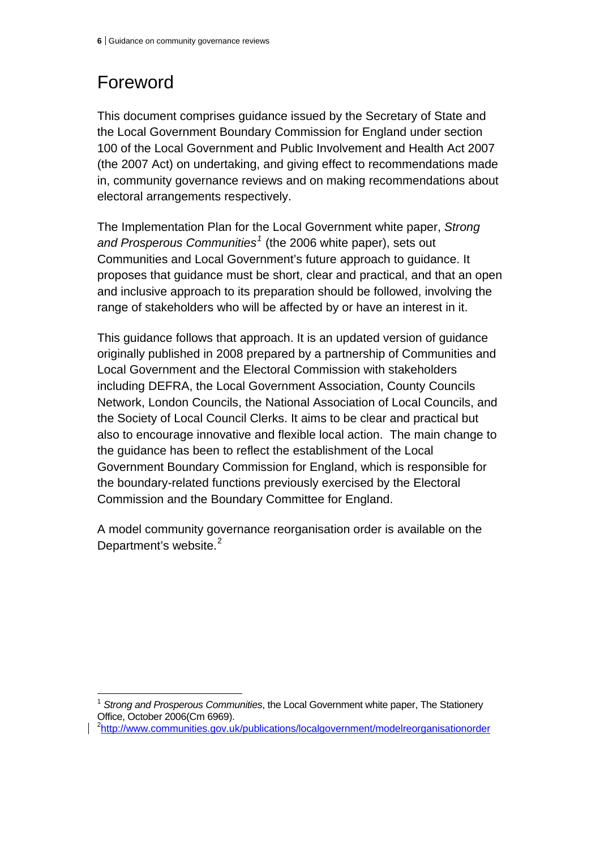# Foreword

This document comprises guidance issued by the Secretary of State and the Local Government Boundary Commission for England under section 100 of the Local Government and Public Involvement and Health Act 2007 (the 2007 Act) on undertaking, and giving effect to recommendations made in, community governance reviews and on making recommendations about electoral arrangements respectively.

The Implementation Plan for the Local Government white paper, *Strong and Prosperous Communities[1](#page-38-0)* (the 2006 white paper), sets out Communities and Local Government's future approach to guidance. It proposes that guidance must be short, clear and practical, and that an open and inclusive approach to its preparation should be followed, involving the range of stakeholders who will be affected by or have an interest in it.

This guidance follows that approach. It is an updated version of guidance originally published in 2008 prepared by a partnership of Communities and Local Government and the Electoral Commission with stakeholders including DEFRA, the Local Government Association, County Councils Network, London Councils, the National Association of Local Councils, and the Society of Local Council Clerks. It aims to be clear and practical but also to encourage innovative and flexible local action. The main change to the guidance has been to reflect the establishment of the Local Government Boundary Commission for England, which is responsible for the boundary-related functions previously exercised by the Electoral Commission and the Boundary Committee for England.

A model community governance reorganisation order is available on the Department's website. $2$ 

<span id="page-38-1"></span>2 <http://www.communities.gov.uk/publications/localgovernment/modelreorganisationorder>

<span id="page-38-0"></span> $\overline{a}$ <sup>1</sup> *Strong and Prosperous Communities*, the Local Government white paper, The Stationery Office, October 2006(Cm 6969).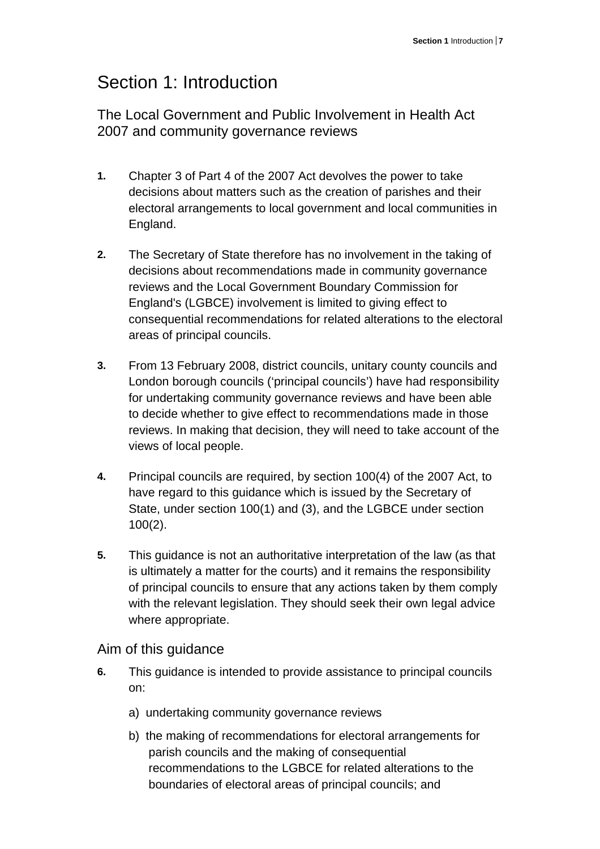# Section 1: Introduction

The Local Government and Public Involvement in Health Act 2007 and community governance reviews

- **1.** Chapter 3 of Part 4 of the 2007 Act devolves the power to take decisions about matters such as the creation of parishes and their electoral arrangements to local government and local communities in England.
- **2.** The Secretary of State therefore has no involvement in the taking of decisions about recommendations made in community governance reviews and the Local Government Boundary Commission for England's (LGBCE) involvement is limited to giving effect to consequential recommendations for related alterations to the electoral areas of principal councils.
- **3.** From 13 February 2008, district councils, unitary county councils and London borough councils ('principal councils') have had responsibility for undertaking community governance reviews and have been able to decide whether to give effect to recommendations made in those reviews. In making that decision, they will need to take account of the views of local people.
- **4.** Principal councils are required, by section 100(4) of the 2007 Act, to have regard to this guidance which is issued by the Secretary of State, under section 100(1) and (3), and the LGBCE under section 100(2).
- **5.** This guidance is not an authoritative interpretation of the law (as that is ultimately a matter for the courts) and it remains the responsibility of principal councils to ensure that any actions taken by them comply with the relevant legislation. They should seek their own legal advice where appropriate.

Aim of this guidance

- **6.** This guidance is intended to provide assistance to principal councils on:
	- a) undertaking community governance reviews
	- b) the making of recommendations for electoral arrangements for parish councils and the making of consequential recommendations to the LGBCE for related alterations to the boundaries of electoral areas of principal councils; and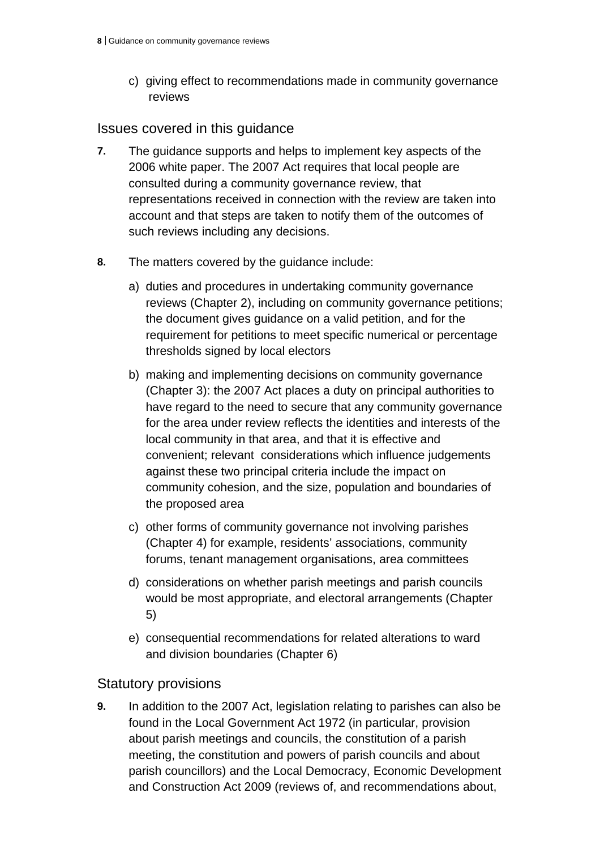c) giving effect to recommendations made in community governance reviews

## Issues covered in this guidance

- **7.** The guidance supports and helps to implement key aspects of the 2006 white paper. The 2007 Act requires that local people are consulted during a community governance review, that representations received in connection with the review are taken into account and that steps are taken to notify them of the outcomes of such reviews including any decisions.
- **8.** The matters covered by the guidance include:
	- a) duties and procedures in undertaking community governance reviews (Chapter 2), including on community governance petitions; the document gives guidance on a valid petition, and for the requirement for petitions to meet specific numerical or percentage thresholds signed by local electors
	- b) making and implementing decisions on community governance (Chapter 3): the 2007 Act places a duty on principal authorities to have regard to the need to secure that any community governance for the area under review reflects the identities and interests of the local community in that area, and that it is effective and convenient; relevant considerations which influence judgements against these two principal criteria include the impact on community cohesion, and the size, population and boundaries of the proposed area
	- c) other forms of community governance not involving parishes (Chapter 4) for example, residents' associations, community forums, tenant management organisations, area committees
	- d) considerations on whether parish meetings and parish councils would be most appropriate, and electoral arrangements (Chapter 5)
	- e) consequential recommendations for related alterations to ward and division boundaries (Chapter 6)

## Statutory provisions

**9.** In addition to the 2007 Act, legislation relating to parishes can also be found in the Local Government Act 1972 (in particular, provision about parish meetings and councils, the constitution of a parish meeting, the constitution and powers of parish councils and about parish councillors) and the Local Democracy, Economic Development and Construction Act 2009 (reviews of, and recommendations about,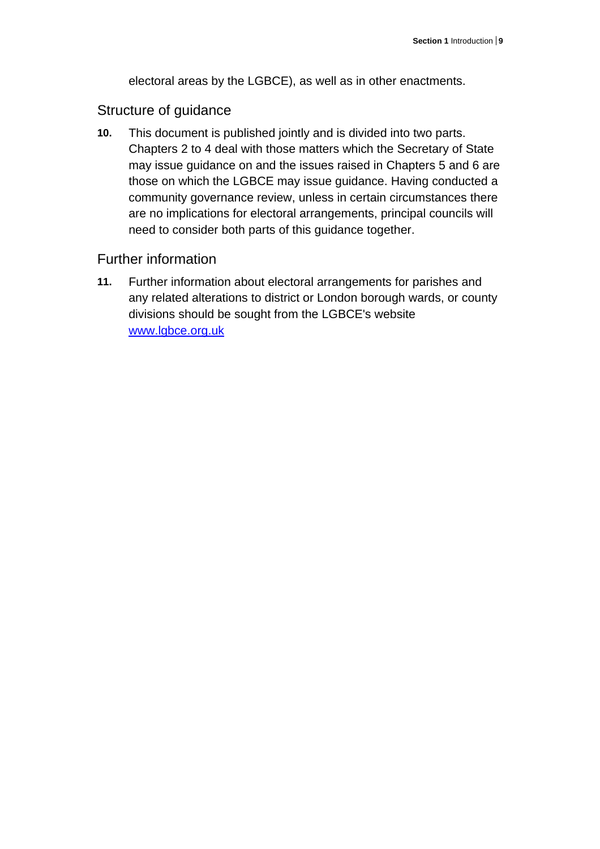electoral areas by the LGBCE), as well as in other enactments.

## Structure of guidance

**10.** This document is published jointly and is divided into two parts. Chapters 2 to 4 deal with those matters which the Secretary of State may issue guidance on and the issues raised in Chapters 5 and 6 are those on which the LGBCE may issue guidance. Having conducted a community governance review, unless in certain circumstances there are no implications for electoral arrangements, principal councils will need to consider both parts of this guidance together.

## Further information

**11.** Further information about electoral arrangements for parishes and any related alterations to district or London borough wards, or county divisions should be sought from the LGBCE's website www.lgbce.org.uk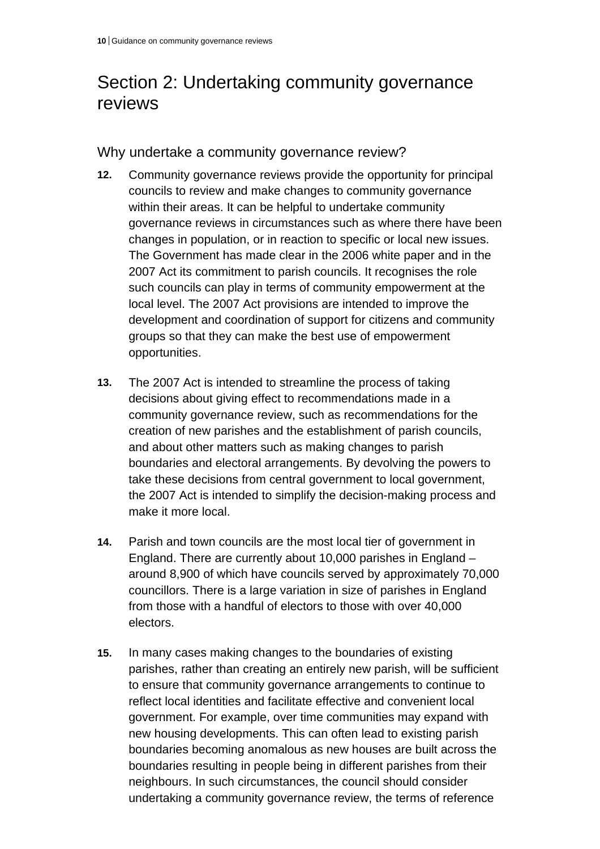# Section 2: Undertaking community governance reviews

Why undertake a community governance review?

- **12.** Community governance reviews provide the opportunity for principal councils to review and make changes to community governance within their areas. It can be helpful to undertake community governance reviews in circumstances such as where there have been changes in population, or in reaction to specific or local new issues. The Government has made clear in the 2006 white paper and in the 2007 Act its commitment to parish councils. It recognises the role such councils can play in terms of community empowerment at the local level. The 2007 Act provisions are intended to improve the development and coordination of support for citizens and community groups so that they can make the best use of empowerment opportunities.
- **13.** The 2007 Act is intended to streamline the process of taking decisions about giving effect to recommendations made in a community governance review, such as recommendations for the creation of new parishes and the establishment of parish councils, and about other matters such as making changes to parish boundaries and electoral arrangements. By devolving the powers to take these decisions from central government to local government, the 2007 Act is intended to simplify the decision-making process and make it more local.
- **14.** Parish and town councils are the most local tier of government in England. There are currently about 10,000 parishes in England – around 8,900 of which have councils served by approximately 70,000 councillors. There is a large variation in size of parishes in England from those with a handful of electors to those with over 40,000 electors.
- **15.** In many cases making changes to the boundaries of existing parishes, rather than creating an entirely new parish, will be sufficient to ensure that community governance arrangements to continue to reflect local identities and facilitate effective and convenient local government. For example, over time communities may expand with new housing developments. This can often lead to existing parish boundaries becoming anomalous as new houses are built across the boundaries resulting in people being in different parishes from their neighbours. In such circumstances, the council should consider undertaking a community governance review, the terms of reference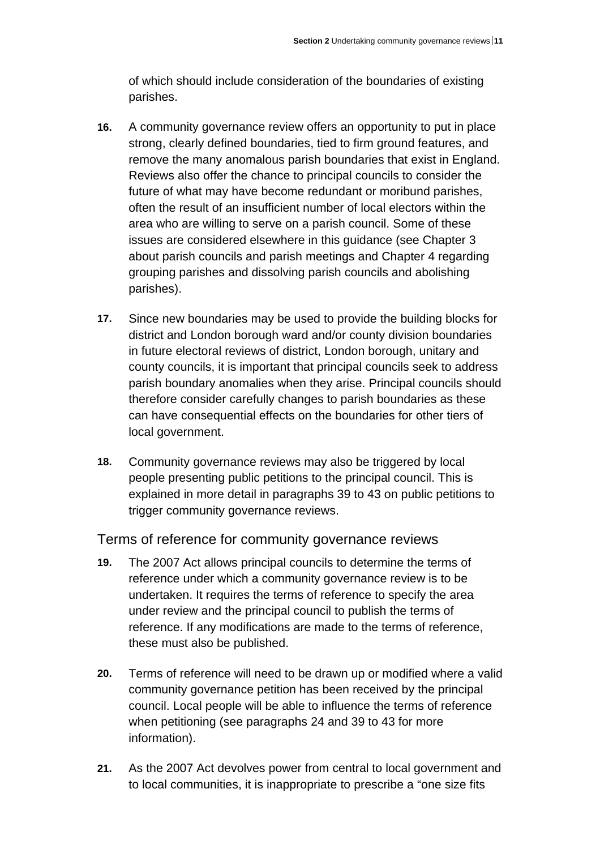of which should include consideration of the boundaries of existing parishes.

- **16.** A community governance review offers an opportunity to put in place strong, clearly defined boundaries, tied to firm ground features, and remove the many anomalous parish boundaries that exist in England. Reviews also offer the chance to principal councils to consider the future of what may have become redundant or moribund parishes, often the result of an insufficient number of local electors within the area who are willing to serve on a parish council. Some of these issues are considered elsewhere in this guidance (see Chapter 3 about parish councils and parish meetings and Chapter 4 regarding grouping parishes and dissolving parish councils and abolishing parishes).
- **17.** Since new boundaries may be used to provide the building blocks for district and London borough ward and/or county division boundaries in future electoral reviews of district, London borough, unitary and county councils, it is important that principal councils seek to address parish boundary anomalies when they arise. Principal councils should therefore consider carefully changes to parish boundaries as these can have consequential effects on the boundaries for other tiers of local government.
- **18.** Community governance reviews may also be triggered by local people presenting public petitions to the principal council. This is explained in more detail in paragraphs 39 to 43 on public petitions to trigger community governance reviews.

Terms of reference for community governance reviews

- **19.** The 2007 Act allows principal councils to determine the terms of reference under which a community governance review is to be undertaken. It requires the terms of reference to specify the area under review and the principal council to publish the terms of reference. If any modifications are made to the terms of reference, these must also be published.
- **20.** Terms of reference will need to be drawn up or modified where a valid community governance petition has been received by the principal council. Local people will be able to influence the terms of reference when petitioning (see paragraphs 24 and 39 to 43 for more information).
- **21.** As the 2007 Act devolves power from central to local government and to local communities, it is inappropriate to prescribe a "one size fits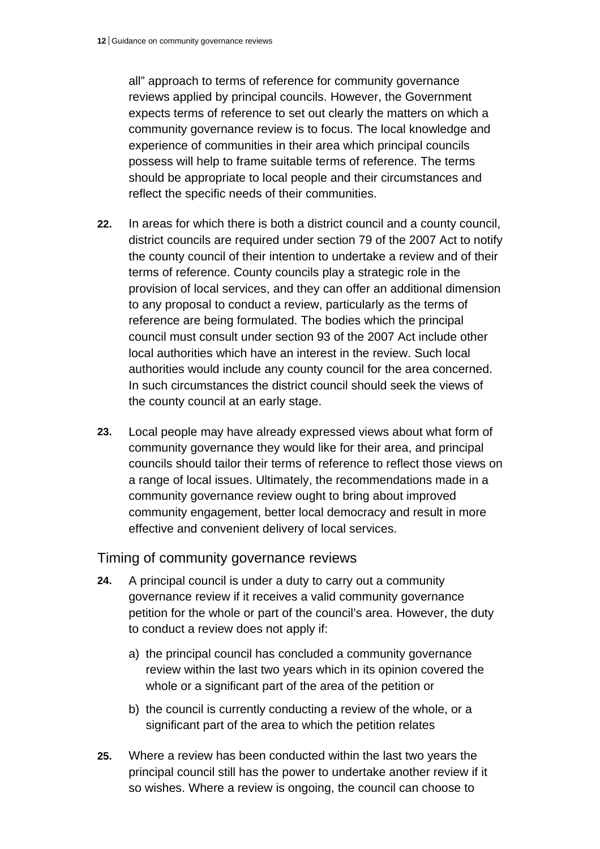all" approach to terms of reference for community governance reviews applied by principal councils. However, the Government expects terms of reference to set out clearly the matters on which a community governance review is to focus. The local knowledge and experience of communities in their area which principal councils possess will help to frame suitable terms of reference. The terms should be appropriate to local people and their circumstances and reflect the specific needs of their communities.

- **22.** In areas for which there is both a district council and a county council, district councils are required under section 79 of the 2007 Act to notify the county council of their intention to undertake a review and of their terms of reference. County councils play a strategic role in the provision of local services, and they can offer an additional dimension to any proposal to conduct a review, particularly as the terms of reference are being formulated. The bodies which the principal council must consult under section 93 of the 2007 Act include other local authorities which have an interest in the review. Such local authorities would include any county council for the area concerned. In such circumstances the district council should seek the views of the county council at an early stage.
- **23.** Local people may have already expressed views about what form of community governance they would like for their area, and principal councils should tailor their terms of reference to reflect those views on a range of local issues. Ultimately, the recommendations made in a community governance review ought to bring about improved community engagement, better local democracy and result in more effective and convenient delivery of local services.

#### Timing of community governance reviews

- **24.** A principal council is under a duty to carry out a community governance review if it receives a valid community governance petition for the whole or part of the council's area. However, the duty to conduct a review does not apply if:
	- a) the principal council has concluded a community governance review within the last two years which in its opinion covered the whole or a significant part of the area of the petition or
	- b) the council is currently conducting a review of the whole, or a significant part of the area to which the petition relates
- **25.** Where a review has been conducted within the last two years the principal council still has the power to undertake another review if it so wishes. Where a review is ongoing, the council can choose to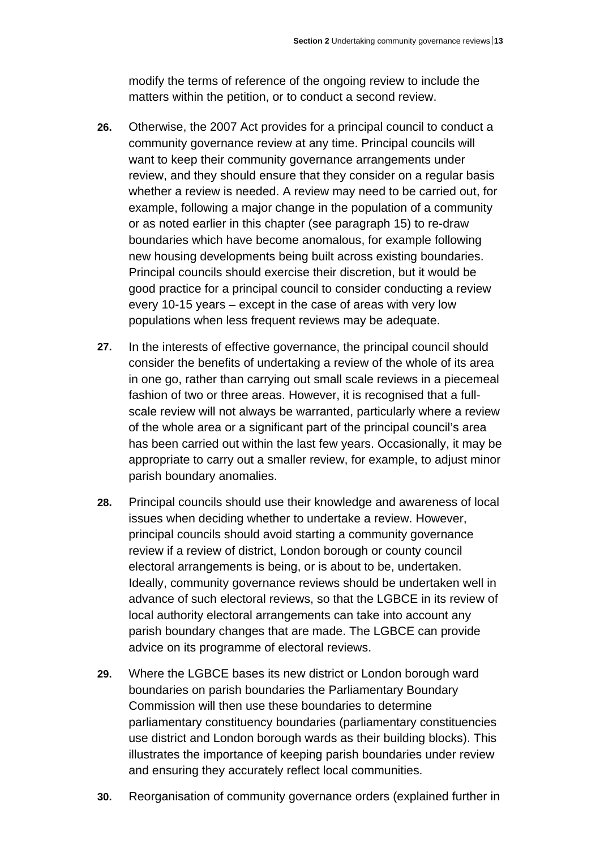modify the terms of reference of the ongoing review to include the matters within the petition, or to conduct a second review.

- **26.** Otherwise, the 2007 Act provides for a principal council to conduct a community governance review at any time. Principal councils will want to keep their community governance arrangements under review, and they should ensure that they consider on a regular basis whether a review is needed. A review may need to be carried out, for example, following a major change in the population of a community or as noted earlier in this chapter (see paragraph 15) to re-draw boundaries which have become anomalous, for example following new housing developments being built across existing boundaries. Principal councils should exercise their discretion, but it would be good practice for a principal council to consider conducting a review every 10-15 years – except in the case of areas with very low populations when less frequent reviews may be adequate.
- **27.** In the interests of effective governance, the principal council should consider the benefits of undertaking a review of the whole of its area in one go, rather than carrying out small scale reviews in a piecemeal fashion of two or three areas. However, it is recognised that a fullscale review will not always be warranted, particularly where a review of the whole area or a significant part of the principal council's area has been carried out within the last few years. Occasionally, it may be appropriate to carry out a smaller review, for example, to adjust minor parish boundary anomalies.
- **28.** Principal councils should use their knowledge and awareness of local issues when deciding whether to undertake a review. However, principal councils should avoid starting a community governance review if a review of district, London borough or county council electoral arrangements is being, or is about to be, undertaken. Ideally, community governance reviews should be undertaken well in advance of such electoral reviews, so that the LGBCE in its review of local authority electoral arrangements can take into account any parish boundary changes that are made. The LGBCE can provide advice on its programme of electoral reviews.
- **29.** Where the LGBCE bases its new district or London borough ward boundaries on parish boundaries the Parliamentary Boundary Commission will then use these boundaries to determine parliamentary constituency boundaries (parliamentary constituencies use district and London borough wards as their building blocks). This illustrates the importance of keeping parish boundaries under review and ensuring they accurately reflect local communities.
- **30.** Reorganisation of community governance orders (explained further in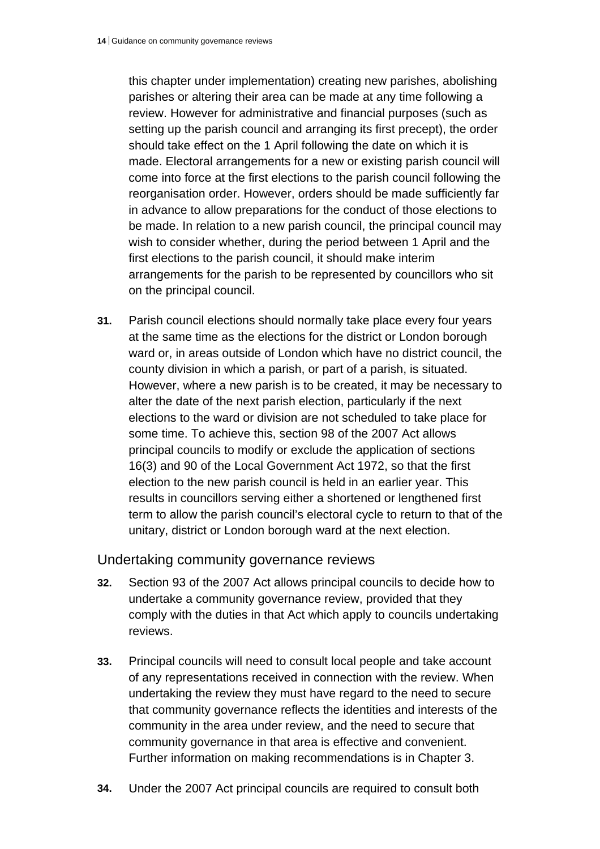this chapter under implementation) creating new parishes, abolishing parishes or altering their area can be made at any time following a review. However for administrative and financial purposes (such as setting up the parish council and arranging its first precept), the order should take effect on the 1 April following the date on which it is made. Electoral arrangements for a new or existing parish council will come into force at the first elections to the parish council following the reorganisation order. However, orders should be made sufficiently far in advance to allow preparations for the conduct of those elections to be made. In relation to a new parish council, the principal council may wish to consider whether, during the period between 1 April and the first elections to the parish council, it should make interim arrangements for the parish to be represented by councillors who sit on the principal council.

**31.** Parish council elections should normally take place every four years at the same time as the elections for the district or London borough ward or, in areas outside of London which have no district council, the county division in which a parish, or part of a parish, is situated. However, where a new parish is to be created, it may be necessary to alter the date of the next parish election, particularly if the next elections to the ward or division are not scheduled to take place for some time. To achieve this, section 98 of the 2007 Act allows principal councils to modify or exclude the application of sections 16(3) and 90 of the Local Government Act 1972, so that the first election to the new parish council is held in an earlier year. This results in councillors serving either a shortened or lengthened first term to allow the parish council's electoral cycle to return to that of the unitary, district or London borough ward at the next election.

#### Undertaking community governance reviews

- **32.** Section 93 of the 2007 Act allows principal councils to decide how to undertake a community governance review, provided that they comply with the duties in that Act which apply to councils undertaking reviews.
- **33.** Principal councils will need to consult local people and take account of any representations received in connection with the review. When undertaking the review they must have regard to the need to secure that community governance reflects the identities and interests of the community in the area under review, and the need to secure that community governance in that area is effective and convenient. Further information on making recommendations is in Chapter 3.
- **34.** Under the 2007 Act principal councils are required to consult both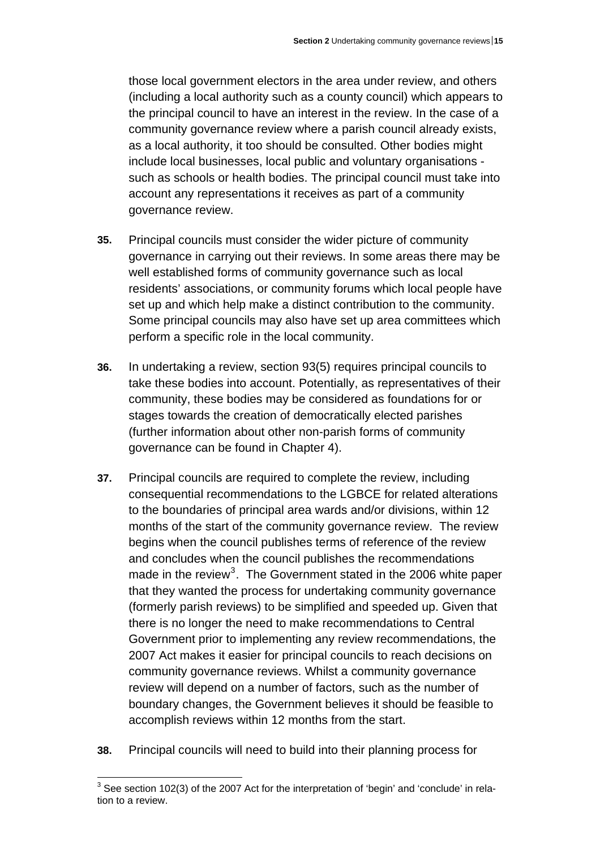those local government electors in the area under review, and others (including a local authority such as a county council) which appears to the principal council to have an interest in the review. In the case of a community governance review where a parish council already exists, as a local authority, it too should be consulted. Other bodies might include local businesses, local public and voluntary organisations such as schools or health bodies. The principal council must take into account any representations it receives as part of a community governance review.

- **35.** Principal councils must consider the wider picture of community governance in carrying out their reviews. In some areas there may be well established forms of community governance such as local residents' associations, or community forums which local people have set up and which help make a distinct contribution to the community. Some principal councils may also have set up area committees which perform a specific role in the local community.
- **36.** In undertaking a review, section 93(5) requires principal councils to take these bodies into account. Potentially, as representatives of their community, these bodies may be considered as foundations for or stages towards the creation of democratically elected parishes (further information about other non-parish forms of community governance can be found in Chapter 4).
- **37.** Principal councils are required to complete the review, including consequential recommendations to the LGBCE for related alterations to the boundaries of principal area wards and/or divisions, within 12 months of the start of the community governance review. The review begins when the council publishes terms of reference of the review and concludes when the council publishes the recommendations made in the review<sup>[3](#page-47-0)</sup>. The Government stated in the 2006 white paper that they wanted the process for undertaking community governance (formerly parish reviews) to be simplified and speeded up. Given that there is no longer the need to make recommendations to Central Government prior to implementing any review recommendations, the 2007 Act makes it easier for principal councils to reach decisions on community governance reviews. Whilst a community governance review will depend on a number of factors, such as the number of boundary changes, the Government believes it should be feasible to accomplish reviews within 12 months from the start.
- **38.** Principal councils will need to build into their planning process for

<span id="page-47-0"></span> 3 See section 102(3) of the 2007 Act for the interpretation of 'begin' and 'conclude' in relation to a review.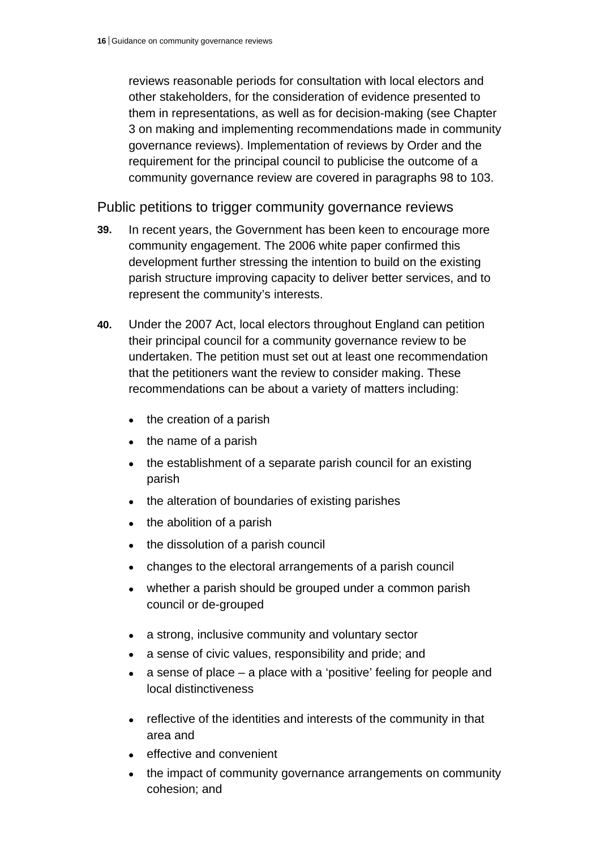reviews reasonable periods for consultation with local electors and other stakeholders, for the consideration of evidence presented to them in representations, as well as for decision-making (see Chapter 3 on making and implementing recommendations made in community governance reviews). Implementation of reviews by Order and the requirement for the principal council to publicise the outcome of a community governance review are covered in paragraphs 98 to 103.

Public petitions to trigger community governance reviews

- **39.** In recent years, the Government has been keen to encourage more community engagement. The 2006 white paper confirmed this development further stressing the intention to build on the existing parish structure improving capacity to deliver better services, and to represent the community's interests.
- **40.** Under the 2007 Act, local electors throughout England can petition their principal council for a community governance review to be undertaken. The petition must set out at least one recommendation that the petitioners want the review to consider making. These recommendations can be about a variety of matters including:
	- the creation of a parish
	- the name of a parish
	- the establishment of a separate parish council for an existing parish
	- the alteration of boundaries of existing parishes
	- the abolition of a parish
	- the dissolution of a parish council
	- changes to the electoral arrangements of a parish council
	- whether a parish should be grouped under a common parish council or de-grouped
	- a strong, inclusive community and voluntary sector
	- a sense of civic values, responsibility and pride; and
	- a sense of place a place with a 'positive' feeling for people and local distinctiveness
	- reflective of the identities and interests of the community in that area and
	- effective and convenient
	- the impact of community governance arrangements on community cohesion; and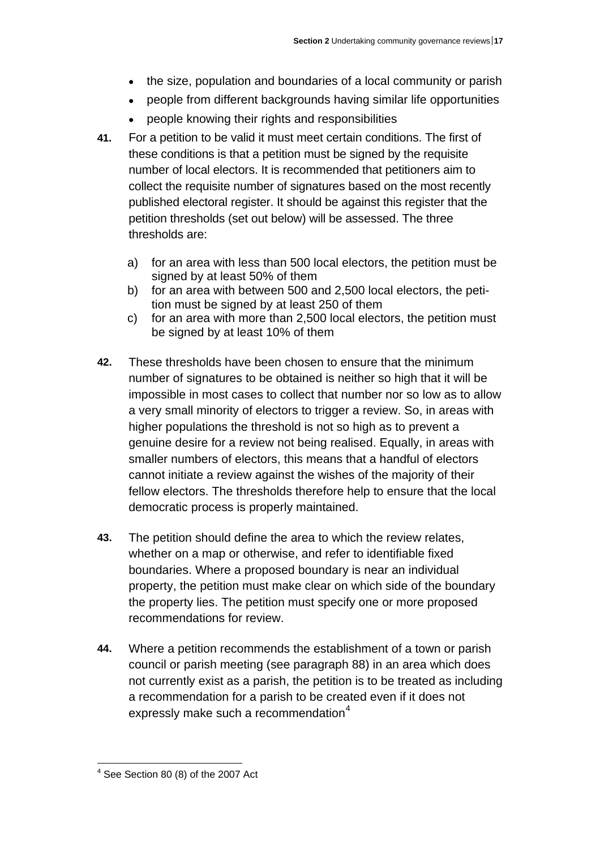- the size, population and boundaries of a local community or parish
- people from different backgrounds having similar life opportunities
- people knowing their rights and responsibilities
- **41.** For a petition to be valid it must meet certain conditions. The first of these conditions is that a petition must be signed by the requisite number of local electors. It is recommended that petitioners aim to collect the requisite number of signatures based on the most recently published electoral register. It should be against this register that the petition thresholds (set out below) will be assessed. The three thresholds are:
	- a) for an area with less than 500 local electors, the petition must be signed by at least 50% of them
	- b) for an area with between 500 and 2,500 local electors, the petition must be signed by at least 250 of them
	- c) for an area with more than 2,500 local electors, the petition must be signed by at least 10% of them
- **42.** These thresholds have been chosen to ensure that the minimum number of signatures to be obtained is neither so high that it will be impossible in most cases to collect that number nor so low as to allow a very small minority of electors to trigger a review. So, in areas with higher populations the threshold is not so high as to prevent a genuine desire for a review not being realised. Equally, in areas with smaller numbers of electors, this means that a handful of electors cannot initiate a review against the wishes of the majority of their fellow electors. The thresholds therefore help to ensure that the local democratic process is properly maintained.
- **43.** The petition should define the area to which the review relates, whether on a map or otherwise, and refer to identifiable fixed boundaries. Where a proposed boundary is near an individual property, the petition must make clear on which side of the boundary the property lies. The petition must specify one or more proposed recommendations for review.
- **44.** Where a petition recommends the establishment of a town or parish council or parish meeting (see paragraph 88) in an area which does not currently exist as a parish, the petition is to be treated as including a recommendation for a parish to be created even if it does not expressly make such a recommendation $4$

<span id="page-49-0"></span> $\overline{a}$  $4$  See Section 80 (8) of the 2007 Act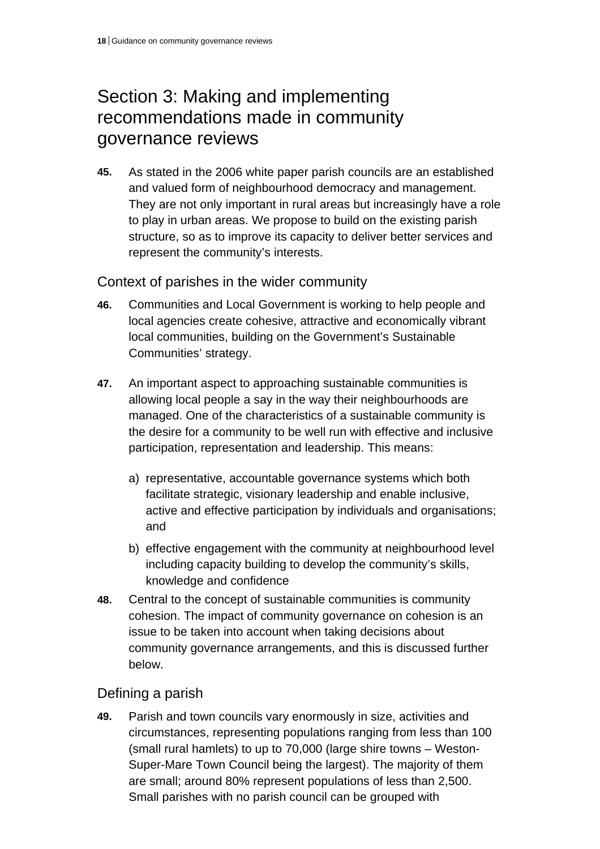# Section 3: Making and implementing recommendations made in community governance reviews

**45.** As stated in the 2006 white paper parish councils are an established and valued form of neighbourhood democracy and management. They are not only important in rural areas but increasingly have a role to play in urban areas. We propose to build on the existing parish structure, so as to improve its capacity to deliver better services and represent the community's interests.

Context of parishes in the wider community

- **46.** Communities and Local Government is working to help people and local agencies create cohesive, attractive and economically vibrant local communities, building on the Government's Sustainable Communities' strategy.
- **47.** An important aspect to approaching sustainable communities is allowing local people a say in the way their neighbourhoods are managed. One of the characteristics of a sustainable community is the desire for a community to be well run with effective and inclusive participation, representation and leadership. This means:
	- a) representative, accountable governance systems which both facilitate strategic, visionary leadership and enable inclusive, active and effective participation by individuals and organisations; and
	- b) effective engagement with the community at neighbourhood level including capacity building to develop the community's skills, knowledge and confidence
- **48.** Central to the concept of sustainable communities is community cohesion. The impact of community governance on cohesion is an issue to be taken into account when taking decisions about community governance arrangements, and this is discussed further below.

# Defining a parish

**49.** Parish and town councils vary enormously in size, activities and circumstances, representing populations ranging from less than 100 (small rural hamlets) to up to 70,000 (large shire towns – Weston-Super-Mare Town Council being the largest). The majority of them are small; around 80% represent populations of less than 2,500. Small parishes with no parish council can be grouped with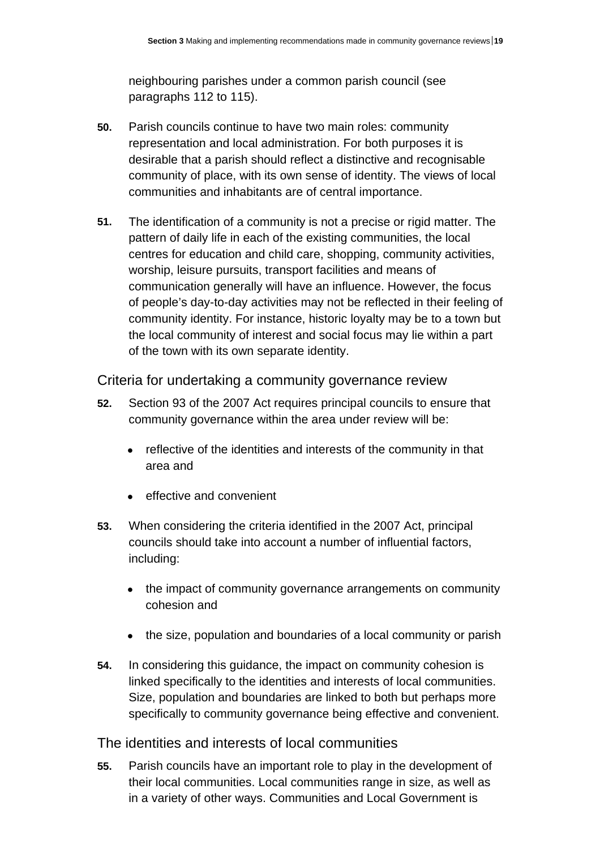neighbouring parishes under a common parish council (see paragraphs 112 to 115).

- **50.** Parish councils continue to have two main roles: community representation and local administration. For both purposes it is desirable that a parish should reflect a distinctive and recognisable community of place, with its own sense of identity. The views of local communities and inhabitants are of central importance.
- **51.** The identification of a community is not a precise or rigid matter. The pattern of daily life in each of the existing communities, the local centres for education and child care, shopping, community activities, worship, leisure pursuits, transport facilities and means of communication generally will have an influence. However, the focus of people's day-to-day activities may not be reflected in their feeling of community identity. For instance, historic loyalty may be to a town but the local community of interest and social focus may lie within a part of the town with its own separate identity.

### Criteria for undertaking a community governance review

- **52.** Section 93 of the 2007 Act requires principal councils to ensure that community governance within the area under review will be:
	- reflective of the identities and interests of the community in that area and
	- effective and convenient
- **53.** When considering the criteria identified in the 2007 Act, principal councils should take into account a number of influential factors, including:
	- the impact of community governance arrangements on community cohesion and
	- the size, population and boundaries of a local community or parish
- **54.** In considering this guidance, the impact on community cohesion is linked specifically to the identities and interests of local communities. Size, population and boundaries are linked to both but perhaps more specifically to community governance being effective and convenient.

### The identities and interests of local communities

**55.** Parish councils have an important role to play in the development of their local communities. Local communities range in size, as well as in a variety of other ways. Communities and Local Government is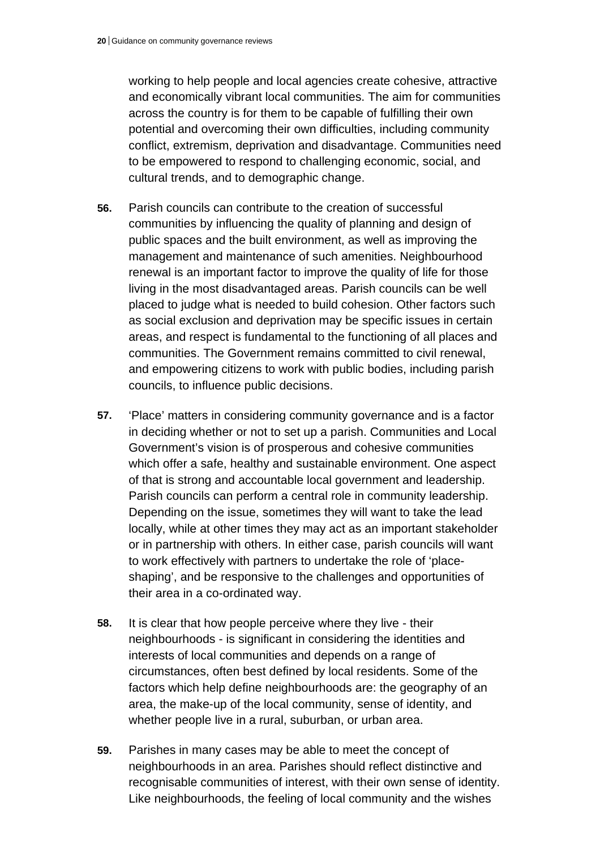working to help people and local agencies create cohesive, attractive and economically vibrant local communities. The aim for communities across the country is for them to be capable of fulfilling their own potential and overcoming their own difficulties, including community conflict, extremism, deprivation and disadvantage. Communities need to be empowered to respond to challenging economic, social, and cultural trends, and to demographic change.

- **56.** Parish councils can contribute to the creation of successful communities by influencing the quality of planning and design of public spaces and the built environment, as well as improving the management and maintenance of such amenities. Neighbourhood renewal is an important factor to improve the quality of life for those living in the most disadvantaged areas. Parish councils can be well placed to judge what is needed to build cohesion. Other factors such as social exclusion and deprivation may be specific issues in certain areas, and respect is fundamental to the functioning of all places and communities. The Government remains committed to civil renewal, and empowering citizens to work with public bodies, including parish councils, to influence public decisions.
- **57.** 'Place' matters in considering community governance and is a factor in deciding whether or not to set up a parish. Communities and Local Government's vision is of prosperous and cohesive communities which offer a safe, healthy and sustainable environment. One aspect of that is strong and accountable local government and leadership. Parish councils can perform a central role in community leadership. Depending on the issue, sometimes they will want to take the lead locally, while at other times they may act as an important stakeholder or in partnership with others. In either case, parish councils will want to work effectively with partners to undertake the role of 'placeshaping', and be responsive to the challenges and opportunities of their area in a co-ordinated way.
- **58.** It is clear that how people perceive where they live their neighbourhoods - is significant in considering the identities and interests of local communities and depends on a range of circumstances, often best defined by local residents. Some of the factors which help define neighbourhoods are: the geography of an area, the make-up of the local community, sense of identity, and whether people live in a rural, suburban, or urban area.
- **59.** Parishes in many cases may be able to meet the concept of neighbourhoods in an area. Parishes should reflect distinctive and recognisable communities of interest, with their own sense of identity. Like neighbourhoods, the feeling of local community and the wishes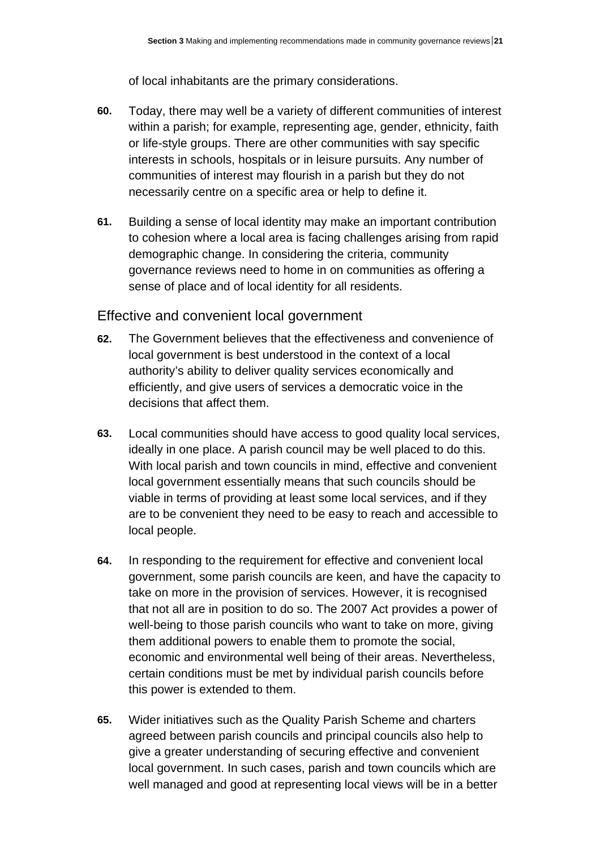of local inhabitants are the primary considerations.

- **60.** Today, there may well be a variety of different communities of interest within a parish; for example, representing age, gender, ethnicity, faith or life-style groups. There are other communities with say specific interests in schools, hospitals or in leisure pursuits. Any number of communities of interest may flourish in a parish but they do not necessarily centre on a specific area or help to define it.
- **61.** Building a sense of local identity may make an important contribution to cohesion where a local area is facing challenges arising from rapid demographic change. In considering the criteria, community governance reviews need to home in on communities as offering a sense of place and of local identity for all residents.

## Effective and convenient local government

- **62.** The Government believes that the effectiveness and convenience of local government is best understood in the context of a local authority's ability to deliver quality services economically and efficiently, and give users of services a democratic voice in the decisions that affect them.
- **63.** Local communities should have access to good quality local services, ideally in one place. A parish council may be well placed to do this. With local parish and town councils in mind, effective and convenient local government essentially means that such councils should be viable in terms of providing at least some local services, and if they are to be convenient they need to be easy to reach and accessible to local people.
- **64.** In responding to the requirement for effective and convenient local government, some parish councils are keen, and have the capacity to take on more in the provision of services. However, it is recognised that not all are in position to do so. The 2007 Act provides a power of well-being to those parish councils who want to take on more, giving them additional powers to enable them to promote the social, economic and environmental well being of their areas. Nevertheless, certain conditions must be met by individual parish councils before this power is extended to them.
- **65.** Wider initiatives such as the Quality Parish Scheme and charters agreed between parish councils and principal councils also help to give a greater understanding of securing effective and convenient local government. In such cases, parish and town councils which are well managed and good at representing local views will be in a better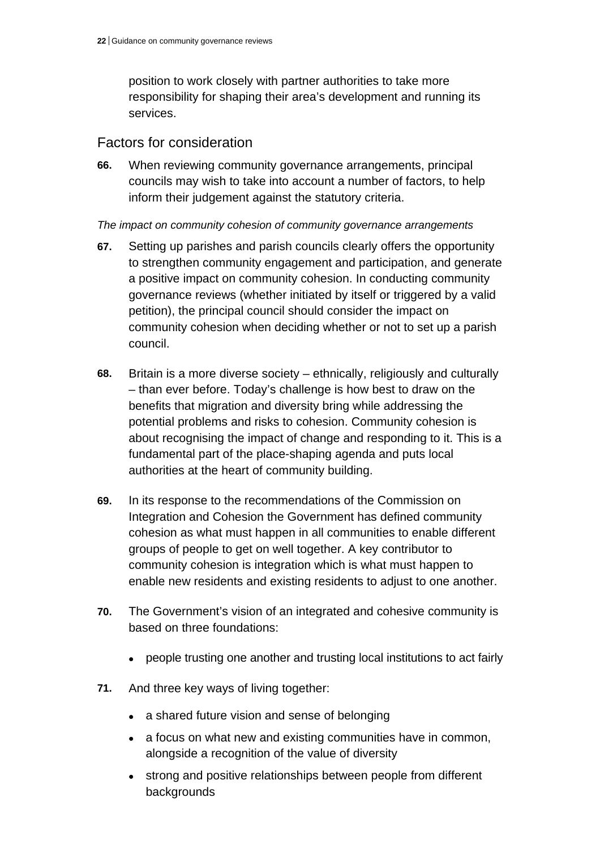position to work closely with partner authorities to take more responsibility for shaping their area's development and running its services.

## Factors for consideration

**66.** When reviewing community governance arrangements, principal councils may wish to take into account a number of factors, to help inform their judgement against the statutory criteria.

#### *The impact on community cohesion of community governance arrangements*

- **67.** Setting up parishes and parish councils clearly offers the opportunity to strengthen community engagement and participation, and generate a positive impact on community cohesion. In conducting community governance reviews (whether initiated by itself or triggered by a valid petition), the principal council should consider the impact on community cohesion when deciding whether or not to set up a parish council.
- **68.** Britain is a more diverse society ethnically, religiously and culturally – than ever before. Today's challenge is how best to draw on the benefits that migration and diversity bring while addressing the potential problems and risks to cohesion. Community cohesion is about recognising the impact of change and responding to it. This is a fundamental part of the place-shaping agenda and puts local authorities at the heart of community building.
- **69.** In its response to the recommendations of the Commission on Integration and Cohesion the Government has defined community cohesion as what must happen in all communities to enable different groups of people to get on well together. A key contributor to community cohesion is integration which is what must happen to enable new residents and existing residents to adjust to one another.
- **70.** The Government's vision of an integrated and cohesive community is based on three foundations:
	- people trusting one another and trusting local institutions to act fairly
- **71.** And three key ways of living together:
	- a shared future vision and sense of belonging
	- a focus on what new and existing communities have in common, alongside a recognition of the value of diversity
	- strong and positive relationships between people from different backgrounds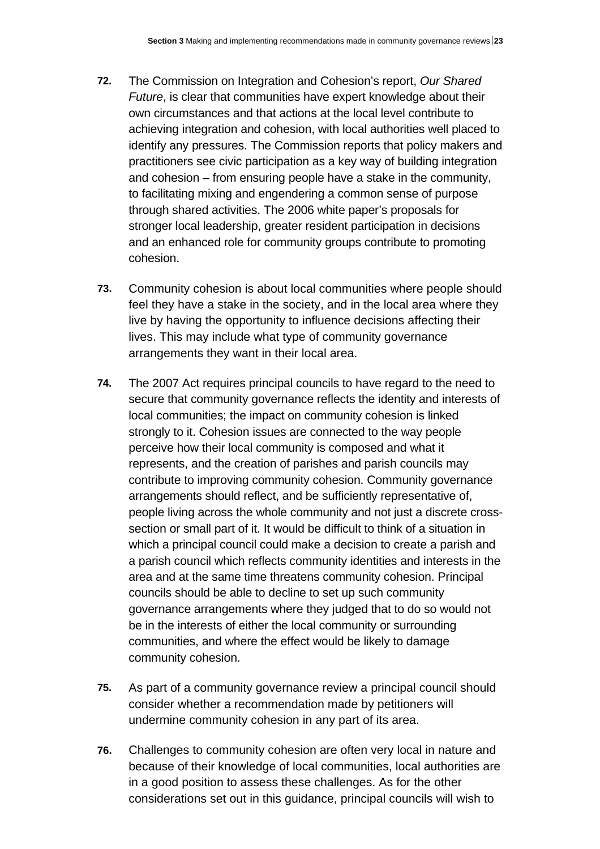- **72.** The Commission on Integration and Cohesion's report, *Our Shared Future*, is clear that communities have expert knowledge about their own circumstances and that actions at the local level contribute to achieving integration and cohesion, with local authorities well placed to identify any pressures. The Commission reports that policy makers and practitioners see civic participation as a key way of building integration and cohesion – from ensuring people have a stake in the community, to facilitating mixing and engendering a common sense of purpose through shared activities. The 2006 white paper's proposals for stronger local leadership, greater resident participation in decisions and an enhanced role for community groups contribute to promoting cohesion.
- **73.** Community cohesion is about local communities where people should feel they have a stake in the society, and in the local area where they live by having the opportunity to influence decisions affecting their lives. This may include what type of community governance arrangements they want in their local area.
- **74.** The 2007 Act requires principal councils to have regard to the need to secure that community governance reflects the identity and interests of local communities; the impact on community cohesion is linked strongly to it. Cohesion issues are connected to the way people perceive how their local community is composed and what it represents, and the creation of parishes and parish councils may contribute to improving community cohesion. Community governance arrangements should reflect, and be sufficiently representative of, people living across the whole community and not just a discrete crosssection or small part of it. It would be difficult to think of a situation in which a principal council could make a decision to create a parish and a parish council which reflects community identities and interests in the area and at the same time threatens community cohesion. Principal councils should be able to decline to set up such community governance arrangements where they judged that to do so would not be in the interests of either the local community or surrounding communities, and where the effect would be likely to damage community cohesion.
- **75.** As part of a community governance review a principal council should consider whether a recommendation made by petitioners will undermine community cohesion in any part of its area.
- **76.** Challenges to community cohesion are often very local in nature and because of their knowledge of local communities, local authorities are in a good position to assess these challenges. As for the other considerations set out in this guidance, principal councils will wish to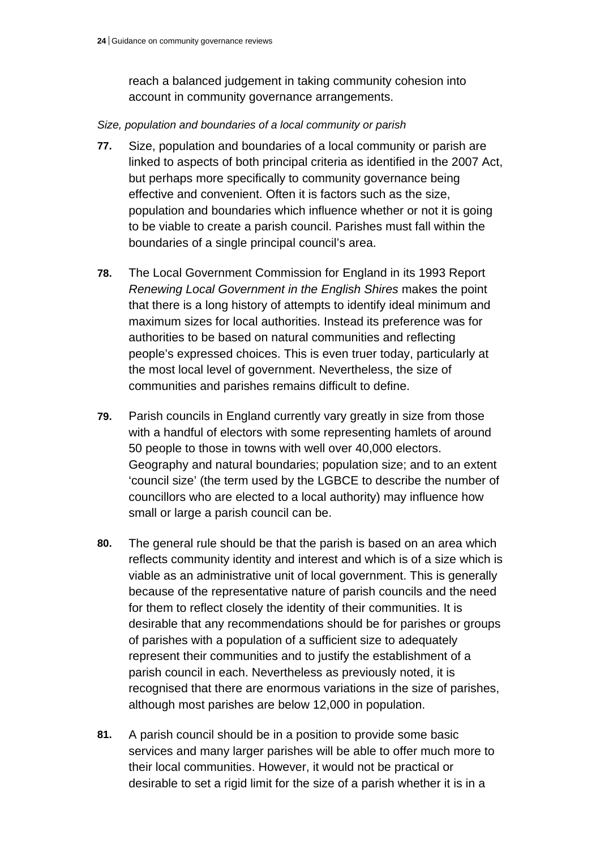reach a balanced judgement in taking community cohesion into account in community governance arrangements.

### *Size, population and boundaries of a local community or parish*

- **77.** Size, population and boundaries of a local community or parish are linked to aspects of both principal criteria as identified in the 2007 Act, but perhaps more specifically to community governance being effective and convenient. Often it is factors such as the size, population and boundaries which influence whether or not it is going to be viable to create a parish council. Parishes must fall within the boundaries of a single principal council's area.
- **78.** The Local Government Commission for England in its 1993 Report *Renewing Local Government in the English Shires* makes the point that there is a long history of attempts to identify ideal minimum and maximum sizes for local authorities. Instead its preference was for authorities to be based on natural communities and reflecting people's expressed choices. This is even truer today, particularly at the most local level of government. Nevertheless, the size of communities and parishes remains difficult to define.
- **79.** Parish councils in England currently vary greatly in size from those with a handful of electors with some representing hamlets of around 50 people to those in towns with well over 40,000 electors. Geography and natural boundaries; population size; and to an extent 'council size' (the term used by the LGBCE to describe the number of councillors who are elected to a local authority) may influence how small or large a parish council can be.
- **80.** The general rule should be that the parish is based on an area which reflects community identity and interest and which is of a size which is viable as an administrative unit of local government. This is generally because of the representative nature of parish councils and the need for them to reflect closely the identity of their communities. It is desirable that any recommendations should be for parishes or groups of parishes with a population of a sufficient size to adequately represent their communities and to justify the establishment of a parish council in each. Nevertheless as previously noted, it is recognised that there are enormous variations in the size of parishes, although most parishes are below 12,000 in population.
- **81.** A parish council should be in a position to provide some basic services and many larger parishes will be able to offer much more to their local communities. However, it would not be practical or desirable to set a rigid limit for the size of a parish whether it is in a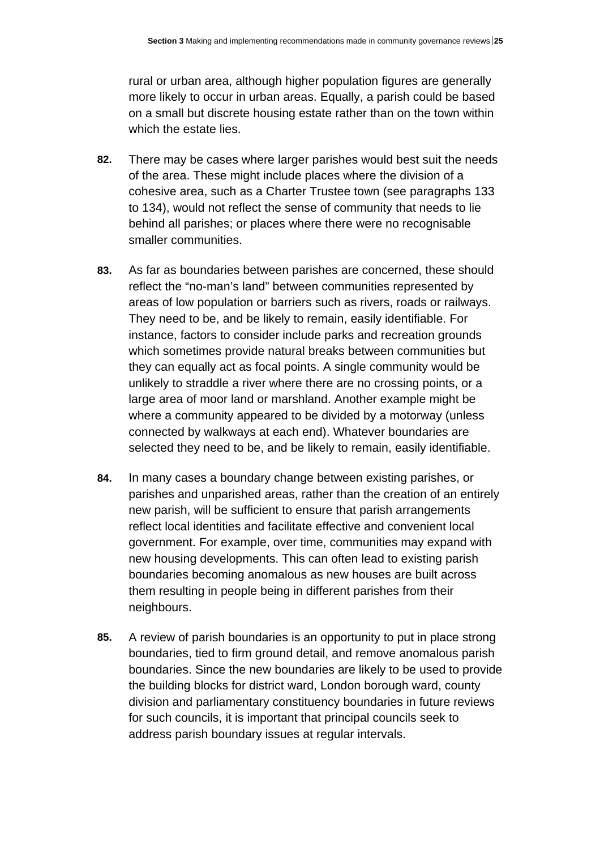rural or urban area, although higher population figures are generally more likely to occur in urban areas. Equally, a parish could be based on a small but discrete housing estate rather than on the town within which the estate lies.

- **82.** There may be cases where larger parishes would best suit the needs of the area. These might include places where the division of a cohesive area, such as a Charter Trustee town (see paragraphs 133 to 134), would not reflect the sense of community that needs to lie behind all parishes; or places where there were no recognisable smaller communities.
- **83.** As far as boundaries between parishes are concerned, these should reflect the "no-man's land" between communities represented by areas of low population or barriers such as rivers, roads or railways. They need to be, and be likely to remain, easily identifiable. For instance, factors to consider include parks and recreation grounds which sometimes provide natural breaks between communities but they can equally act as focal points. A single community would be unlikely to straddle a river where there are no crossing points, or a large area of moor land or marshland. Another example might be where a community appeared to be divided by a motorway (unless connected by walkways at each end). Whatever boundaries are selected they need to be, and be likely to remain, easily identifiable.
- **84.** In many cases a boundary change between existing parishes, or parishes and unparished areas, rather than the creation of an entirely new parish, will be sufficient to ensure that parish arrangements reflect local identities and facilitate effective and convenient local government. For example, over time, communities may expand with new housing developments. This can often lead to existing parish boundaries becoming anomalous as new houses are built across them resulting in people being in different parishes from their neighbours.
- **85.** A review of parish boundaries is an opportunity to put in place strong boundaries, tied to firm ground detail, and remove anomalous parish boundaries. Since the new boundaries are likely to be used to provide the building blocks for district ward, London borough ward, county division and parliamentary constituency boundaries in future reviews for such councils, it is important that principal councils seek to address parish boundary issues at regular intervals.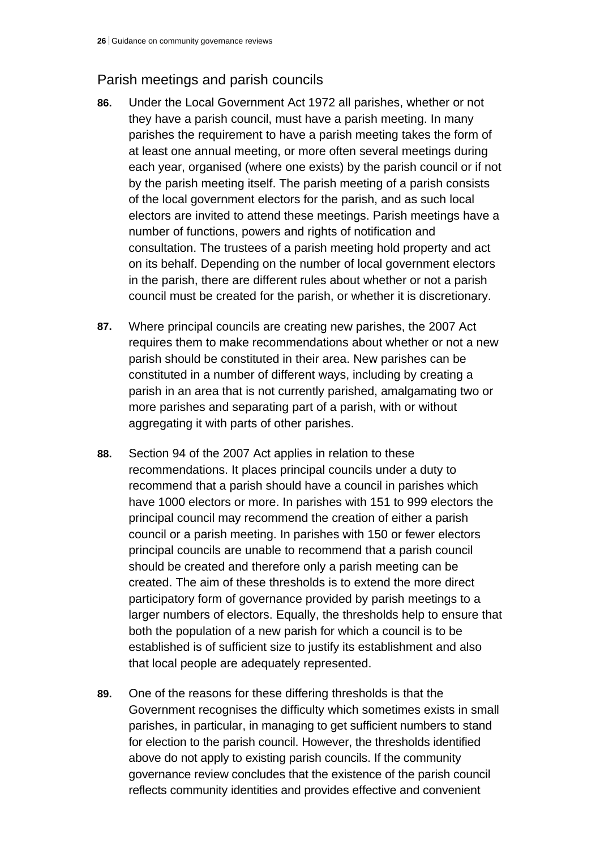# Parish meetings and parish councils

- **86.** Under the Local Government Act 1972 all parishes, whether or not they have a parish council, must have a parish meeting. In many parishes the requirement to have a parish meeting takes the form of at least one annual meeting, or more often several meetings during each year, organised (where one exists) by the parish council or if not by the parish meeting itself. The parish meeting of a parish consists of the local government electors for the parish, and as such local electors are invited to attend these meetings. Parish meetings have a number of functions, powers and rights of notification and consultation. The trustees of a parish meeting hold property and act on its behalf. Depending on the number of local government electors in the parish, there are different rules about whether or not a parish council must be created for the parish, or whether it is discretionary.
- **87.** Where principal councils are creating new parishes, the 2007 Act requires them to make recommendations about whether or not a new parish should be constituted in their area. New parishes can be constituted in a number of different ways, including by creating a parish in an area that is not currently parished, amalgamating two or more parishes and separating part of a parish, with or without aggregating it with parts of other parishes.
- **88.** Section 94 of the 2007 Act applies in relation to these recommendations. It places principal councils under a duty to recommend that a parish should have a council in parishes which have 1000 electors or more. In parishes with 151 to 999 electors the principal council may recommend the creation of either a parish council or a parish meeting. In parishes with 150 or fewer electors principal councils are unable to recommend that a parish council should be created and therefore only a parish meeting can be created. The aim of these thresholds is to extend the more direct participatory form of governance provided by parish meetings to a larger numbers of electors. Equally, the thresholds help to ensure that both the population of a new parish for which a council is to be established is of sufficient size to justify its establishment and also that local people are adequately represented.
- **89.** One of the reasons for these differing thresholds is that the Government recognises the difficulty which sometimes exists in small parishes, in particular, in managing to get sufficient numbers to stand for election to the parish council. However, the thresholds identified above do not apply to existing parish councils. If the community governance review concludes that the existence of the parish council reflects community identities and provides effective and convenient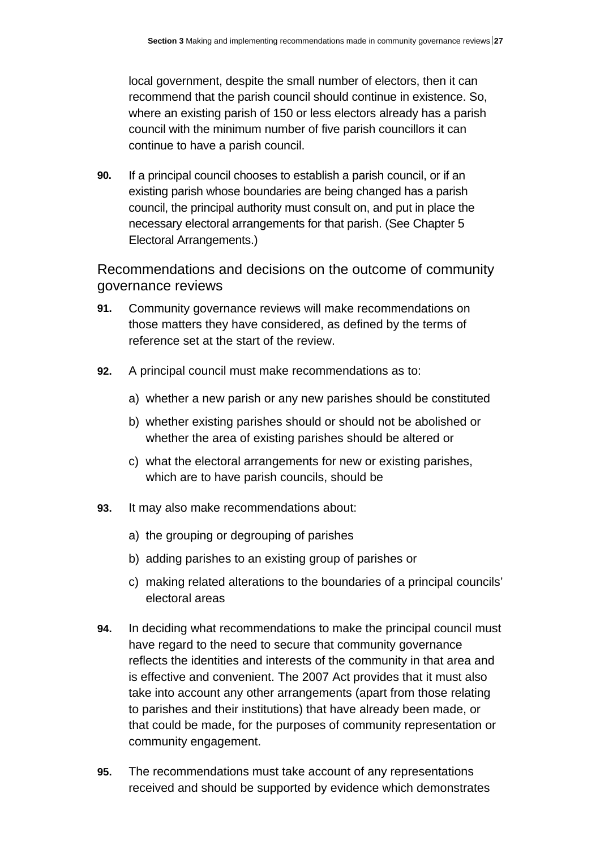local government, despite the small number of electors, then it can recommend that the parish council should continue in existence. So, where an existing parish of 150 or less electors already has a parish council with the minimum number of five parish councillors it can continue to have a parish council.

**90.** If a principal council chooses to establish a parish council, or if an existing parish whose boundaries are being changed has a parish council, the principal authority must consult on, and put in place the necessary electoral arrangements for that parish. (See Chapter 5 Electoral Arrangements.)

Recommendations and decisions on the outcome of community governance reviews

- **91.** Community governance reviews will make recommendations on those matters they have considered, as defined by the terms of reference set at the start of the review.
- **92.** A principal council must make recommendations as to:
	- a) whether a new parish or any new parishes should be constituted
	- b) whether existing parishes should or should not be abolished or whether the area of existing parishes should be altered or
	- c) what the electoral arrangements for new or existing parishes, which are to have parish councils, should be
- **93.** It may also make recommendations about:
	- a) the grouping or degrouping of parishes
	- b) adding parishes to an existing group of parishes or
	- c) making related alterations to the boundaries of a principal councils' electoral areas
- **94.** In deciding what recommendations to make the principal council must have regard to the need to secure that community governance reflects the identities and interests of the community in that area and is effective and convenient. The 2007 Act provides that it must also take into account any other arrangements (apart from those relating to parishes and their institutions) that have already been made, or that could be made, for the purposes of community representation or community engagement.
- **95.** The recommendations must take account of any representations received and should be supported by evidence which demonstrates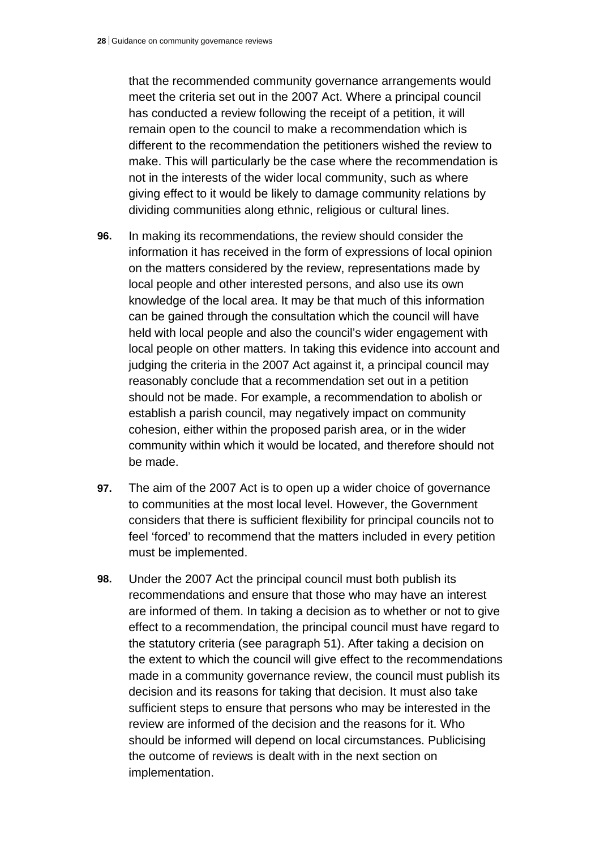that the recommended community governance arrangements would meet the criteria set out in the 2007 Act. Where a principal council has conducted a review following the receipt of a petition, it will remain open to the council to make a recommendation which is different to the recommendation the petitioners wished the review to make. This will particularly be the case where the recommendation is not in the interests of the wider local community, such as where giving effect to it would be likely to damage community relations by dividing communities along ethnic, religious or cultural lines.

- **96.** In making its recommendations, the review should consider the information it has received in the form of expressions of local opinion on the matters considered by the review, representations made by local people and other interested persons, and also use its own knowledge of the local area. It may be that much of this information can be gained through the consultation which the council will have held with local people and also the council's wider engagement with local people on other matters. In taking this evidence into account and judging the criteria in the 2007 Act against it, a principal council may reasonably conclude that a recommendation set out in a petition should not be made. For example, a recommendation to abolish or establish a parish council, may negatively impact on community cohesion, either within the proposed parish area, or in the wider community within which it would be located, and therefore should not be made.
- **97.** The aim of the 2007 Act is to open up a wider choice of governance to communities at the most local level. However, the Government considers that there is sufficient flexibility for principal councils not to feel 'forced' to recommend that the matters included in every petition must be implemented.
- **98.** Under the 2007 Act the principal council must both publish its recommendations and ensure that those who may have an interest are informed of them. In taking a decision as to whether or not to give effect to a recommendation, the principal council must have regard to the statutory criteria (see paragraph 51). After taking a decision on the extent to which the council will give effect to the recommendations made in a community governance review, the council must publish its decision and its reasons for taking that decision. It must also take sufficient steps to ensure that persons who may be interested in the review are informed of the decision and the reasons for it. Who should be informed will depend on local circumstances. Publicising the outcome of reviews is dealt with in the next section on implementation.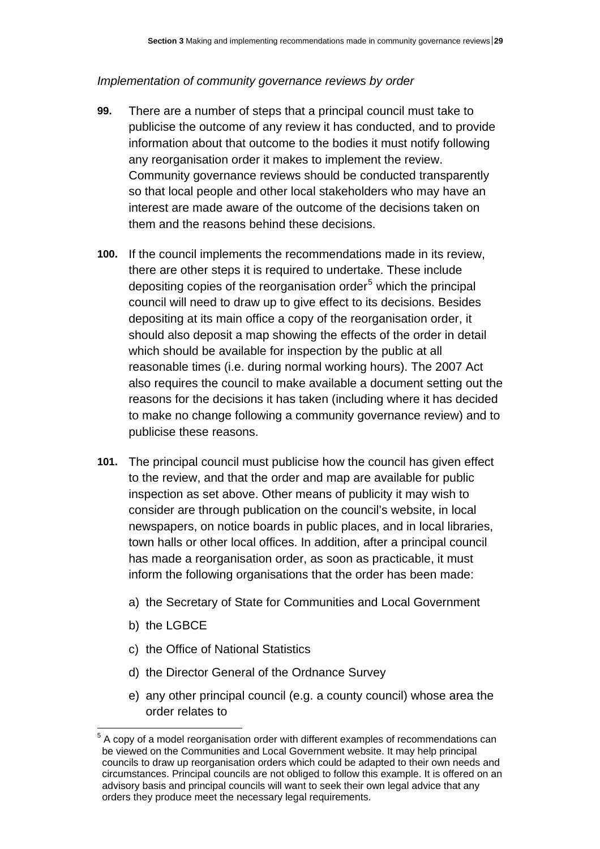### *Implementation of community governance reviews by order*

- **99.** There are a number of steps that a principal council must take to publicise the outcome of any review it has conducted, and to provide information about that outcome to the bodies it must notify following any reorganisation order it makes to implement the review. Community governance reviews should be conducted transparently so that local people and other local stakeholders who may have an interest are made aware of the outcome of the decisions taken on them and the reasons behind these decisions.
- **100.** If the council implements the recommendations made in its review, there are other steps it is required to undertake. These include depositing copies of the reorganisation order<sup>[5](#page-61-0)</sup> which the principal council will need to draw up to give effect to its decisions. Besides depositing at its main office a copy of the reorganisation order, it should also deposit a map showing the effects of the order in detail which should be available for inspection by the public at all reasonable times (i.e. during normal working hours). The 2007 Act also requires the council to make available a document setting out the reasons for the decisions it has taken (including where it has decided to make no change following a community governance review) and to publicise these reasons.
- **101.** The principal council must publicise how the council has given effect to the review, and that the order and map are available for public inspection as set above. Other means of publicity it may wish to consider are through publication on the council's website, in local newspapers, on notice boards in public places, and in local libraries, town halls or other local offices. In addition, after a principal council has made a reorganisation order, as soon as practicable, it must inform the following organisations that the order has been made:
	- a) the Secretary of State for Communities and Local Government
	- b) the LGBCE

 $\overline{a}$ 

- c) the Office of National Statistics
- d) the Director General of the Ordnance Survey
- e) any other principal council (e.g. a county council) whose area the order relates to

<span id="page-61-0"></span> $5$  A copy of a model reorganisation order with different examples of recommendations can be viewed on the Communities and Local Government website. It may help principal councils to draw up reorganisation orders which could be adapted to their own needs and circumstances. Principal councils are not obliged to follow this example. It is offered on an advisory basis and principal councils will want to seek their own legal advice that any orders they produce meet the necessary legal requirements.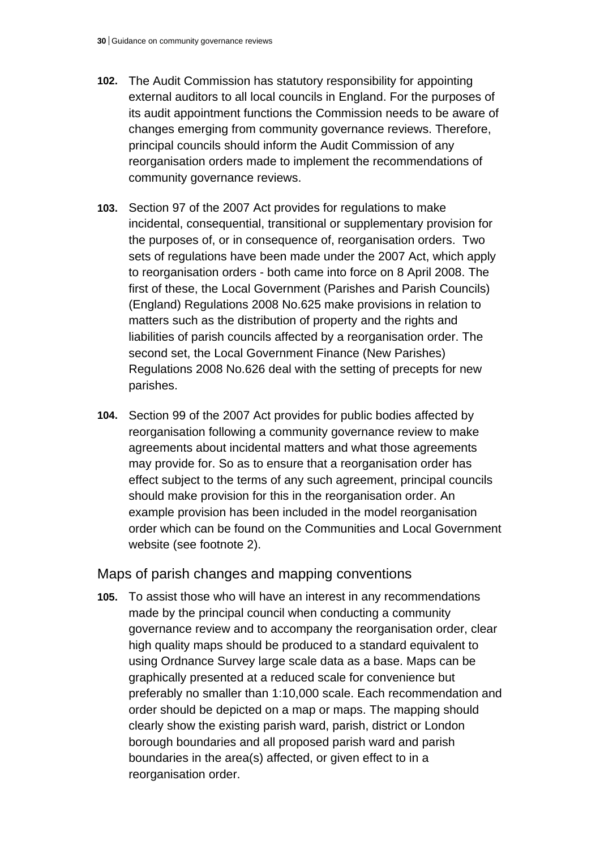- **102.** The Audit Commission has statutory responsibility for appointing external auditors to all local councils in England. For the purposes of its audit appointment functions the Commission needs to be aware of changes emerging from community governance reviews. Therefore, principal councils should inform the Audit Commission of any reorganisation orders made to implement the recommendations of community governance reviews.
- **103.** Section 97 of the 2007 Act provides for regulations to make incidental, consequential, transitional or supplementary provision for the purposes of, or in consequence of, reorganisation orders. Two sets of regulations have been made under the 2007 Act, which apply to reorganisation orders - both came into force on 8 April 2008. The first of these, the Local Government (Parishes and Parish Councils) (England) Regulations 2008 No.625 make provisions in relation to matters such as the distribution of property and the rights and liabilities of parish councils affected by a reorganisation order. The second set, the Local Government Finance (New Parishes) Regulations 2008 No.626 deal with the setting of precepts for new parishes.
- **104.** Section 99 of the 2007 Act provides for public bodies affected by reorganisation following a community governance review to make agreements about incidental matters and what those agreements may provide for. So as to ensure that a reorganisation order has effect subject to the terms of any such agreement, principal councils should make provision for this in the reorganisation order. An example provision has been included in the model reorganisation order which can be found on the Communities and Local Government website (see footnote 2).

Maps of parish changes and mapping conventions

**105.** To assist those who will have an interest in any recommendations made by the principal council when conducting a community governance review and to accompany the reorganisation order, clear high quality maps should be produced to a standard equivalent to using Ordnance Survey large scale data as a base. Maps can be graphically presented at a reduced scale for convenience but preferably no smaller than 1:10,000 scale. Each recommendation and order should be depicted on a map or maps. The mapping should clearly show the existing parish ward, parish, district or London borough boundaries and all proposed parish ward and parish boundaries in the area(s) affected, or given effect to in a reorganisation order.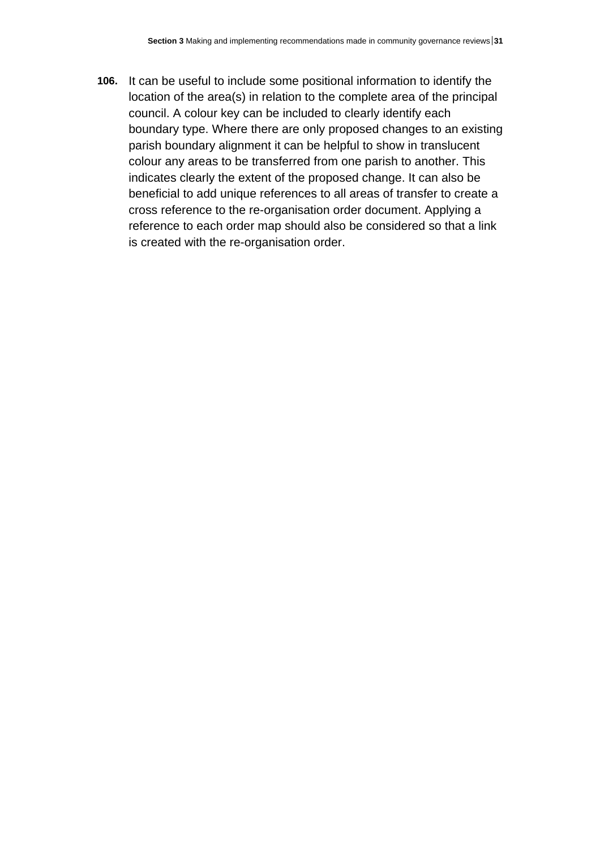**106.** It can be useful to include some positional information to identify the location of the area(s) in relation to the complete area of the principal council. A colour key can be included to clearly identify each boundary type. Where there are only proposed changes to an existing parish boundary alignment it can be helpful to show in translucent colour any areas to be transferred from one parish to another. This indicates clearly the extent of the proposed change. It can also be beneficial to add unique references to all areas of transfer to create a cross reference to the re-organisation order document. Applying a reference to each order map should also be considered so that a link is created with the re-organisation order.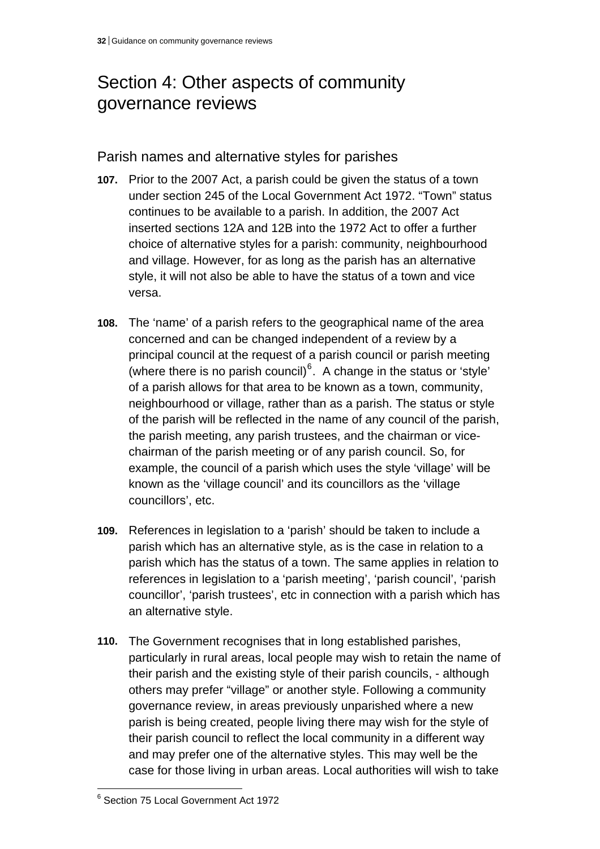# Section 4: Other aspects of community governance reviews

## Parish names and alternative styles for parishes

- **107.** Prior to the 2007 Act, a parish could be given the status of a town under section 245 of the Local Government Act 1972. "Town" status continues to be available to a parish. In addition, the 2007 Act inserted sections 12A and 12B into the 1972 Act to offer a further choice of alternative styles for a parish: community, neighbourhood and village. However, for as long as the parish has an alternative style, it will not also be able to have the status of a town and vice versa.
- **108.** The 'name' of a parish refers to the geographical name of the area concerned and can be changed independent of a review by a principal council at the request of a parish council or parish meeting (where there is no parish council) $6$ . A change in the status or 'style' of a parish allows for that area to be known as a town, community , neighbourhood or village, rather than as a parish. The status or style of the parish will be reflected in the name of any council of the parish, the parish meeting, any parish trustees, and the chairman or vicechairman of the parish meeting or of any parish council. So, for example, the council of a parish which uses the style 'village' will be known as the 'village council' and its councillors as the 'village councillors', etc.
- **109.** References in legislation to a 'parish' should be taken to include a parish which has an alternative style, as is the case in relation to a parish which has the status of a town. The same applies in relation to references in legislation to a 'parish meeting', 'parish council', 'parish councillor', 'parish trustees', etc in connection with a parish which has an alternative style.
- **110.** The Government recognises that in long established parishes, particularly in rural areas, local people may wish to retain the name of their parish and the existing style of their parish councils, - although others may prefer "village" or another style. Following a community governance review, in areas previously unparished where a new parish is being created, people living there may wish for the style of their parish council to reflect the local community in a different way and may prefer one of the alternative styles. This may well be the case for those living in urban areas. Local authorities will wish to take

<span id="page-64-0"></span> 6 Section 75 Local Government Act 1972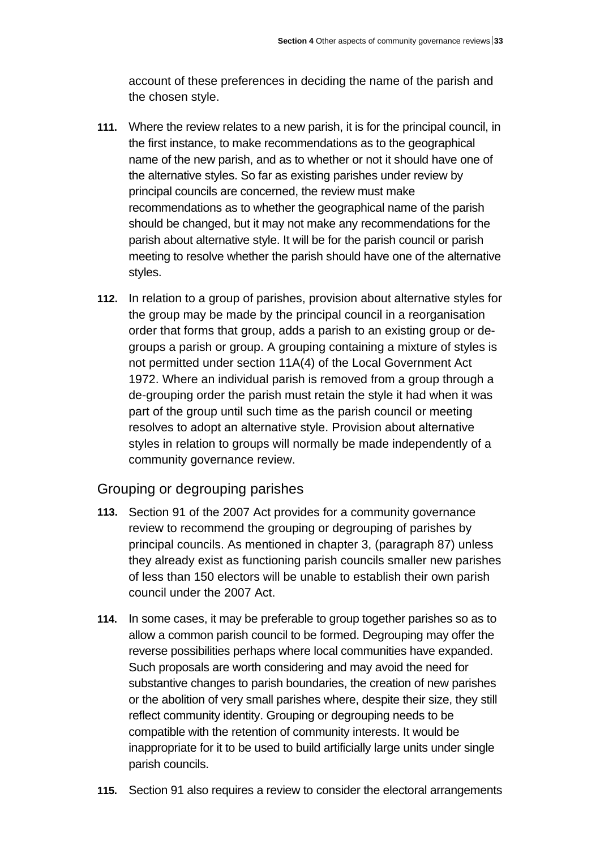account of these preferences in deciding the name of the parish and the chosen style.

- **111.** Where the review relates to a new parish, it is for the principal council, in the first instance, to make recommendations as to the geographical name of the new parish, and as to whether or not it should have one of the alternative styles. So far as existing parishes under review by principal councils are concerned, the review must make recommendations as to whether the geographical name of the parish should be changed, but it may not make any recommendations for the parish about alternative style. It will be for the parish council or parish meeting to resolve whether the parish should have one of the alternative styles.
- **112.** In relation to a group of parishes, provision about alternative styles for the group may be made by the principal council in a reorganisation order that forms that group, adds a parish to an existing group or degroups a parish or group. A grouping containing a mixture of styles is not permitted under section 11A(4) of the Local Government Act 1972. Where an individual parish is removed from a group through a de-grouping order the parish must retain the style it had when it was part of the group until such time as the parish council or meeting resolves to adopt an alternative style. Provision about alternative styles in relation to groups will normally be made independently of a community governance review.

# Grouping or degrouping parishes

- **113.** Section 91 of the 2007 Act provides for a community governance review to recommend the grouping or degrouping of parishes by principal councils. As mentioned in chapter 3, (paragraph 87) unless they already exist as functioning parish councils smaller new parishes of less than 150 electors will be unable to establish their own parish council under the 2007 Act.
- **114.** In some cases, it may be preferable to group together parishes so as to allow a common parish council to be formed. Degrouping may offer the reverse possibilities perhaps where local communities have expanded. Such proposals are worth considering and may avoid the need for substantive changes to parish boundaries, the creation of new parishes or the abolition of very small parishes where, despite their size, they still reflect community identity. Grouping or degrouping needs to be compatible with the retention of community interests. It would be inappropriate for it to be used to build artificially large units under single parish councils.
- **115.** Section 91 also requires a review to consider the electoral arrangements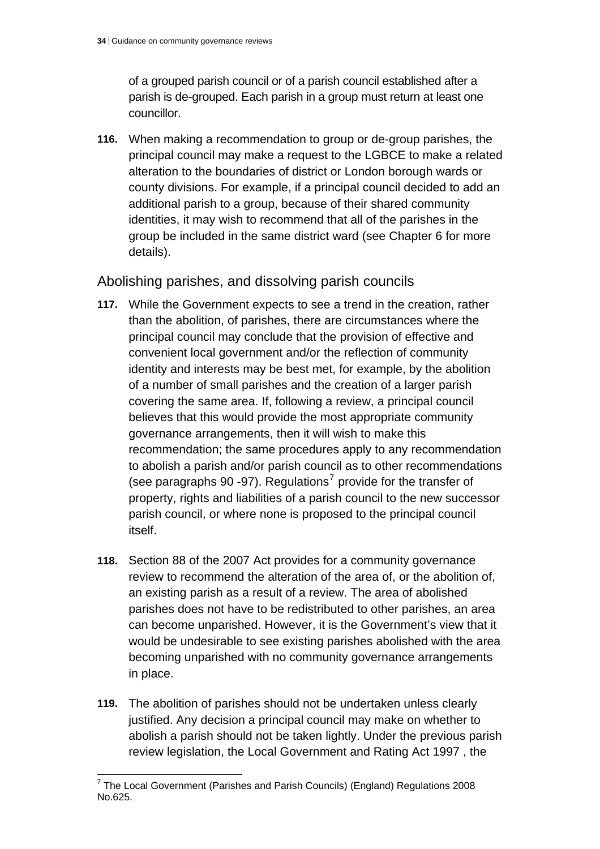of a grouped parish council or of a parish council established after a parish is de-grouped. Each parish in a group must return at least one councillor.

**116.** When making a recommendation to group or de-group parishes, the principal council may make a request to the LGBCE to make a related alteration to the boundaries of district or London borough wards or county divisions. For example, if a principal council decided to add an additional parish to a group, because of their shared community identities, it may wish to recommend that all of the parishes in the group be included in the same district ward (see Chapter 6 for more details).

## Abolishing parishes, and dissolving parish councils

- **117.** While the Government expects to see a trend in the creation, rather than the abolition, of parishes, there are circumstances where the principal council may conclude that the provision of effective and convenient local government and/or the reflection of community identity and interests may be best met, for example, by the abolition of a number of small parishes and the creation of a larger parish covering the same area. If, following a review, a principal council believes that this would provide the most appropriate community governance arrangements, then it will wish to make this recommendation; the same procedures apply to any recommendation to abolish a parish and/or parish council as to other recommendations (see paragraphs 90 -9[7](#page-66-0)). Regulations<sup>7</sup> provide for the transfer of property, rights and liabilities of a parish council to the new successor parish council, or where none is proposed to the principal council itself.
- **118.** Section 88 of the 2007 Act provides for a community governance review to recommend the alteration of the area of, or the abolition of, an existing parish as a result of a review. The area of abolished parishes does not have to be redistributed to other parishes, an area can become unparished. However, it is the Government's view that it would be undesirable to see existing parishes abolished with the area becoming unparished with no community governance arrangements in place.
- **119.** The abolition of parishes should not be undertaken unless clearly justified. Any decision a principal council may make on whether to abolish a parish should not be taken lightly. Under the previous parish review legislation, the Local Government and Rating Act 1997 , the

<span id="page-66-0"></span> 7 The Local Government (Parishes and Parish Councils) (England) Regulations 2008 No.625.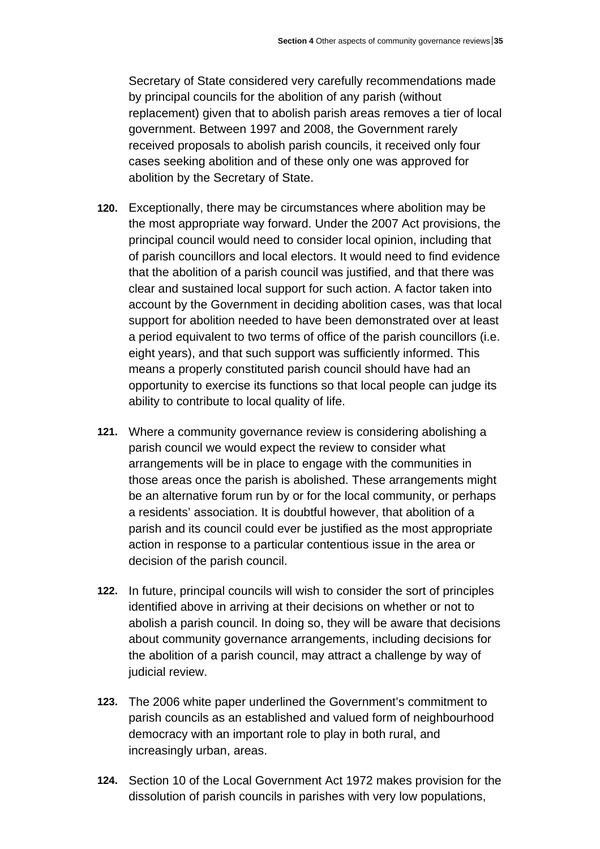Secretary of State considered very carefully recommendations made by principal councils for the abolition of any parish (without replacement) given that to abolish parish areas removes a tier of local government. Between 1997 and 2008, the Government rarely received proposals to abolish parish councils, it received only four cases seeking abolition and of these only one was approved for abolition by the Secretary of State.

- **120.** Exceptionally, there may be circumstances where abolition may be the most appropriate way forward. Under the 2007 Act provisions, the principal council would need to consider local opinion, including that of parish councillors and local electors. It would need to find evidence that the abolition of a parish council was justified, and that there was clear and sustained local support for such action. A factor taken into account by the Government in deciding abolition cases, was that local support for abolition needed to have been demonstrated over at least a period equivalent to two terms of office of the parish councillors (i.e. eight years), and that such support was sufficiently informed. This means a properly constituted parish council should have had an opportunity to exercise its functions so that local people can judge its ability to contribute to local quality of life.
- **121.** Where a community governance review is considering abolishing a parish council we would expect the review to consider what arrangements will be in place to engage with the communities in those areas once the parish is abolished. These arrangements might be an alternative forum run by or for the local community, or perhaps a residents' association. It is doubtful however, that abolition of a parish and its council could ever be justified as the most appropriate action in response to a particular contentious issue in the area or decision of the parish council.
- **122.** In future, principal councils will wish to consider the sort of principles identified above in arriving at their decisions on whether or not to abolish a parish council. In doing so, they will be aware that decisions about community governance arrangements, including decisions for the abolition of a parish council, may attract a challenge by way of judicial review.
- **123.** The 2006 white paper underlined the Government's commitment to parish councils as an established and valued form of neighbourhood democracy with an important role to play in both rural, and increasingly urban, areas.
- **124.** Section 10 of the Local Government Act 1972 makes provision for the dissolution of parish councils in parishes with very low populations,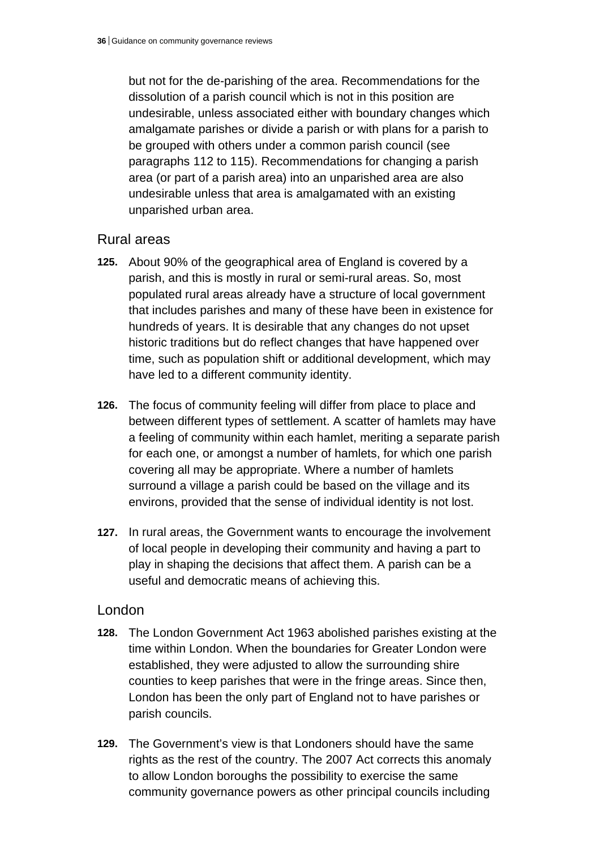but not for the de-parishing of the area. Recommendations for the dissolution of a parish council which is not in this position are undesirable, unless associated either with boundary changes which amalgamate parishes or divide a parish or with plans for a parish to be grouped with others under a common parish council (see paragraphs 112 to 115). Recommendations for changing a parish area (or part of a parish area) into an unparished area are also undesirable unless that area is amalgamated with an existing unparished urban area.

### Rural areas

- **125.** About 90% of the geographical area of England is covered by a parish, and this is mostly in rural or semi-rural areas. So, most populated rural areas already have a structure of local government that includes parishes and many of these have been in existence for hundreds of years. It is desirable that any changes do not upset historic traditions but do reflect changes that have happened over time, such as population shift or additional development, which may have led to a different community identity.
- **126.** The focus of community feeling will differ from place to place and between different types of settlement. A scatter of hamlets may have a feeling of community within each hamlet, meriting a separate parish for each one, or amongst a number of hamlets, for which one parish covering all may be appropriate. Where a number of hamlets surround a village a parish could be based on the village and its environs, provided that the sense of individual identity is not lost.
- **127.** In rural areas, the Government wants to encourage the involvement of local people in developing their community and having a part to play in shaping the decisions that affect them. A parish can be a useful and democratic means of achieving this.

#### London

- **128.** The London Government Act 1963 abolished parishes existing at the time within London. When the boundaries for Greater London were established, they were adjusted to allow the surrounding shire counties to keep parishes that were in the fringe areas. Since then, London has been the only part of England not to have parishes or parish councils.
- **129.** The Government's view is that Londoners should have the same rights as the rest of the country. The 2007 Act corrects this anomaly to allow London boroughs the possibility to exercise the same community governance powers as other principal councils including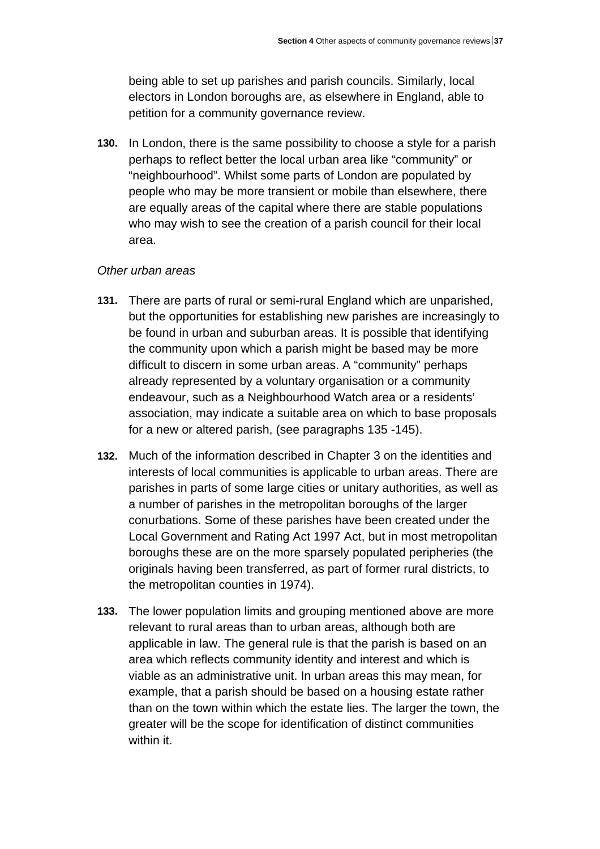being able to set up parishes and parish councils. Similarly, local electors in London boroughs are, as elsewhere in England, able to petition for a community governance review.

**130.** In London, there is the same possibility to choose a style for a parish perhaps to reflect better the local urban area like "community" or "neighbourhood". Whilst some parts of London are populated by people who may be more transient or mobile than elsewhere, there are equally areas of the capital where there are stable populations who may wish to see the creation of a parish council for their local area.

#### *Other urban areas*

- **131.** There are parts of rural or semi-rural England which are unparished, but the opportunities for establishing new parishes are increasingly to be found in urban and suburban areas. It is possible that identifying the community upon which a parish might be based may be more difficult to discern in some urban areas. A "community" perhaps already represented by a voluntary organisation or a community endeavour, such as a Neighbourhood Watch area or a residents' association, may indicate a suitable area on which to base proposals for a new or altered parish, (see paragraphs 135 -145).
- **132.** Much of the information described in Chapter 3 on the identities and interests of local communities is applicable to urban areas. There are parishes in parts of some large cities or unitary authorities, as well as a number of parishes in the metropolitan boroughs of the larger conurbations. Some of these parishes have been created under the Local Government and Rating Act 1997 Act, but in most metropolitan boroughs these are on the more sparsely populated peripheries (the originals having been transferred, as part of former rural districts, to the metropolitan counties in 1974).
- **133.** The lower population limits and grouping mentioned above are more relevant to rural areas than to urban areas, although both are applicable in law. The general rule is that the parish is based on an area which reflects community identity and interest and which is viable as an administrative unit. In urban areas this may mean, for example, that a parish should be based on a housing estate rather than on the town within which the estate lies. The larger the town, the greater will be the scope for identification of distinct communities within it.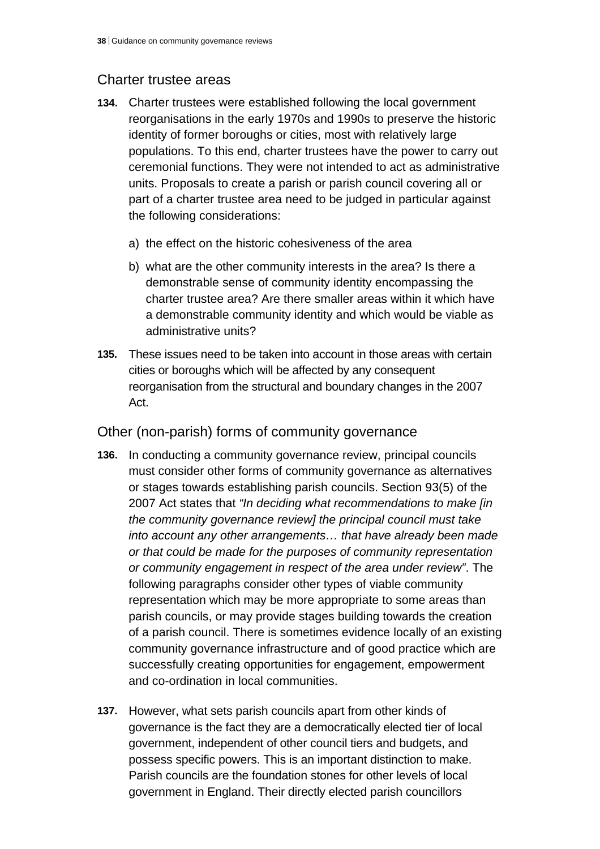## Charter trustee areas

- **134.** Charter trustees were established following the local government reorganisations in the early 1970s and 1990s to preserve the historic identity of former boroughs or cities, most with relatively large populations. To this end, charter trustees have the power to carry out ceremonial functions. They were not intended to act as administrative units. Proposals to create a parish or parish council covering all or part of a charter trustee area need to be judged in particular against the following considerations:
	- a) the effect on the historic cohesiveness of the area
	- b) what are the other community interests in the area? Is there a demonstrable sense of community identity encompassing the charter trustee area? Are there smaller areas within it which have a demonstrable community identity and which would be viable as administrative units?
- **135.** These issues need to be taken into account in those areas with certain cities or boroughs which will be affected by any consequent reorganisation from the structural and boundary changes in the 2007 Act.

## Other (non-parish) forms of community governance

- **136.** In conducting a community governance review, principal councils must consider other forms of community governance as alternatives or stages towards establishing parish councils. Section 93(5) of the 2007 Act states that *"In deciding what recommendations to make [in the community governance review] the principal council must take into account any other arrangements… that have already been made or that could be made for the purposes of community representation or community engagement in respect of the area under review"*. The following paragraphs consider other types of viable community representation which may be more appropriate to some areas than parish councils, or may provide stages building towards the creation of a parish council. There is sometimes evidence locally of an existing community governance infrastructure and of good practice which are successfully creating opportunities for engagement, empowerment and co-ordination in local communities.
- **137.** However, what sets parish councils apart from other kinds of governance is the fact they are a democratically elected tier of local government, independent of other council tiers and budgets, and possess specific powers. This is an important distinction to make. Parish councils are the foundation stones for other levels of local government in England. Their directly elected parish councillors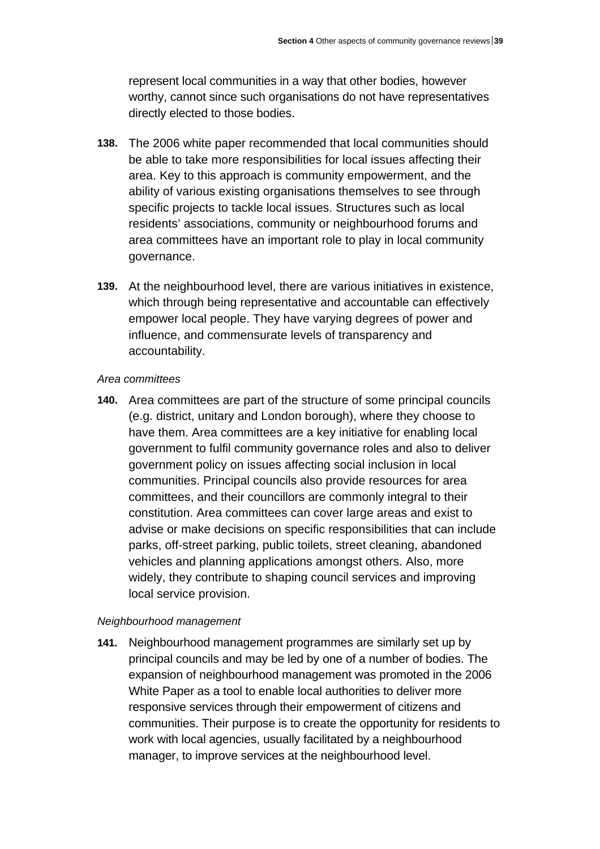represent local communities in a way that other bodies, however worthy, cannot since such organisations do not have representatives directly elected to those bodies.

- **138.** The 2006 white paper recommended that local communities should be able to take more responsibilities for local issues affecting their area. Key to this approach is community empowerment, and the ability of various existing organisations themselves to see through specific projects to tackle local issues. Structures such as local residents' associations, community or neighbourhood forums and area committees have an important role to play in local community governance.
- **139.** At the neighbourhood level, there are various initiatives in existence, which through being representative and accountable can effectively empower local people. They have varying degrees of power and influence, and commensurate levels of transparency and accountability.

#### *Area committees*

**140.** Area committees are part of the structure of some principal councils (e.g. district, unitary and London borough), where they choose to have them. Area committees are a key initiative for enabling local government to fulfil community governance roles and also to deliver government policy on issues affecting social inclusion in local communities. Principal councils also provide resources for area committees, and their councillors are commonly integral to their constitution. Area committees can cover large areas and exist to advise or make decisions on specific responsibilities that can include parks, off-street parking, public toilets, street cleaning, abandoned vehicles and planning applications amongst others. Also, more widely, they contribute to shaping council services and improving local service provision.

#### *Neighbourhood management*

**141.** Neighbourhood management programmes are similarly set up by principal councils and may be led by one of a number of bodies. The expansion of neighbourhood management was promoted in the 2006 White Paper as a tool to enable local authorities to deliver more responsive services through their empowerment of citizens and communities. Their purpose is to create the opportunity for residents to work with local agencies, usually facilitated by a neighbourhood manager, to improve services at the neighbourhood level.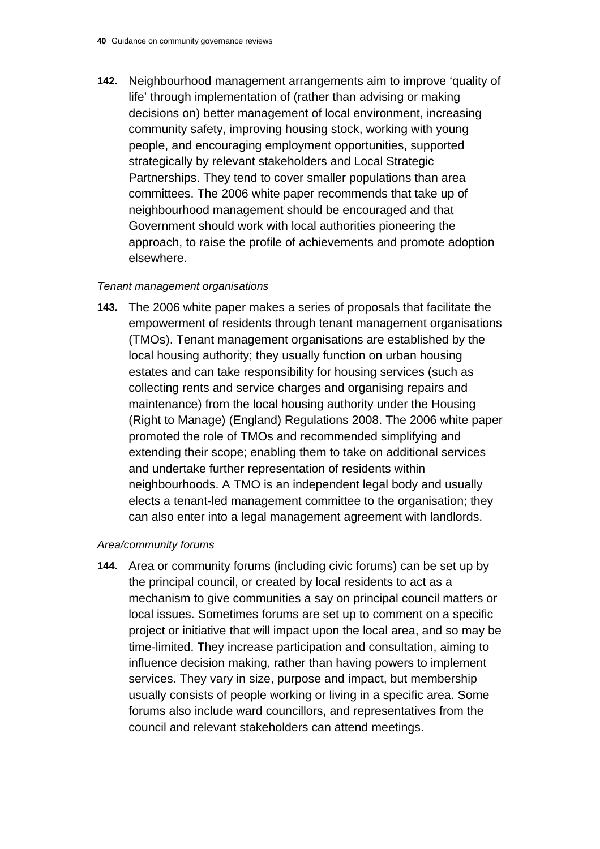**142.** Neighbourhood management arrangements aim to improve 'quality of life' through implementation of (rather than advising or making decisions on) better management of local environment, increasing community safety, improving housing stock, working with young people, and encouraging employment opportunities, supported strategically by relevant stakeholders and Local Strategic Partnerships. They tend to cover smaller populations than area committees. The 2006 white paper recommends that take up of neighbourhood management should be encouraged and that Government should work with local authorities pioneering the approach, to raise the profile of achievements and promote adoption elsewhere.

## *Tenant management organisations*

**143.** The 2006 white paper makes a series of proposals that facilitate the empowerment of residents through tenant management organisations (TMOs). Tenant management organisations are established by the local housing authority; they usually function on urban housing estates and can take responsibility for housing services (such as collecting rents and service charges and organising repairs and maintenance) from the local housing authority under the Housing (Right to Manage) (England) Regulations 2008. The 2006 white paper promoted the role of TMOs and recommended simplifying and extending their scope; enabling them to take on additional services and undertake further representation of residents within neighbourhoods. A TMO is an independent legal body and usually elects a tenant-led management committee to the organisation; they can also enter into a legal management agreement with landlords.

## *Area/community forums*

**144.** Area or community forums (including civic forums) can be set up by the principal council, or created by local residents to act as a mechanism to give communities a say on principal council matters or local issues. Sometimes forums are set up to comment on a specific project or initiative that will impact upon the local area, and so may be time-limited. They increase participation and consultation, aiming to influence decision making, rather than having powers to implement services. They vary in size, purpose and impact, but membership usually consists of people working or living in a specific area. Some forums also include ward councillors, and representatives from the council and relevant stakeholders can attend meetings.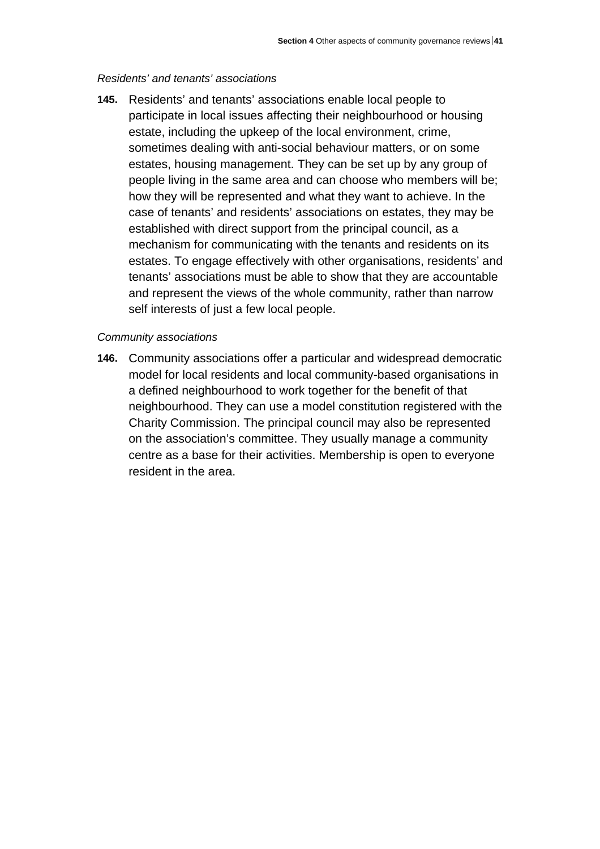## *Residents' and tenants' associations*

**145.** Residents' and tenants' associations enable local people to participate in local issues affecting their neighbourhood or housing estate, including the upkeep of the local environment, crime, sometimes dealing with anti-social behaviour matters, or on some estates, housing management. They can be set up by any group of people living in the same area and can choose who members will be; how they will be represented and what they want to achieve. In the case of tenants' and residents' associations on estates, they may be established with direct support from the principal council, as a mechanism for communicating with the tenants and residents on its estates. To engage effectively with other organisations, residents' and tenants' associations must be able to show that they are accountable and represent the views of the whole community, rather than narrow self interests of just a few local people.

## *Community associations*

**146.** Community associations offer a particular and widespread democratic model for local residents and local community-based organisations in a defined neighbourhood to work together for the benefit of that neighbourhood. They can use a model constitution registered with the Charity Commission. The principal council may also be represented on the association's committee. They usually manage a community centre as a base for their activities. Membership is open to everyone resident in the area.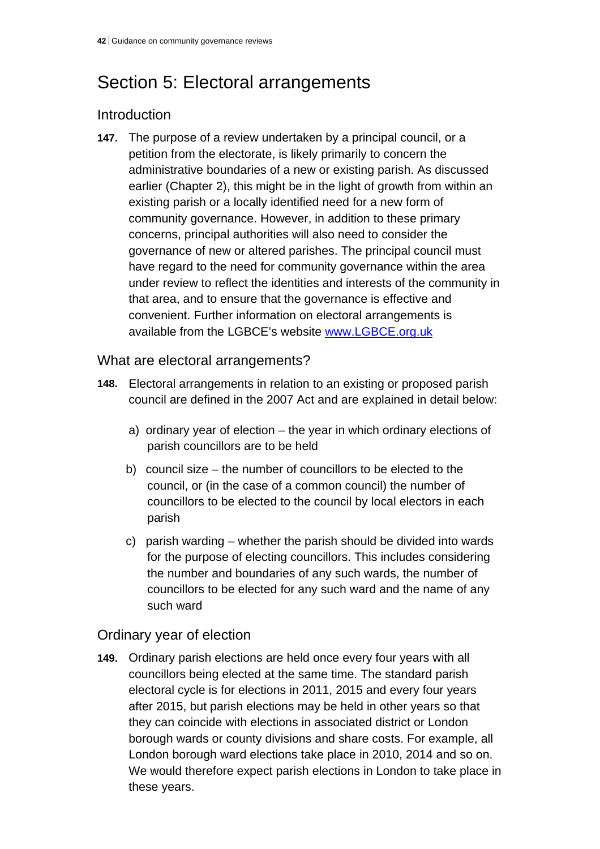# Section 5: Electoral arrangements

# Introduction

**147.** The purpose of a review undertaken by a principal council, or a petition from the electorate, is likely primarily to concern the administrative boundaries of a new or existing parish. As discussed earlier (Chapter 2), this might be in the light of growth from within an existing parish or a locally identified need for a new form of community governance. However, in addition to these primary concerns, principal authorities will also need to consider the governance of new or altered parishes. The principal council must have regard to the need for community governance within the area under review to reflect the identities and interests of the community in that area, and to ensure that the governance is effective and convenient. Further information on electoral arrangements is available from the LGBCE's website www.LGBCE.org.uk

## What are electoral arrangements?

- **148.** Electoral arrangements in relation to an existing or proposed parish council are defined in the 2007 Act and are explained in detail below:
	- a) ordinary year of election the year in which ordinary elections of parish councillors are to be held
	- b) council size the number of councillors to be elected to the council, or (in the case of a common council) the number of councillors to be elected to the council by local electors in each parish
	- c) parish warding whether the parish should be divided into wards for the purpose of electing councillors. This includes considering the number and boundaries of any such wards, the number of councillors to be elected for any such ward and the name of any such ward

## Ordinary year of election

**149.** Ordinary parish elections are held once every four years with all councillors being elected at the same time. The standard parish electoral cycle is for elections in 2011, 2015 and every four years after 2015, but parish elections may be held in other years so that they can coincide with elections in associated district or London borough wards or county divisions and share costs. For example, all London borough ward elections take place in 2010, 2014 and so on. We would therefore expect parish elections in London to take place in these years.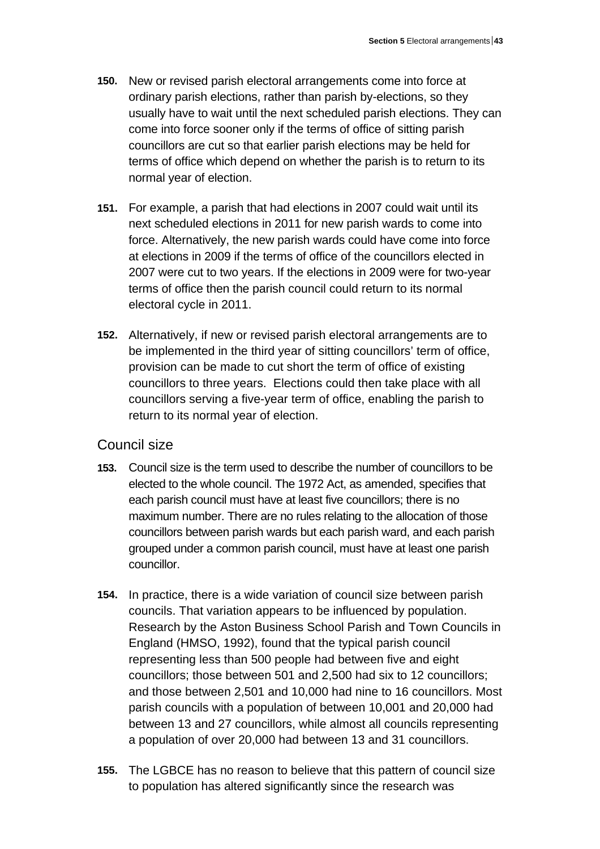- **150.** New or revised parish electoral arrangements come into force at ordinary parish elections, rather than parish by-elections, so they usually have to wait until the next scheduled parish elections. They can come into force sooner only if the terms of office of sitting parish councillors are cut so that earlier parish elections may be held for terms of office which depend on whether the parish is to return to its normal year of election.
- **151.** For example, a parish that had elections in 2007 could wait until its next scheduled elections in 2011 for new parish wards to come into force. Alternatively, the new parish wards could have come into force at elections in 2009 if the terms of office of the councillors elected in 2007 were cut to two years. If the elections in 2009 were for two-year terms of office then the parish council could return to its normal electoral cycle in 2011.
- **152.** Alternatively, if new or revised parish electoral arrangements are to be implemented in the third year of sitting councillors' term of office, provision can be made to cut short the term of office of existing councillors to three years. Elections could then take place with all councillors serving a five-year term of office, enabling the parish to return to its normal year of election.

## Council size

- **153.** Council size is the term used to describe the number of councillors to be elected to the whole council. The 1972 Act, as amended, specifies that each parish council must have at least five councillors; there is no maximum number. There are no rules relating to the allocation of those councillors between parish wards but each parish ward, and each parish grouped under a common parish council, must have at least one parish councillor.
- **154.** In practice, there is a wide variation of council size between parish councils. That variation appears to be influenced by population. Research by the Aston Business School Parish and Town Councils in England (HMSO, 1992), found that the typical parish council representing less than 500 people had between five and eight councillors; those between 501 and 2,500 had six to 12 councillors; and those between 2,501 and 10,000 had nine to 16 councillors. Most parish councils with a population of between 10,001 and 20,000 had between 13 and 27 councillors, while almost all councils representing a population of over 20,000 had between 13 and 31 councillors.
- **155.** The LGBCE has no reason to believe that this pattern of council size to population has altered significantly since the research was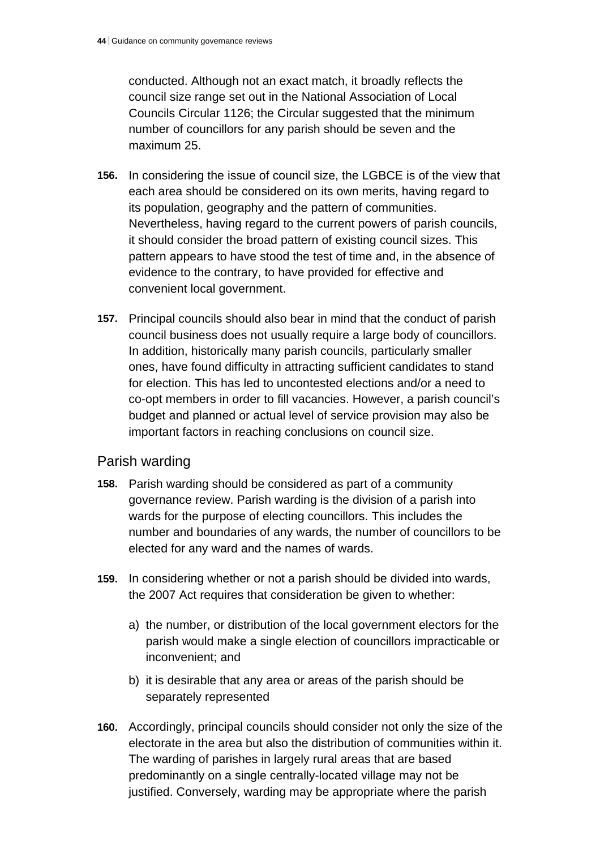conducted. Although not an exact match, it broadly reflects the council size range set out in the National Association of Local Councils Circular 1126; the Circular suggested that the minimum number of councillors for any parish should be seven and the maximum 25.

- **156.** In considering the issue of council size, the LGBCE is of the view that each area should be considered on its own merits, having regard to its population, geography and the pattern of communities. Nevertheless, having regard to the current powers of parish councils, it should consider the broad pattern of existing council sizes. This pattern appears to have stood the test of time and, in the absence of evidence to the contrary, to have provided for effective and convenient local government.
- **157.** Principal councils should also bear in mind that the conduct of parish council business does not usually require a large body of councillors. In addition, historically many parish councils, particularly smaller ones, have found difficulty in attracting sufficient candidates to stand for election. This has led to uncontested elections and/or a need to co-opt members in order to fill vacancies. However, a parish council's budget and planned or actual level of service provision may also be important factors in reaching conclusions on council size.

## Parish warding

- **158.** Parish warding should be considered as part of a community governance review. Parish warding is the division of a parish into wards for the purpose of electing councillors. This includes the number and boundaries of any wards, the number of councillors to be elected for any ward and the names of wards.
- **159.** In considering whether or not a parish should be divided into wards, the 2007 Act requires that consideration be given to whether:
	- a) the number, or distribution of the local government electors for the parish would make a single election of councillors impracticable or inconvenient; and
	- b) it is desirable that any area or areas of the parish should be separately represented
- **160.** Accordingly, principal councils should consider not only the size of the electorate in the area but also the distribution of communities within it. The warding of parishes in largely rural areas that are based predominantly on a single centrally-located village may not be justified. Conversely, warding may be appropriate where the parish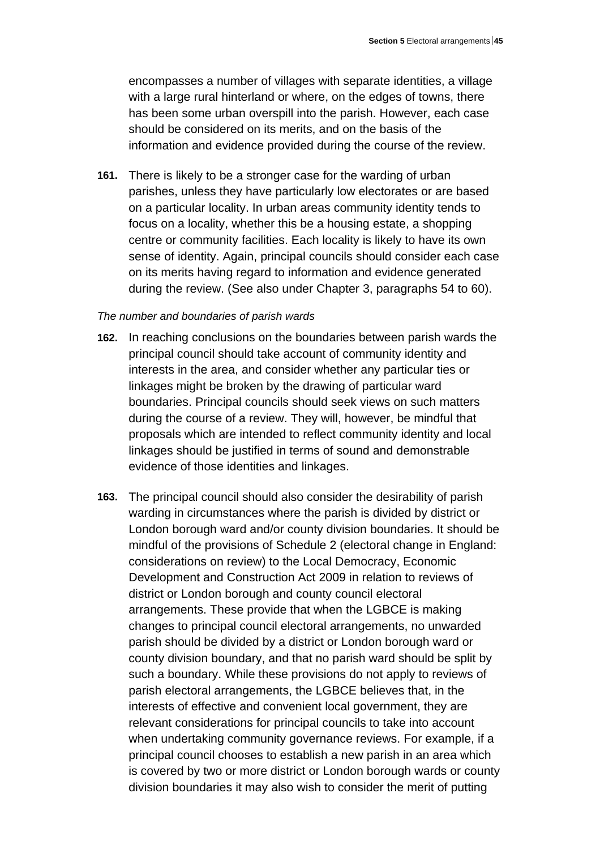encompasses a number of villages with separate identities, a village with a large rural hinterland or where, on the edges of towns, there has been some urban overspill into the parish. However, each case should be considered on its merits, and on the basis of the information and evidence provided during the course of the review.

**161.** There is likely to be a stronger case for the warding of urban parishes, unless they have particularly low electorates or are based on a particular locality. In urban areas community identity tends to focus on a locality, whether this be a housing estate, a shopping centre or community facilities. Each locality is likely to have its own sense of identity. Again, principal councils should consider each case on its merits having regard to information and evidence generated during the review. (See also under Chapter 3, paragraphs 54 to 60).

#### *The number and boundaries of parish wards*

- **162.** In reaching conclusions on the boundaries between parish wards the principal council should take account of community identity and interests in the area, and consider whether any particular ties or linkages might be broken by the drawing of particular ward boundaries. Principal councils should seek views on such matters during the course of a review. They will, however, be mindful that proposals which are intended to reflect community identity and local linkages should be justified in terms of sound and demonstrable evidence of those identities and linkages.
- **163.** The principal council should also consider the desirability of parish warding in circumstances where the parish is divided by district or London borough ward and/or county division boundaries. It should be mindful of the provisions of Schedule 2 (electoral change in England: considerations on review) to the Local Democracy, Economic Development and Construction Act 2009 in relation to reviews of district or London borough and county council electoral arrangements. These provide that when the LGBCE is making changes to principal council electoral arrangements, no unwarded parish should be divided by a district or London borough ward or county division boundary, and that no parish ward should be split by such a boundary. While these provisions do not apply to reviews of parish electoral arrangements, the LGBCE believes that, in the interests of effective and convenient local government, they are relevant considerations for principal councils to take into account when undertaking community governance reviews. For example, if a principal council chooses to establish a new parish in an area which is covered by two or more district or London borough wards or county division boundaries it may also wish to consider the merit of putting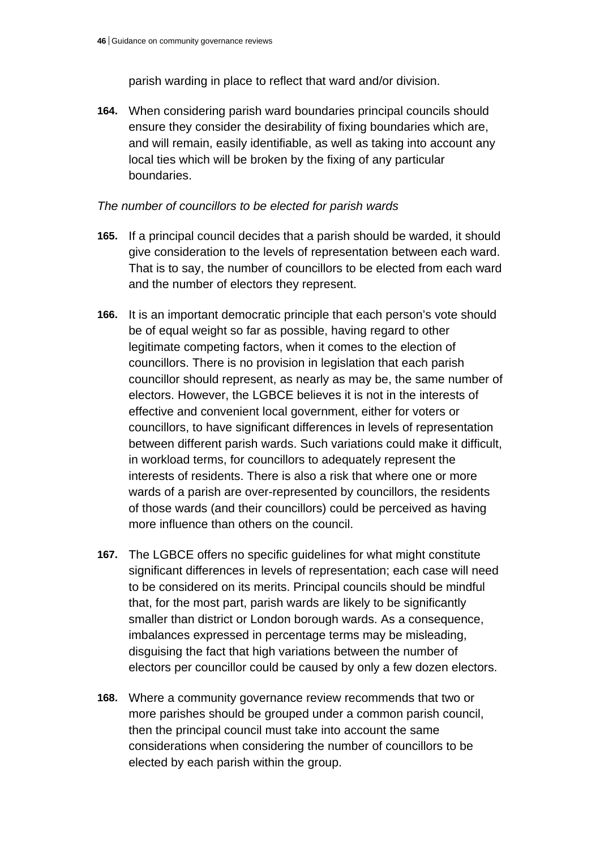parish warding in place to reflect that ward and/or division.

**164.** When considering parish ward boundaries principal councils should ensure they consider the desirability of fixing boundaries which are, and will remain, easily identifiable, as well as taking into account any local ties which will be broken by the fixing of any particular boundaries.

## *The number of councillors to be elected for parish wards*

- **165.** If a principal council decides that a parish should be warded, it should give consideration to the levels of representation between each ward. That is to say, the number of councillors to be elected from each ward and the number of electors they represent.
- **166.** It is an important democratic principle that each person's vote should be of equal weight so far as possible, having regard to other legitimate competing factors, when it comes to the election of councillors. There is no provision in legislation that each parish councillor should represent, as nearly as may be, the same number of electors. However, the LGBCE believes it is not in the interests of effective and convenient local government, either for voters or councillors, to have significant differences in levels of representation between different parish wards. Such variations could make it difficult, in workload terms, for councillors to adequately represent the interests of residents. There is also a risk that where one or more wards of a parish are over-represented by councillors, the residents of those wards (and their councillors) could be perceived as having more influence than others on the council.
- **167.** The LGBCE offers no specific guidelines for what might constitute significant differences in levels of representation; each case will need to be considered on its merits. Principal councils should be mindful that, for the most part, parish wards are likely to be significantly smaller than district or London borough wards. As a consequence, imbalances expressed in percentage terms may be misleading, disguising the fact that high variations between the number of electors per councillor could be caused by only a few dozen electors.
- **168.** Where a community governance review recommends that two or more parishes should be grouped under a common parish council, then the principal council must take into account the same considerations when considering the number of councillors to be elected by each parish within the group.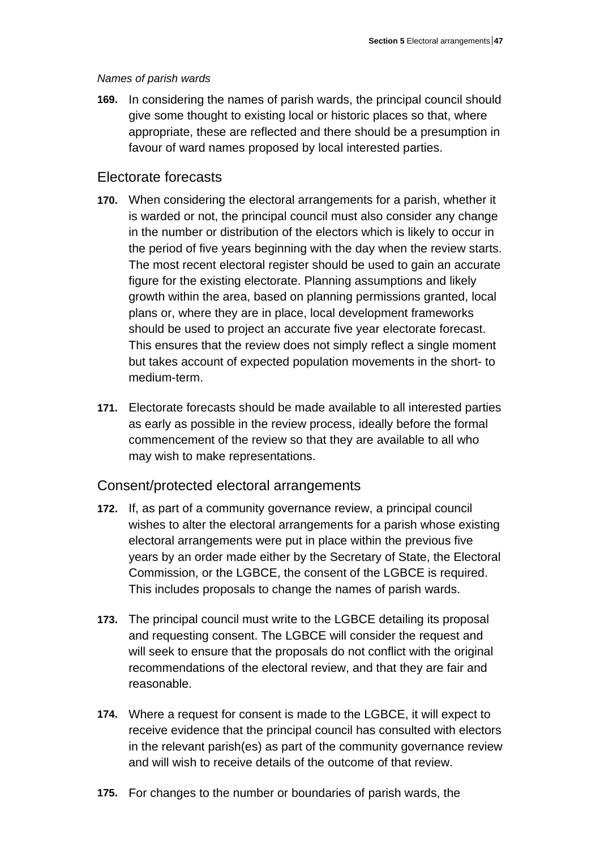## *Names of parish wards*

**169.** In considering the names of parish wards, the principal council should give some thought to existing local or historic places so that, where appropriate, these are reflected and there should be a presumption in favour of ward names proposed by local interested parties.

## Electorate forecasts

- **170.** When considering the electoral arrangements for a parish, whether it is warded or not, the principal council must also consider any change in the number or distribution of the electors which is likely to occur in the period of five years beginning with the day when the review starts. The most recent electoral register should be used to gain an accurate figure for the existing electorate. Planning assumptions and likely growth within the area, based on planning permissions granted, local plans or, where they are in place, local development frameworks should be used to project an accurate five year electorate forecast. This ensures that the review does not simply reflect a single moment but takes account of expected population movements in the short- to medium-term.
- **171.** Electorate forecasts should be made available to all interested parties as early as possible in the review process, ideally before the formal commencement of the review so that they are available to all who may wish to make representations.

## Consent/protected electoral arrangements

- **172.** If, as part of a community governance review, a principal council wishes to alter the electoral arrangements for a parish whose existing electoral arrangements were put in place within the previous five years by an order made either by the Secretary of State, the Electoral Commission, or the LGBCE, the consent of the LGBCE is required. This includes proposals to change the names of parish wards.
- **173.** The principal council must write to the LGBCE detailing its proposal and requesting consent. The LGBCE will consider the request and will seek to ensure that the proposals do not conflict with the original recommendations of the electoral review, and that they are fair and reasonable.
- **174.** Where a request for consent is made to the LGBCE, it will expect to receive evidence that the principal council has consulted with electors in the relevant parish(es) as part of the community governance review and will wish to receive details of the outcome of that review.
- **175.** For changes to the number or boundaries of parish wards, the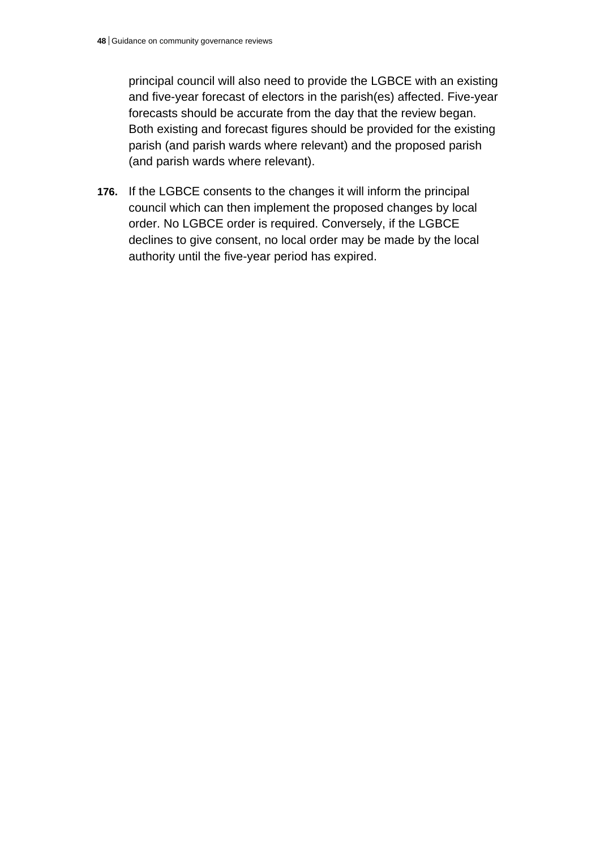principal council will also need to provide the LGBCE with an existing and five-year forecast of electors in the parish(es) affected. Five-year forecasts should be accurate from the day that the review began. Both existing and forecast figures should be provided for the existing parish (and parish wards where relevant) and the proposed parish (and parish wards where relevant).

**176.** If the LGBCE consents to the changes it will inform the principal council which can then implement the proposed changes by local order. No LGBCE order is required. Conversely, if the LGBCE declines to give consent, no local order may be made by the local authority until the five-year period has expired.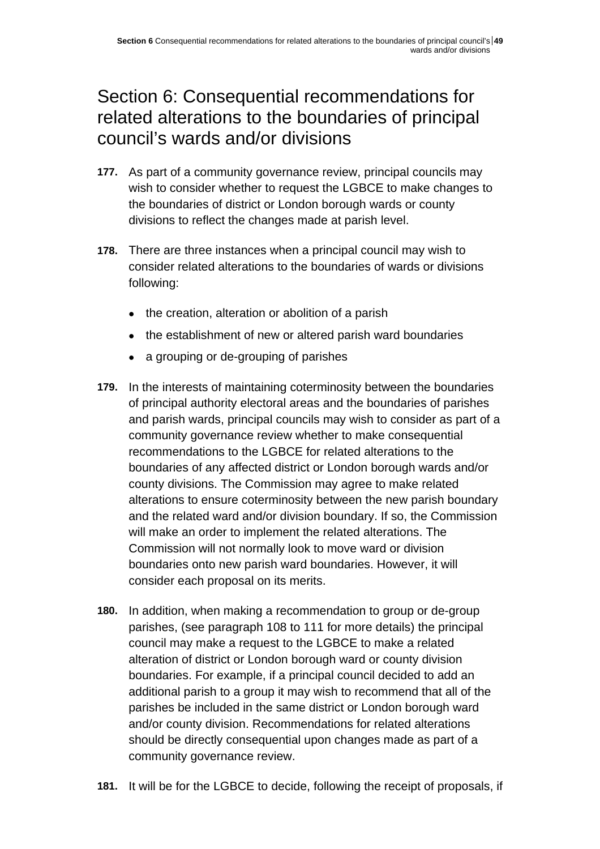# Section 6: Consequential recommendations for related alterations to the boundaries of principal council's wards and/or divisions

- **177.** As part of a community governance review, principal councils may wish to consider whether to request the LGBCE to make changes to the boundaries of district or London borough wards or county divisions to reflect the changes made at parish level.
- **178.** There are three instances when a principal council may wish to consider related alterations to the boundaries of wards or divisions following:
	- the creation, alteration or abolition of a parish
	- the establishment of new or altered parish ward boundaries
	- a grouping or de-grouping of parishes
- **179.** In the interests of maintaining coterminosity between the boundaries of principal authority electoral areas and the boundaries of parishes and parish wards, principal councils may wish to consider as part of a community governance review whether to make consequential recommendations to the LGBCE for related alterations to the boundaries of any affected district or London borough wards and/or county divisions. The Commission may agree to make related alterations to ensure coterminosity between the new parish boundary and the related ward and/or division boundary. If so, the Commission will make an order to implement the related alterations. The Commission will not normally look to move ward or division boundaries onto new parish ward boundaries. However, it will consider each proposal on its merits.
- **180.** In addition, when making a recommendation to group or de-group parishes, (see paragraph 108 to 111 for more details) the principal council may make a request to the LGBCE to make a related alteration of district or London borough ward or county division boundaries. For example, if a principal council decided to add an additional parish to a group it may wish to recommend that all of the parishes be included in the same district or London borough ward and/or county division. Recommendations for related alterations should be directly consequential upon changes made as part of a community governance review.
- **181.** It will be for the LGBCE to decide, following the receipt of proposals, if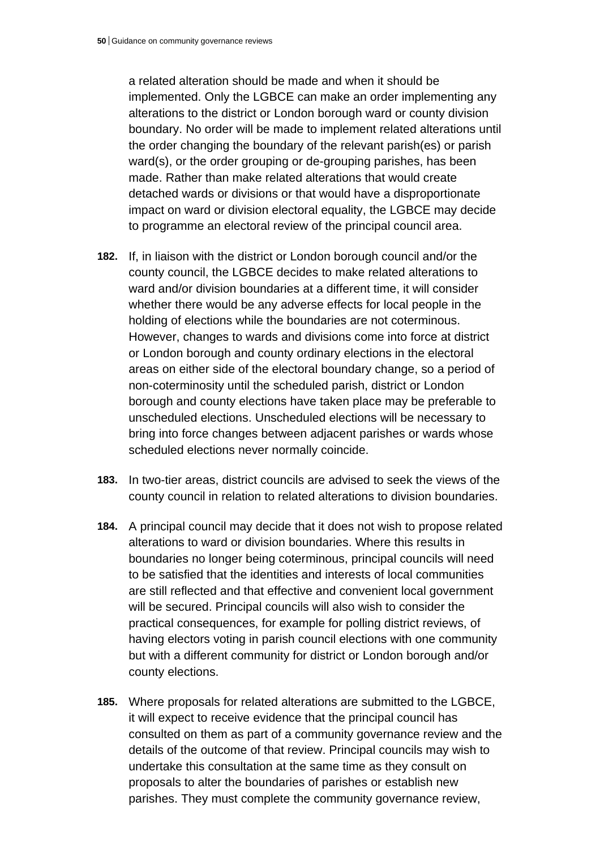a related alteration should be made and when it should be implemented. Only the LGBCE can make an order implementing any alterations to the district or London borough ward or county division boundary. No order will be made to implement related alterations until the order changing the boundary of the relevant parish(es) or parish ward(s), or the order grouping or de-grouping parishes, has been made. Rather than make related alterations that would create detached wards or divisions or that would have a disproportionate impact on ward or division electoral equality, the LGBCE may decide to programme an electoral review of the principal council area.

- **182.** If, in liaison with the district or London borough council and/or the county council, the LGBCE decides to make related alterations to ward and/or division boundaries at a different time, it will consider whether there would be any adverse effects for local people in the holding of elections while the boundaries are not coterminous. However, changes to wards and divisions come into force at district or London borough and county ordinary elections in the electoral areas on either side of the electoral boundary change, so a period of non-coterminosity until the scheduled parish, district or London borough and county elections have taken place may be preferable to unscheduled elections. Unscheduled elections will be necessary to bring into force changes between adjacent parishes or wards whose scheduled elections never normally coincide.
- **183.** In two-tier areas, district councils are advised to seek the views of the county council in relation to related alterations to division boundaries.
- **184.** A principal council may decide that it does not wish to propose related alterations to ward or division boundaries. Where this results in boundaries no longer being coterminous, principal councils will need to be satisfied that the identities and interests of local communities are still reflected and that effective and convenient local government will be secured. Principal councils will also wish to consider the practical consequences, for example for polling district reviews, of having electors voting in parish council elections with one community but with a different community for district or London borough and/or county elections.
- **185.** Where proposals for related alterations are submitted to the LGBCE, it will expect to receive evidence that the principal council has consulted on them as part of a community governance review and the details of the outcome of that review. Principal councils may wish to undertake this consultation at the same time as they consult on proposals to alter the boundaries of parishes or establish new parishes. They must complete the community governance review,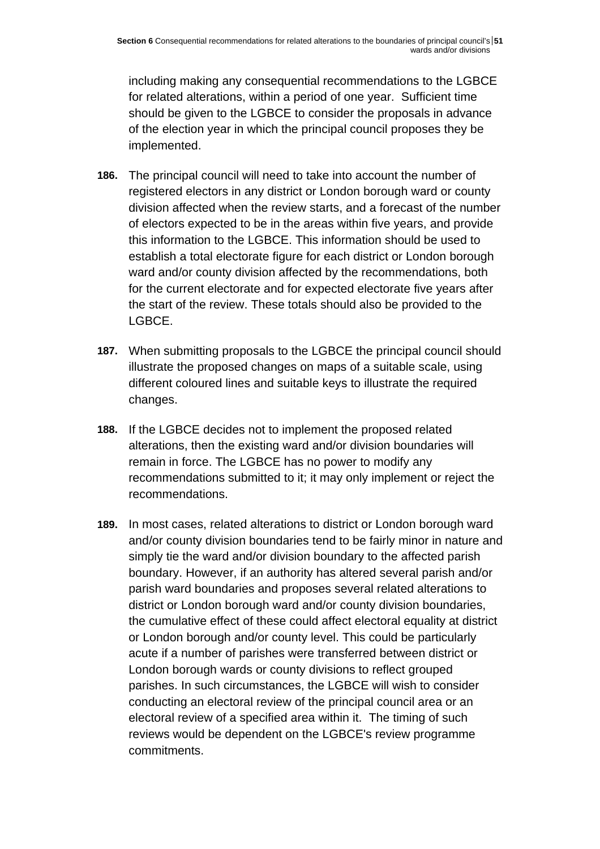including making any consequential recommendations to the LGBCE for related alterations, within a period of one year. Sufficient time should be given to the LGBCE to consider the proposals in advance of the election year in which the principal council proposes they be implemented.

- **186.** The principal council will need to take into account the number of registered electors in any district or London borough ward or county division affected when the review starts, and a forecast of the number of electors expected to be in the areas within five years, and provide this information to the LGBCE. This information should be used to establish a total electorate figure for each district or London borough ward and/or county division affected by the recommendations, both for the current electorate and for expected electorate five years after the start of the review. These totals should also be provided to the LGBCE.
- **187.** When submitting proposals to the LGBCE the principal council should illustrate the proposed changes on maps of a suitable scale, using different coloured lines and suitable keys to illustrate the required changes.
- **188.** If the LGBCE decides not to implement the proposed related alterations, then the existing ward and/or division boundaries will remain in force. The LGBCE has no power to modify any recommendations submitted to it; it may only implement or reject the recommendations.
- **189.** In most cases, related alterations to district or London borough ward and/or county division boundaries tend to be fairly minor in nature and simply tie the ward and/or division boundary to the affected parish boundary. However, if an authority has altered several parish and/or parish ward boundaries and proposes several related alterations to district or London borough ward and/or county division boundaries, the cumulative effect of these could affect electoral equality at district or London borough and/or county level. This could be particularly acute if a number of parishes were transferred between district or London borough wards or county divisions to reflect grouped parishes. In such circumstances, the LGBCE will wish to consider conducting an electoral review of the principal council area or an electoral review of a specified area within it. The timing of such reviews would be dependent on the LGBCE's review programme commitments.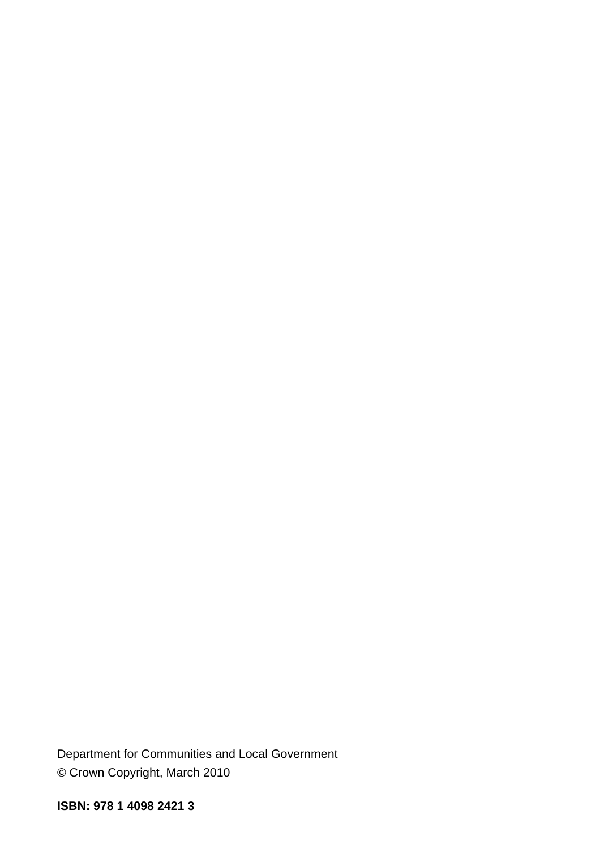Department for Communities and Local Government © Crown Copyright, March 2010

**ISBN: 978 1 4098 2421 3**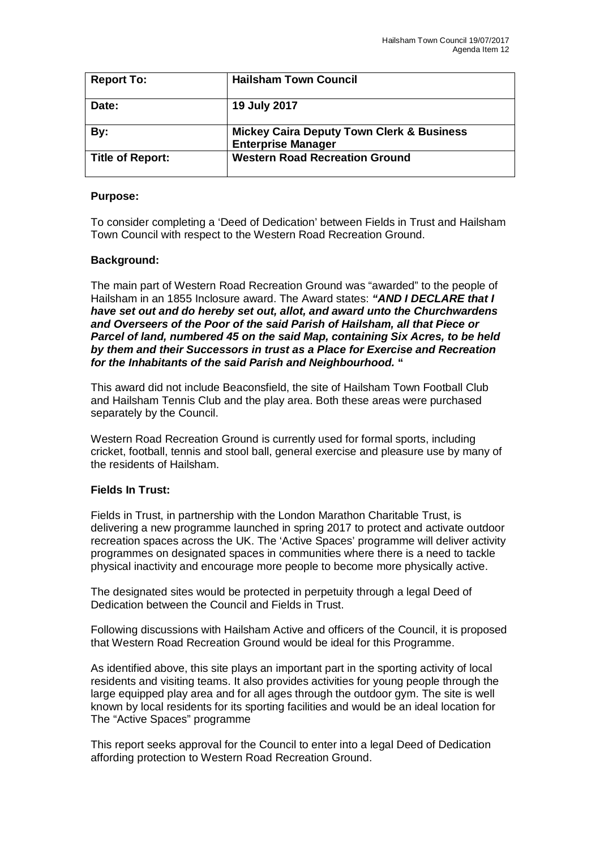| <b>Report To:</b>       | <b>Hailsham Town Council</b>                                                      |
|-------------------------|-----------------------------------------------------------------------------------|
| Date:                   | 19 July 2017                                                                      |
| By:                     | <b>Mickey Caira Deputy Town Clerk &amp; Business</b><br><b>Enterprise Manager</b> |
| <b>Title of Report:</b> | <b>Western Road Recreation Ground</b>                                             |

## **Purpose:**

To consider completing a 'Deed of Dedication' between Fields in Trust and Hailsham Town Council with respect to the Western Road Recreation Ground.

## **Background:**

The main part of Western Road Recreation Ground was "awarded" to the people of Hailsham in an 1855 Inclosure award. The Award states: *"AND I DECLARE that I have set out and do hereby set out, allot, and award unto the Churchwardens and Overseers of the Poor of the said Parish of Hailsham, all that Piece or Parcel of land, numbered 45 on the said Map, containing Six Acres, to be held by them and their Successors in trust as a Place for Exercise and Recreation for the Inhabitants of the said Parish and Neighbourhood.* **"**

This award did not include Beaconsfield, the site of Hailsham Town Football Club and Hailsham Tennis Club and the play area. Both these areas were purchased separately by the Council.

Western Road Recreation Ground is currently used for formal sports, including cricket, football, tennis and stool ball, general exercise and pleasure use by many of the residents of Hailsham.

## **Fields In Trust:**

Fields in Trust, in partnership with the London Marathon Charitable Trust, is delivering a new programme launched in spring 2017 to protect and activate outdoor recreation spaces across the UK. The 'Active Spaces' programme will deliver activity programmes on designated spaces in communities where there is a need to tackle physical inactivity and encourage more people to become more physically active.

The designated sites would be protected in perpetuity through a legal Deed of Dedication between the Council and Fields in Trust.

Following discussions with Hailsham Active and officers of the Council, it is proposed that Western Road Recreation Ground would be ideal for this Programme.

As identified above, this site plays an important part in the sporting activity of local residents and visiting teams. It also provides activities for young people through the large equipped play area and for all ages through the outdoor gym. The site is well known by local residents for its sporting facilities and would be an ideal location for The "Active Spaces" programme

This report seeks approval for the Council to enter into a legal Deed of Dedication affording protection to Western Road Recreation Ground.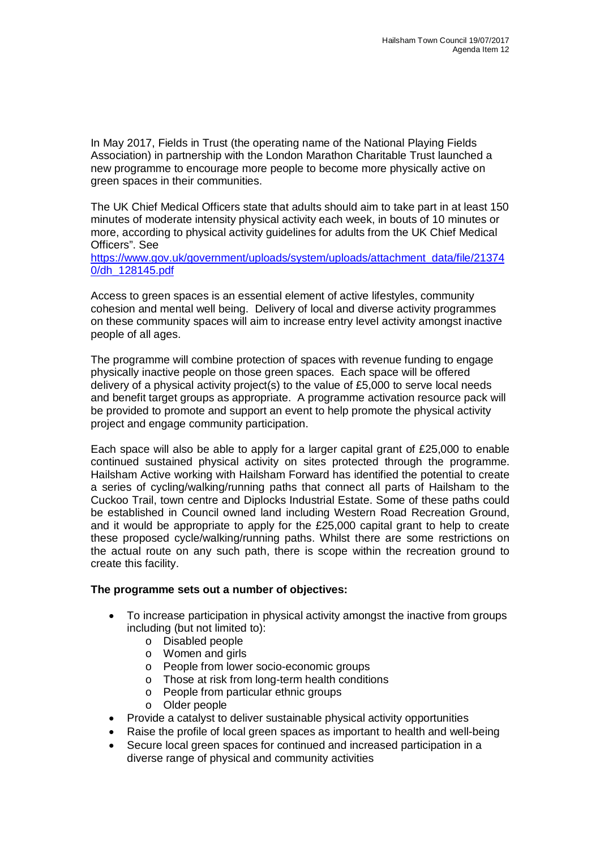In May 2017, Fields in Trust (the operating name of the National Playing Fields Association) in partnership with the London Marathon Charitable Trust launched a new programme to encourage more people to become more physically active on green spaces in their communities.

The UK Chief Medical Officers state that adults should aim to take part in at least 150 minutes of moderate intensity physical activity each week, in bouts of 10 minutes or more, according to physical activity guidelines for adults from the UK Chief Medical Officers". See

[https://www.gov.uk/government/uploads/system/uploads/attachment\\_data/file/21374](https://www.gov.uk/government/uploads/system/uploads/attachment_data/file/21374) 0/dh\_128145.pdf

Access to green spaces is an essential element of active lifestyles, community cohesion and mental well being. Delivery of local and diverse activity programmes on these community spaces will aim to increase entry level activity amongst inactive people of all ages.

The programme will combine protection of spaces with revenue funding to engage physically inactive people on those green spaces. Each space will be offered delivery of a physical activity project(s) to the value of  $£5,000$  to serve local needs and benefit target groups as appropriate. A programme activation resource pack will be provided to promote and support an event to help promote the physical activity project and engage community participation.

Each space will also be able to apply for a larger capital grant of £25,000 to enable continued sustained physical activity on sites protected through the programme. Hailsham Active working with Hailsham Forward has identified the potential to create a series of cycling/walking/running paths that connect all parts of Hailsham to the Cuckoo Trail, town centre and Diplocks Industrial Estate. Some of these paths could be established in Council owned land including Western Road Recreation Ground, and it would be appropriate to apply for the £25,000 capital grant to help to create these proposed cycle/walking/running paths. Whilst there are some restrictions on the actual route on any such path, there is scope within the recreation ground to create this facility.

## **The programme sets out a number of objectives:**

- To increase participation in physical activity amongst the inactive from groups including (but not limited to):
	- o Disabled people
	- o Women and girls
	- o People from lower socio-economic groups
	- o Those at risk from long-term health conditions
	- o People from particular ethnic groups
	- o Older people
- Provide a catalyst to deliver sustainable physical activity opportunities
- Raise the profile of local green spaces as important to health and well-being
- Secure local green spaces for continued and increased participation in a diverse range of physical and community activities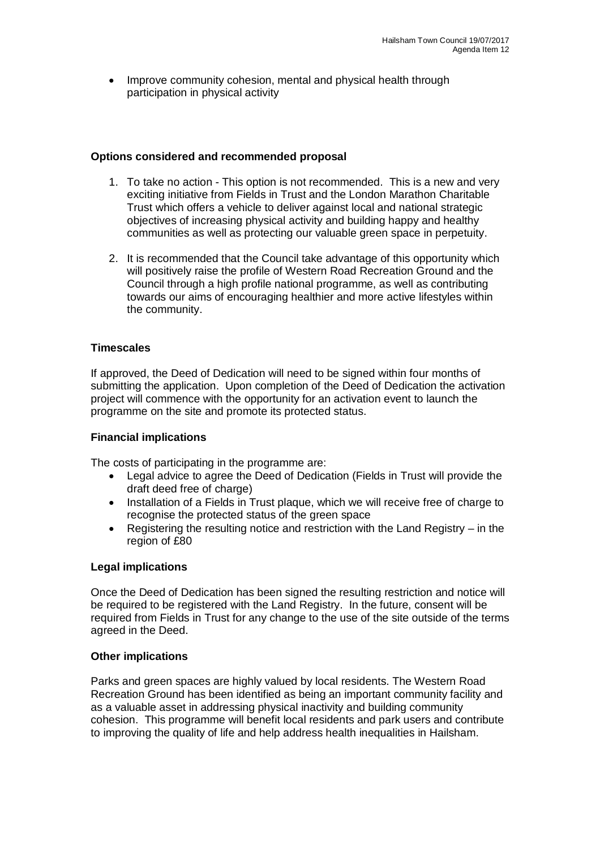Improve community cohesion, mental and physical health through participation in physical activity

## **Options considered and recommended proposal**

- 1. To take no action This option is not recommended. This is a new and very exciting initiative from Fields in Trust and the London Marathon Charitable Trust which offers a vehicle to deliver against local and national strategic objectives of increasing physical activity and building happy and healthy communities as well as protecting our valuable green space in perpetuity.
- 2. It is recommended that the Council take advantage of this opportunity which will positively raise the profile of Western Road Recreation Ground and the Council through a high profile national programme, as well as contributing towards our aims of encouraging healthier and more active lifestyles within the community.

### **Timescales**

If approved, the Deed of Dedication will need to be signed within four months of submitting the application. Upon completion of the Deed of Dedication the activation project will commence with the opportunity for an activation event to launch the programme on the site and promote its protected status.

## **Financial implications**

The costs of participating in the programme are:

- Legal advice to agree the Deed of Dedication (Fields in Trust will provide the draft deed free of charge)
- Installation of a Fields in Trust plaque, which we will receive free of charge to recognise the protected status of the green space
- Registering the resulting notice and restriction with the Land Registry in the region of £80

#### **Legal implications**

Once the Deed of Dedication has been signed the resulting restriction and notice will be required to be registered with the Land Registry. In the future, consent will be required from Fields in Trust for any change to the use of the site outside of the terms agreed in the Deed.

#### **Other implications**

Parks and green spaces are highly valued by local residents. The Western Road Recreation Ground has been identified as being an important community facility and as a valuable asset in addressing physical inactivity and building community cohesion. This programme will benefit local residents and park users and contribute to improving the quality of life and help address health inequalities in Hailsham.